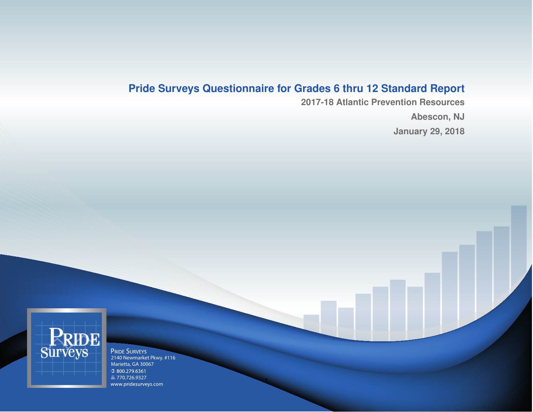## **Pride Surveys Questionnaire for Grades 6 thru 12 Standard Report**

1

**2017-18 Atlantic Prevention Resources Abescon, NJ January 29, 2018**



Marietta, GA 30067 1 800.279.6361 ■ 770.726.9327 www.pridesurveys.com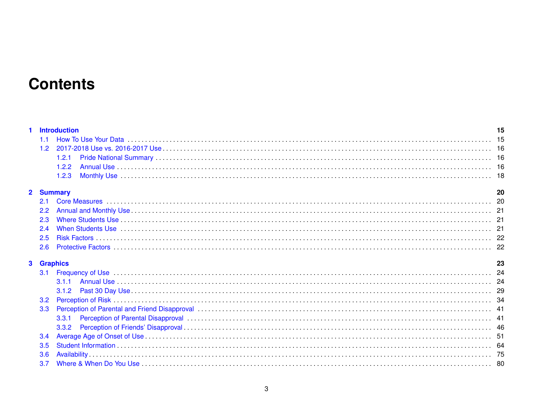# **Contents**

|  | 1 Introduction |  |
|--|----------------|--|
|  |                |  |
|  |                |  |
|  |                |  |
|  |                |  |
|  |                |  |

#### 2 Summary

| <b>Summary</b> |  |
|----------------|--|
|                |  |
|                |  |
|                |  |
|                |  |
|                |  |
|                |  |

### 3 Graphics

| <b>Graphics</b>                                                                                                                                                                                                                |  |
|--------------------------------------------------------------------------------------------------------------------------------------------------------------------------------------------------------------------------------|--|
| 3.1 Frequency of Use 2000 and the contract of the contract and the contract of the contract of the contract of the contract of the contract of the contract of the contract of the contract of the contract of the contract of |  |
|                                                                                                                                                                                                                                |  |
|                                                                                                                                                                                                                                |  |
|                                                                                                                                                                                                                                |  |
|                                                                                                                                                                                                                                |  |
|                                                                                                                                                                                                                                |  |
|                                                                                                                                                                                                                                |  |
|                                                                                                                                                                                                                                |  |
|                                                                                                                                                                                                                                |  |
|                                                                                                                                                                                                                                |  |
|                                                                                                                                                                                                                                |  |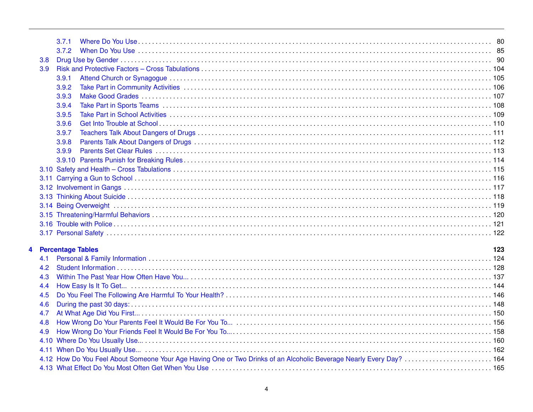|                  | 3.7.1                                                                                                                |     |
|------------------|----------------------------------------------------------------------------------------------------------------------|-----|
|                  | 3.7.2                                                                                                                |     |
| 3.8              |                                                                                                                      |     |
| 3.9 <sup>°</sup> |                                                                                                                      |     |
|                  | 3.9.1                                                                                                                |     |
|                  | 3.9.2                                                                                                                |     |
|                  | 3.9.3                                                                                                                |     |
|                  | 3.9.4                                                                                                                |     |
|                  | 3.9.5                                                                                                                |     |
|                  | 3.9.6                                                                                                                |     |
|                  | 3.9.7                                                                                                                |     |
|                  | 3.9.8                                                                                                                |     |
|                  | 3.9.9                                                                                                                |     |
|                  |                                                                                                                      |     |
|                  |                                                                                                                      |     |
|                  |                                                                                                                      |     |
|                  |                                                                                                                      |     |
|                  |                                                                                                                      |     |
|                  |                                                                                                                      |     |
|                  |                                                                                                                      |     |
|                  |                                                                                                                      |     |
|                  |                                                                                                                      |     |
|                  | 4 Percentage Tables                                                                                                  | 123 |
| 4.1              |                                                                                                                      |     |
| 4.2              |                                                                                                                      |     |
| 4.3              |                                                                                                                      |     |
| 4.4              |                                                                                                                      |     |
| 4.5              |                                                                                                                      |     |
| 4.6              |                                                                                                                      |     |
| 4.7              |                                                                                                                      |     |
| 4.8              |                                                                                                                      |     |
| 4.9              |                                                                                                                      |     |
|                  |                                                                                                                      |     |
|                  |                                                                                                                      |     |
|                  | 4.12 How Do You Feel About Someone Your Age Having One or Two Drinks of an Alcoholic Beverage Nearly Every Day?  164 |     |
|                  |                                                                                                                      |     |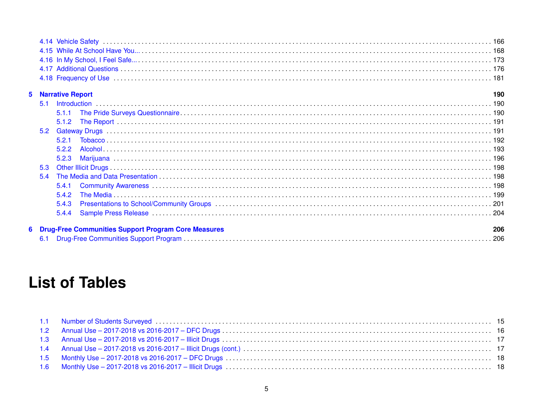### **5** Narrative Report

 $6\phantom{a}$ 

|     | <b>Narrative Report</b>                                    | 190 |
|-----|------------------------------------------------------------|-----|
|     |                                                            |     |
|     |                                                            |     |
|     |                                                            |     |
|     |                                                            |     |
|     |                                                            |     |
|     |                                                            |     |
|     |                                                            |     |
| 5.3 |                                                            |     |
| 5.4 |                                                            |     |
|     | 5.4.1                                                      |     |
|     |                                                            |     |
|     |                                                            |     |
|     |                                                            |     |
|     | <b>Drug-Free Communities Support Program Core Measures</b> | 206 |
|     |                                                            |     |

# **List of Tables**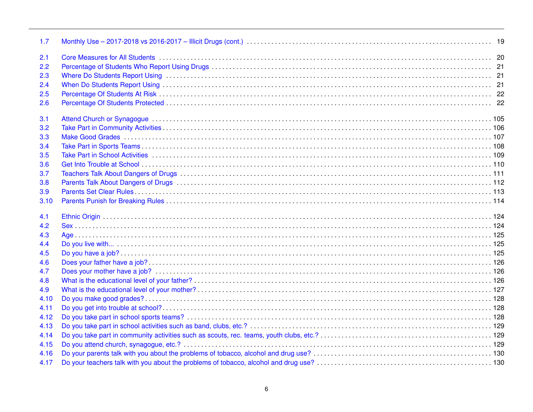| 1.7          |                                                                                                                                                                                                                               |  |
|--------------|-------------------------------------------------------------------------------------------------------------------------------------------------------------------------------------------------------------------------------|--|
| 2.1          |                                                                                                                                                                                                                               |  |
| 2.2          |                                                                                                                                                                                                                               |  |
| 2.3          |                                                                                                                                                                                                                               |  |
| 2.4          |                                                                                                                                                                                                                               |  |
| 2.5          |                                                                                                                                                                                                                               |  |
| 2.6          |                                                                                                                                                                                                                               |  |
| 3.1          |                                                                                                                                                                                                                               |  |
| 3.2          |                                                                                                                                                                                                                               |  |
| 3.3          |                                                                                                                                                                                                                               |  |
| 3.4          |                                                                                                                                                                                                                               |  |
| 3.5          |                                                                                                                                                                                                                               |  |
| 3.6          | Get Into Trouble at School (and according to the control of the control of the control of the control of the control of the control of the control of the control of the control of the control of the control of the control |  |
| 3.7          |                                                                                                                                                                                                                               |  |
| 3.8          |                                                                                                                                                                                                                               |  |
| 3.9          |                                                                                                                                                                                                                               |  |
| 3.10         |                                                                                                                                                                                                                               |  |
| 4.1          |                                                                                                                                                                                                                               |  |
| 4.2          |                                                                                                                                                                                                                               |  |
| 4.3          |                                                                                                                                                                                                                               |  |
| 4.4          |                                                                                                                                                                                                                               |  |
| 4.5          |                                                                                                                                                                                                                               |  |
| 4.6          |                                                                                                                                                                                                                               |  |
| 4.7          |                                                                                                                                                                                                                               |  |
| 4.8          |                                                                                                                                                                                                                               |  |
| 4.9          |                                                                                                                                                                                                                               |  |
| 4.10         |                                                                                                                                                                                                                               |  |
| 4.11         |                                                                                                                                                                                                                               |  |
| 4.12         |                                                                                                                                                                                                                               |  |
| 4.13         |                                                                                                                                                                                                                               |  |
| 4.14         |                                                                                                                                                                                                                               |  |
| 4.15         |                                                                                                                                                                                                                               |  |
|              |                                                                                                                                                                                                                               |  |
| 4.16<br>4.17 |                                                                                                                                                                                                                               |  |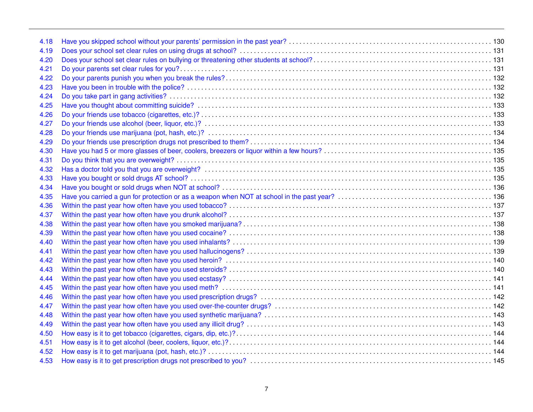| 4.18 |  |
|------|--|
| 4.19 |  |
| 4.20 |  |
| 4.21 |  |
| 4.22 |  |
| 4.23 |  |
| 4.24 |  |
| 4.25 |  |
| 4.26 |  |
| 4.27 |  |
| 4.28 |  |
| 4.29 |  |
| 4.30 |  |
| 4.31 |  |
| 4.32 |  |
| 4.33 |  |
| 4.34 |  |
| 4.35 |  |
| 4.36 |  |
| 4.37 |  |
| 4.38 |  |
| 4.39 |  |
| 4.40 |  |
| 4.41 |  |
| 4.42 |  |
| 4.43 |  |
| 4.44 |  |
| 4.45 |  |
| 4.46 |  |
| 4.47 |  |
| 4.48 |  |
| 4.49 |  |
| 4.50 |  |
| 4.51 |  |
| 4.52 |  |
| 4.53 |  |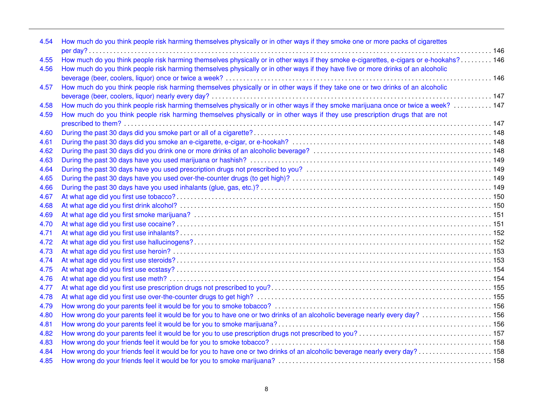| 4.54 | How much do you think people risk harming themselves physically or in other ways if they smoke one or more packs of cigarettes          |  |
|------|-----------------------------------------------------------------------------------------------------------------------------------------|--|
|      |                                                                                                                                         |  |
| 4.55 | How much do you think people risk harming themselves physically or in other ways if they smoke e-cigarettes, e-cigars or e-hookahs? 146 |  |
| 4.56 | How much do you think people risk harming themselves physically or in other ways if they have five or more drinks of an alcoholic       |  |
|      |                                                                                                                                         |  |
| 4.57 | How much do you think people risk harming themselves physically or in other ways if they take one or two drinks of an alcoholic         |  |
|      |                                                                                                                                         |  |
| 4.58 | How much do you think people risk harming themselves physically or in other ways if they smoke marijuana once or twice a week?  147     |  |
| 4.59 | How much do you think people risk harming themselves physically or in other ways if they use prescription drugs that are not            |  |
|      |                                                                                                                                         |  |
| 4.60 |                                                                                                                                         |  |
| 4.61 |                                                                                                                                         |  |
| 4.62 |                                                                                                                                         |  |
| 4.63 |                                                                                                                                         |  |
| 4.64 |                                                                                                                                         |  |
| 4.65 |                                                                                                                                         |  |
| 4.66 |                                                                                                                                         |  |
| 4.67 |                                                                                                                                         |  |
| 4.68 |                                                                                                                                         |  |
| 4.69 |                                                                                                                                         |  |
| 4.70 |                                                                                                                                         |  |
| 4.71 |                                                                                                                                         |  |
| 4.72 |                                                                                                                                         |  |
| 4.73 |                                                                                                                                         |  |
| 4.74 |                                                                                                                                         |  |
| 4.75 |                                                                                                                                         |  |
| 4.76 |                                                                                                                                         |  |
| 4.77 |                                                                                                                                         |  |
| 4.78 |                                                                                                                                         |  |
| 4.79 |                                                                                                                                         |  |
| 4.80 |                                                                                                                                         |  |
| 4.81 |                                                                                                                                         |  |
| 4.82 |                                                                                                                                         |  |
| 4.83 |                                                                                                                                         |  |
| 4.84 |                                                                                                                                         |  |
|      |                                                                                                                                         |  |
| 4.85 |                                                                                                                                         |  |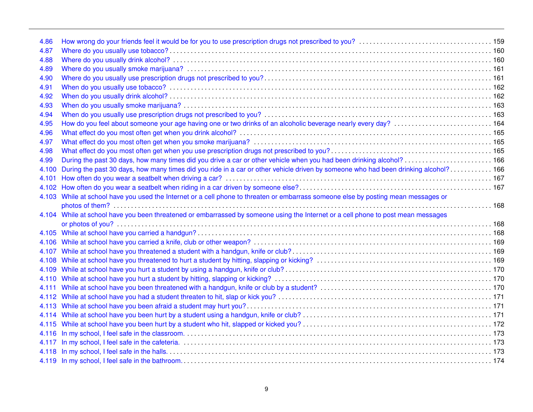| How do you feel about someone your age having one or two drinks of an alcoholic beverage nearly every day?<br>How do you feel about someone your age having one or two drinks of an alcoholic beverage nearly every day?<br><br>During the past 30 days, how many times did you drive a car or other vehicle when you had been drinking alcohol?  166<br>During the past 30 days, how many times did you ride in a car or other vehicle driven by someone who had been drinking alcohol? 166<br>4.103 While at school have you used the Internet or a cell phone to threaten or embarrass someone else by posting mean messages or<br>4.104 While at school have you been threatened or embarrassed by someone using the Internet or a cell phone to post mean messages |       |  |
|-------------------------------------------------------------------------------------------------------------------------------------------------------------------------------------------------------------------------------------------------------------------------------------------------------------------------------------------------------------------------------------------------------------------------------------------------------------------------------------------------------------------------------------------------------------------------------------------------------------------------------------------------------------------------------------------------------------------------------------------------------------------------|-------|--|
|                                                                                                                                                                                                                                                                                                                                                                                                                                                                                                                                                                                                                                                                                                                                                                         | 4.86  |  |
|                                                                                                                                                                                                                                                                                                                                                                                                                                                                                                                                                                                                                                                                                                                                                                         | 4.87  |  |
|                                                                                                                                                                                                                                                                                                                                                                                                                                                                                                                                                                                                                                                                                                                                                                         | 4.88  |  |
|                                                                                                                                                                                                                                                                                                                                                                                                                                                                                                                                                                                                                                                                                                                                                                         | 4.89  |  |
|                                                                                                                                                                                                                                                                                                                                                                                                                                                                                                                                                                                                                                                                                                                                                                         | 4.90  |  |
|                                                                                                                                                                                                                                                                                                                                                                                                                                                                                                                                                                                                                                                                                                                                                                         | 4.91  |  |
|                                                                                                                                                                                                                                                                                                                                                                                                                                                                                                                                                                                                                                                                                                                                                                         | 4.92  |  |
|                                                                                                                                                                                                                                                                                                                                                                                                                                                                                                                                                                                                                                                                                                                                                                         | 4.93  |  |
|                                                                                                                                                                                                                                                                                                                                                                                                                                                                                                                                                                                                                                                                                                                                                                         | 4.94  |  |
|                                                                                                                                                                                                                                                                                                                                                                                                                                                                                                                                                                                                                                                                                                                                                                         | 4.95  |  |
|                                                                                                                                                                                                                                                                                                                                                                                                                                                                                                                                                                                                                                                                                                                                                                         | 4.96  |  |
|                                                                                                                                                                                                                                                                                                                                                                                                                                                                                                                                                                                                                                                                                                                                                                         | 4.97  |  |
|                                                                                                                                                                                                                                                                                                                                                                                                                                                                                                                                                                                                                                                                                                                                                                         | 4.98  |  |
|                                                                                                                                                                                                                                                                                                                                                                                                                                                                                                                                                                                                                                                                                                                                                                         | 4.99  |  |
|                                                                                                                                                                                                                                                                                                                                                                                                                                                                                                                                                                                                                                                                                                                                                                         | 4.100 |  |
|                                                                                                                                                                                                                                                                                                                                                                                                                                                                                                                                                                                                                                                                                                                                                                         | 4.101 |  |
|                                                                                                                                                                                                                                                                                                                                                                                                                                                                                                                                                                                                                                                                                                                                                                         | 4.102 |  |
|                                                                                                                                                                                                                                                                                                                                                                                                                                                                                                                                                                                                                                                                                                                                                                         |       |  |
|                                                                                                                                                                                                                                                                                                                                                                                                                                                                                                                                                                                                                                                                                                                                                                         |       |  |
|                                                                                                                                                                                                                                                                                                                                                                                                                                                                                                                                                                                                                                                                                                                                                                         |       |  |
|                                                                                                                                                                                                                                                                                                                                                                                                                                                                                                                                                                                                                                                                                                                                                                         |       |  |
|                                                                                                                                                                                                                                                                                                                                                                                                                                                                                                                                                                                                                                                                                                                                                                         |       |  |
|                                                                                                                                                                                                                                                                                                                                                                                                                                                                                                                                                                                                                                                                                                                                                                         |       |  |
|                                                                                                                                                                                                                                                                                                                                                                                                                                                                                                                                                                                                                                                                                                                                                                         |       |  |
|                                                                                                                                                                                                                                                                                                                                                                                                                                                                                                                                                                                                                                                                                                                                                                         |       |  |
|                                                                                                                                                                                                                                                                                                                                                                                                                                                                                                                                                                                                                                                                                                                                                                         |       |  |
|                                                                                                                                                                                                                                                                                                                                                                                                                                                                                                                                                                                                                                                                                                                                                                         |       |  |
|                                                                                                                                                                                                                                                                                                                                                                                                                                                                                                                                                                                                                                                                                                                                                                         |       |  |
|                                                                                                                                                                                                                                                                                                                                                                                                                                                                                                                                                                                                                                                                                                                                                                         |       |  |
|                                                                                                                                                                                                                                                                                                                                                                                                                                                                                                                                                                                                                                                                                                                                                                         |       |  |
|                                                                                                                                                                                                                                                                                                                                                                                                                                                                                                                                                                                                                                                                                                                                                                         |       |  |
|                                                                                                                                                                                                                                                                                                                                                                                                                                                                                                                                                                                                                                                                                                                                                                         |       |  |
|                                                                                                                                                                                                                                                                                                                                                                                                                                                                                                                                                                                                                                                                                                                                                                         | 4.116 |  |
|                                                                                                                                                                                                                                                                                                                                                                                                                                                                                                                                                                                                                                                                                                                                                                         | 4.117 |  |
|                                                                                                                                                                                                                                                                                                                                                                                                                                                                                                                                                                                                                                                                                                                                                                         | 4.118 |  |
|                                                                                                                                                                                                                                                                                                                                                                                                                                                                                                                                                                                                                                                                                                                                                                         |       |  |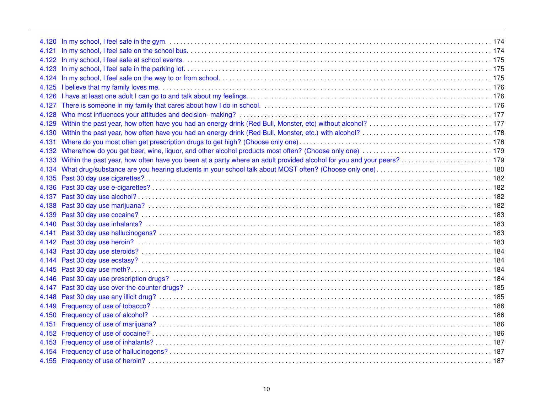| 4.125 |  |
|-------|--|
| 4.126 |  |
| 4.127 |  |
| 4.128 |  |
| 4.129 |  |
| 4.130 |  |
| 4.131 |  |
|       |  |
|       |  |
|       |  |
|       |  |
|       |  |
| 4.137 |  |
| 4.138 |  |
| 4.139 |  |
| 4.140 |  |
| 4.141 |  |
| 4.142 |  |
| 4.143 |  |
| 4.144 |  |
| 4.145 |  |
| 4.146 |  |
| 4.147 |  |
| 4.148 |  |
| 4.149 |  |
| 4.150 |  |
| 4.151 |  |
|       |  |
|       |  |
|       |  |
|       |  |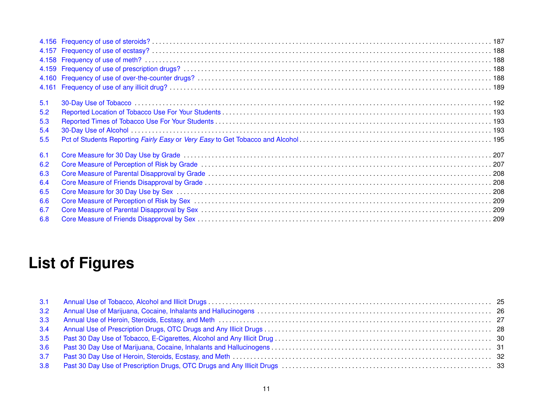| 5.1 |  |
|-----|--|
| 5.2 |  |
| 5.3 |  |
| 5.4 |  |
| 5.5 |  |
| 6.1 |  |
| 6.2 |  |
| 6.3 |  |
| 6.4 |  |
| 6.5 |  |
| 6.6 |  |
| 6.7 |  |
| 6.8 |  |

# **List of Figures**

| 3.2 |  |
|-----|--|
|     |  |
| 3.4 |  |
| 3.5 |  |
| 3.6 |  |
| 3.7 |  |
| 3.8 |  |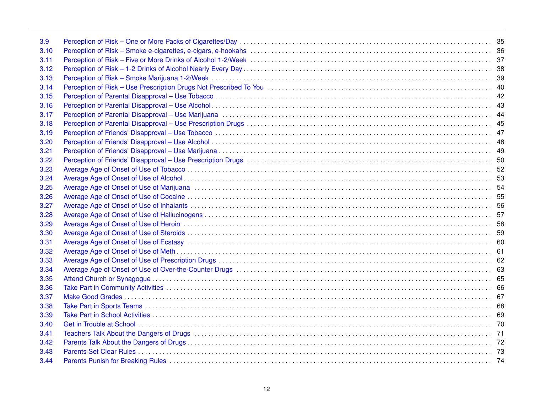| 3.9  |                                         |  |
|------|-----------------------------------------|--|
| 3.10 |                                         |  |
| 3.11 |                                         |  |
| 3.12 |                                         |  |
| 3.13 |                                         |  |
| 3.14 |                                         |  |
| 3.15 |                                         |  |
| 3.16 |                                         |  |
| 3.17 |                                         |  |
| 3.18 |                                         |  |
| 3.19 |                                         |  |
| 3.20 |                                         |  |
| 3.21 |                                         |  |
| 3.22 |                                         |  |
| 3.23 |                                         |  |
| 3.24 |                                         |  |
| 3.25 |                                         |  |
| 3.26 |                                         |  |
| 3.27 |                                         |  |
| 3.28 |                                         |  |
| 3.29 |                                         |  |
| 3.30 |                                         |  |
| 3.31 |                                         |  |
| 3.32 |                                         |  |
| 3.33 |                                         |  |
| 3.34 |                                         |  |
| 3.35 |                                         |  |
| 3.36 |                                         |  |
| 3.37 |                                         |  |
| 3.38 |                                         |  |
| 3.39 |                                         |  |
| 3.40 |                                         |  |
| 3.41 |                                         |  |
| 3.42 |                                         |  |
| 3.43 |                                         |  |
| 3.44 | Parents Punish for Breaking Rules<br>74 |  |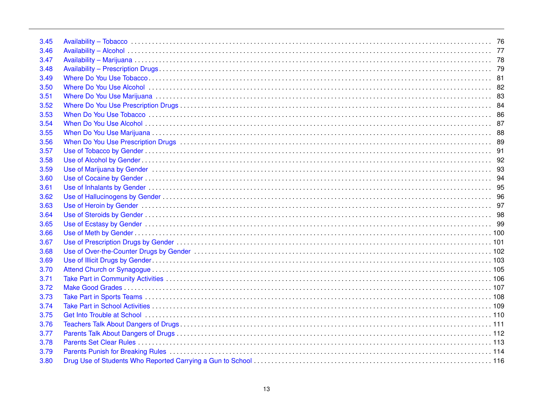| 3.45 |                                                                                                                |  |
|------|----------------------------------------------------------------------------------------------------------------|--|
| 3.46 |                                                                                                                |  |
| 3.47 |                                                                                                                |  |
| 3.48 |                                                                                                                |  |
| 3.49 |                                                                                                                |  |
| 3.50 |                                                                                                                |  |
| 3.51 |                                                                                                                |  |
| 3.52 |                                                                                                                |  |
| 3.53 |                                                                                                                |  |
| 3.54 |                                                                                                                |  |
| 3.55 |                                                                                                                |  |
| 3.56 |                                                                                                                |  |
| 3.57 |                                                                                                                |  |
| 3.58 |                                                                                                                |  |
| 3.59 |                                                                                                                |  |
| 3.60 |                                                                                                                |  |
| 3.61 |                                                                                                                |  |
| 3.62 |                                                                                                                |  |
| 3.63 |                                                                                                                |  |
| 3.64 |                                                                                                                |  |
| 3.65 |                                                                                                                |  |
| 3.66 |                                                                                                                |  |
| 3.67 |                                                                                                                |  |
| 3.68 |                                                                                                                |  |
| 3.69 |                                                                                                                |  |
| 3.70 |                                                                                                                |  |
| 3.71 |                                                                                                                |  |
| 3.72 |                                                                                                                |  |
| 3.73 |                                                                                                                |  |
| 3.74 |                                                                                                                |  |
| 3.75 | Get Into Trouble at School (1996) (1996) (1996) (1997) (1997) (1998) (1998) (1998) (1998) (1998) (1998) (1998) |  |
| 3.76 |                                                                                                                |  |
| 3.77 |                                                                                                                |  |
| 3.78 |                                                                                                                |  |
| 3.79 | Parents Punish for Breaking Rules<br>114                                                                       |  |
| 3.80 |                                                                                                                |  |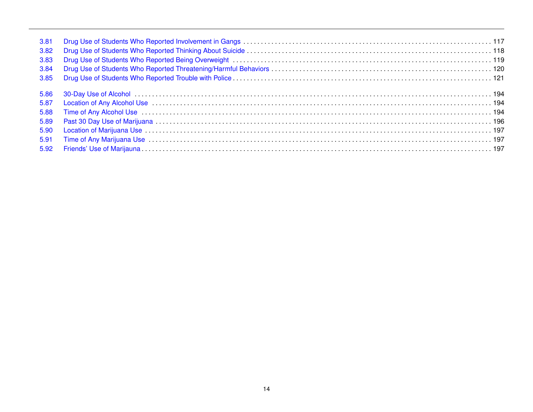| 3.81 |  |
|------|--|
| 3.82 |  |
| 3.83 |  |
| 3.84 |  |
| 3.85 |  |
| 5.86 |  |
| 5.87 |  |
| 5.88 |  |
| 5.89 |  |
| 5.90 |  |
| 5.91 |  |
| 5.92 |  |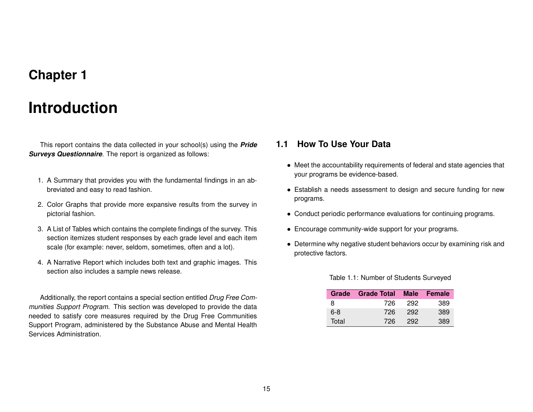## **Chapter 1**

## **Introduction**

<span id="page-14-0"></span>This report contains the data collected in your school(s) using the *Pride Surveys Questionnaire*. The report is organized as follows:

- 1. A Summary that provides you with the fundamental findings in an abbreviated and easy to read fashion.
- 2. Color Graphs that provide more expansive results from the survey in pictorial fashion.
- 3. A List of Tables which contains the complete findings of the survey. This section itemizes student responses by each grade level and each item scale (for example: never, seldom, sometimes, often and a lot).
- 4. A Narrative Report which includes both text and graphic images. This section also includes a sample news release.

Additionally, the report contains a special section entitled *Drug Free Communities Support Program*. This section was developed to provide the data needed to satisfy core measures required by the Drug Free Communities Support Program, administered by the Substance Abuse and Mental Health Services Administration.

### <span id="page-14-1"></span>**1.1 How To Use Your Data**

- Meet the accountability requirements of federal and state agencies that your programs be evidence-based.
- Establish a needs assessment to design and secure funding for new programs.
- Conduct periodic performance evaluations for continuing programs.
- Encourage community-wide support for your programs.
- <span id="page-14-2"></span>• Determine why negative student behaviors occur by examining risk and protective factors.

|       | Grade Grade Total Male Female |     |     |
|-------|-------------------------------|-----|-----|
| 8     | 726                           | 292 | 389 |
| 6-8   | 726                           | 292 | 389 |
| Total | 726                           | 292 | 389 |

#### Table 1.1: Number of Students Surveyed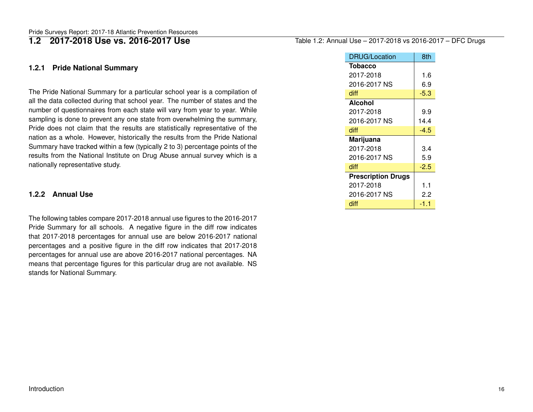### <span id="page-15-0"></span>**1.2 2017-2018 Use vs. 2016-2017 Use**

#### <span id="page-15-1"></span>**1.2.1 Pride National Summary**

The Pride National Summary for a particular school year is a compilation of all the data collected during that school year. The number of states and the number of questionnaires from each state will vary from year to year. While sampling is done to prevent any one state from overwhelming the summary, Pride does not claim that the results are statistically representative of the nation as a whole. However, historically the results from the Pride National Summary have tracked within a few (typically 2 to 3) percentage points of the results from the National Institute on Drug Abuse annual survey which is a nationally representative study.

#### <span id="page-15-2"></span>**1.2.2 Annual Use**

The following tables compare 2017-2018 annual use figures to the 2016-2017 Pride Summary for all schools. A negative figure in the diff row indicates that 2017-2018 percentages for annual use are below 2016-2017 national percentages and a positive figure in the diff row indicates that 2017-2018 percentages for annual use are above 2016-2017 national percentages. NA means that percentage figures for this particular drug are not available. NS stands for National Summary.

#### <span id="page-15-3"></span>Table 1.2: Annual Use – 2017-2018 vs 2016-2017 – DFC Drugs

| <b>DRUG/Location</b>      | 8th    |
|---------------------------|--------|
| <b>Tobacco</b>            |        |
| 2017-2018                 | 1.6    |
| 2016-2017 NS              | 6.9    |
| diff                      | $-5.3$ |
| <b>Alcohol</b>            |        |
| 2017-2018                 | 9.9    |
| 2016-2017 NS              | 14.4   |
| diff                      | -4.5   |
| Marijuana                 |        |
| 2017-2018                 | 3.4    |
| 2016-2017 NS              | 5.9    |
| diff                      | $-2.5$ |
| <b>Prescription Drugs</b> |        |
| 2017-2018                 | 1.1    |
| 2016-2017 NS              | 2.2    |
| diff                      | -1.1   |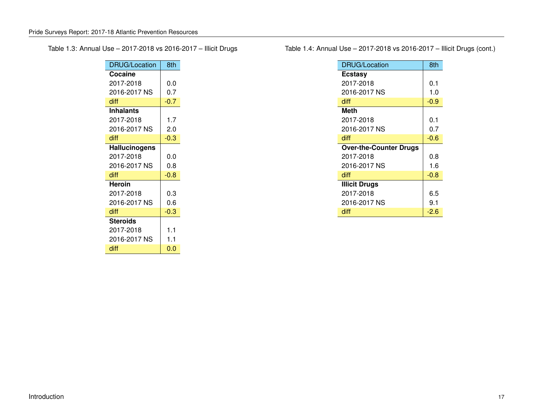<span id="page-16-0"></span>Table 1.3: Annual Use – 2017-2018 vs 2016-2017 – Illicit Drugs

| <b>DRUG/Location</b> | 8th    |
|----------------------|--------|
| Cocaine              |        |
| 2017-2018            | 0.0    |
| 2016-2017 NS         | 0.7    |
| diff                 | $-0.7$ |
| <b>Inhalants</b>     |        |
| 2017-2018            | 1.7    |
| 2016-2017 NS         | 2.0    |
| diff                 | $-0.3$ |
| <b>Hallucinogens</b> |        |
| 2017-2018            | 0.0    |
| 2016-2017 NS         | 0.8    |
| diff                 | $-0.8$ |
| <b>Heroin</b>        |        |
| 2017-2018            | 0.3    |
| 2016-2017 NS         | 0.6    |
| diff                 | $-0.3$ |
| <b>Steroids</b>      |        |
| 2017-2018            | 1.1    |
| 2016-2017 NS         | 1.1    |
| diff                 | 0.0    |

<span id="page-16-1"></span>Table 1.4: Annual Use – 2017-2018 vs 2016-2017 – Illicit Drugs (cont.)

| <b>DRUG/Location</b>          | 8th    |
|-------------------------------|--------|
| <b>Ecstasy</b>                |        |
| 2017-2018                     | 0.1    |
| 2016-2017 NS                  | 1.0    |
| diff                          | $-0.9$ |
| <b>Meth</b>                   |        |
| 2017-2018                     | 0.1    |
| 2016-2017 NS                  | 0.7    |
| diff                          | $-0.6$ |
| <b>Over-the-Counter Drugs</b> |        |
| 2017-2018                     | 0.8    |
| 2016-2017 NS                  | 1.6    |
| diff                          | $-0.8$ |
| <b>Illicit Drugs</b>          |        |
| 2017-2018                     | 6.5    |
| 2016-2017 NS                  | 9.1    |
| diff                          | $-2.6$ |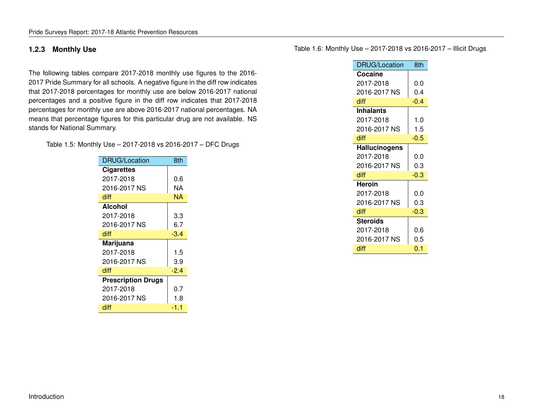#### <span id="page-17-0"></span>**1.2.3 Monthly Use**

The following tables compare 2017-2018 monthly use figures to the 2016- 2017 Pride Summary for all schools. A negative figure in the diff row indicates that 2017-2018 percentages for monthly use are below 2016-2017 national percentages and a positive figure in the diff row indicates that 2017-2018 percentages for monthly use are above 2016-2017 national percentages. NA means that percentage figures for this particular drug are not available. NS stands for National Summary.

<span id="page-17-1"></span>Table 1.5: Monthly Use – 2017-2018 vs 2016-2017 – DFC Drugs

| DRUG/Location             | 8th    |
|---------------------------|--------|
| <b>Cigarettes</b>         |        |
| 2017-2018                 | 0.6    |
| 2016-2017 NS              | NA     |
| diff                      | ΝA     |
| <b>Alcohol</b>            |        |
| 2017-2018                 | 3.3    |
| 2016-2017 NS              | 6.7    |
| diff                      | $-3.4$ |
| Marijuana                 |        |
| 2017-2018                 | 1.5    |
| 2016-2017 NS              | 3.9    |
| diff                      | $-2.4$ |
| <b>Prescription Drugs</b> |        |
| 2017-2018                 | 0.7    |
| 2016-2017 NS              | 1.8    |
| diff                      | -1.1   |
|                           |        |

<span id="page-17-2"></span>Table 1.6: Monthly Use – 2017-2018 vs 2016-2017 – Illicit Drugs

| Cocaine<br>2017-2018<br>0.0<br>2016-2017 NS<br>0.4<br>diff<br>$-0.4$<br><b>Inhalants</b><br>1.0<br>2017-2018<br>2016-2017 NS<br>1.5<br>diff<br>-0.5<br><b>Hallucinogens</b><br>2017-2018<br>0.0<br>2016-2017 NS<br>0.3<br>diff<br>$-0.3$<br>Heroin<br>2017-2018<br>0.0<br>2016-2017 NS<br>0.3<br>diff<br>$-0.3$<br><b>Steroids</b><br>2017-2018<br>0.6<br>2016-2017 NS<br>0.5<br>0.1 | <b>DRUG/Location</b> | 8th |
|--------------------------------------------------------------------------------------------------------------------------------------------------------------------------------------------------------------------------------------------------------------------------------------------------------------------------------------------------------------------------------------|----------------------|-----|
|                                                                                                                                                                                                                                                                                                                                                                                      |                      |     |
|                                                                                                                                                                                                                                                                                                                                                                                      |                      |     |
|                                                                                                                                                                                                                                                                                                                                                                                      |                      |     |
|                                                                                                                                                                                                                                                                                                                                                                                      |                      |     |
|                                                                                                                                                                                                                                                                                                                                                                                      |                      |     |
|                                                                                                                                                                                                                                                                                                                                                                                      |                      |     |
|                                                                                                                                                                                                                                                                                                                                                                                      |                      |     |
|                                                                                                                                                                                                                                                                                                                                                                                      |                      |     |
|                                                                                                                                                                                                                                                                                                                                                                                      |                      |     |
|                                                                                                                                                                                                                                                                                                                                                                                      |                      |     |
|                                                                                                                                                                                                                                                                                                                                                                                      |                      |     |
|                                                                                                                                                                                                                                                                                                                                                                                      |                      |     |
|                                                                                                                                                                                                                                                                                                                                                                                      |                      |     |
|                                                                                                                                                                                                                                                                                                                                                                                      |                      |     |
|                                                                                                                                                                                                                                                                                                                                                                                      |                      |     |
|                                                                                                                                                                                                                                                                                                                                                                                      |                      |     |
|                                                                                                                                                                                                                                                                                                                                                                                      |                      |     |
|                                                                                                                                                                                                                                                                                                                                                                                      |                      |     |
|                                                                                                                                                                                                                                                                                                                                                                                      |                      |     |
|                                                                                                                                                                                                                                                                                                                                                                                      | diff                 |     |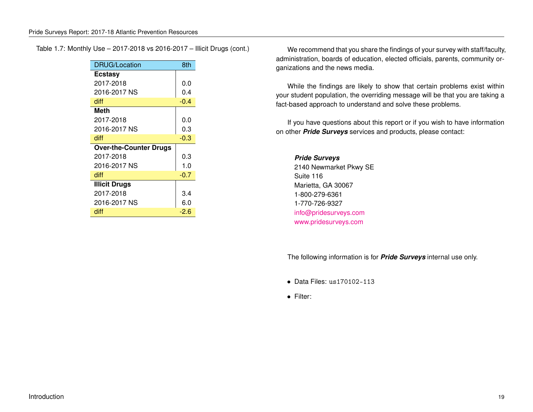<span id="page-18-0"></span>Table 1.7: Monthly Use – 2017-2018 vs 2016-2017 – Illicit Drugs (cont.)

| DRUG/Location                 | 8th    |
|-------------------------------|--------|
| <b>Ecstasy</b>                |        |
| 2017-2018                     | 0.0    |
| 2016-2017 NS                  | 0.4    |
| diff                          | $-0.4$ |
| Meth                          |        |
| 2017-2018                     | 0.0    |
| 2016-2017 NS                  | 0.3    |
| diff                          | $-0.3$ |
| <b>Over-the-Counter Drugs</b> |        |
| 2017-2018                     | 0.3    |
| 2016-2017 NS                  | 1.0    |
| diff                          | $-0.7$ |
| <b>Illicit Drugs</b>          |        |
| 2017-2018                     | 3.4    |
| 2016-2017 NS                  | 6.0    |
| diff                          | $-2.6$ |

We recommend that you share the findings of your survey with staff/faculty, administration, boards of education, elected officials, parents, community organizations and the news media.

While the findings are likely to show that certain problems exist within your student population, the overriding message will be that you are taking a fact-based approach to understand and solve these problems.

If you have questions about this report or if you wish to have information on other *Pride Surveys* services and products, please contact:

*Pride Surveys* 2140 Newmarket Pkwy SE Suite 116 Marietta, GA 30067 1-800-279-6361 1-770-726-9327 [info@pridesurveys.com](mailto:info@pridesurveys.com) [www.pridesurveys.com](http://www.pridesurveys.com)

The following information is for *Pride Surveys* internal use only.

- Data Files: us170102-113
- Filter: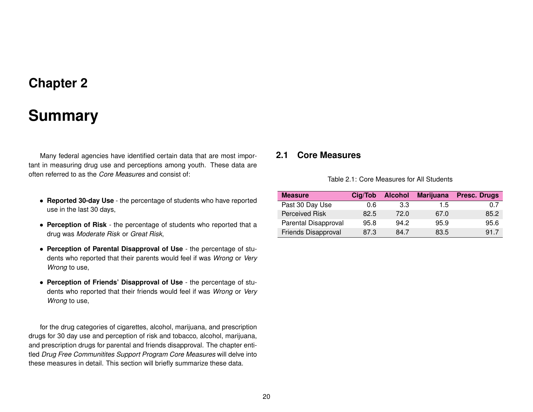## **Chapter 2**

## **Summary**

<span id="page-19-0"></span>Many federal agencies have identified certain data that are most important in measuring drug use and perceptions among youth. These data are often referred to as the *Core Measures* and consist of:

- **Reported 30-day Use** the percentage of students who have reported use in the last 30 days,
- **Perception of Risk** the percentage of students who reported that a drug was *Moderate Risk* or *Great Risk*,
- **Perception of Parental Disapproval of Use** the percentage of students who reported that their parents would feel if was *Wrong* or *Very Wrong* to use,
- **Perception of Friends' Disapproval of Use** the percentage of students who reported that their friends would feel if was *Wrong* or *Very Wrong* to use,

for the drug categories of cigarettes, alcohol, marijuana, and prescription drugs for 30 day use and perception of risk and tobacco, alcohol, marijuana, and prescription drugs for parental and friends disapproval. The chapter entitled *Drug Free Communitites Support Program Core Measures* will delve into these measures in detail. This section will briefly summarize these data.

### <span id="page-19-2"></span><span id="page-19-1"></span>**2.1 Core Measures**

Table 2.1: Core Measures for All Students

| <b>Measure</b>       | Cig/Tob | <b>Alcohol</b> | <b>Marijuana</b> | <b>Presc. Drugs</b> |
|----------------------|---------|----------------|------------------|---------------------|
| Past 30 Day Use      | 0.6     | 3.3            | $1.5^{\circ}$    | 0.7                 |
| Perceived Risk       | 82.5    | 72.0           | 67.0             | 85.2                |
| Parental Disapproval | 95.8    | 94.2           | 95.9             | 95.6                |
| Friends Disapproval  | 87.3    | 84.7           | 83.5             | 91.7                |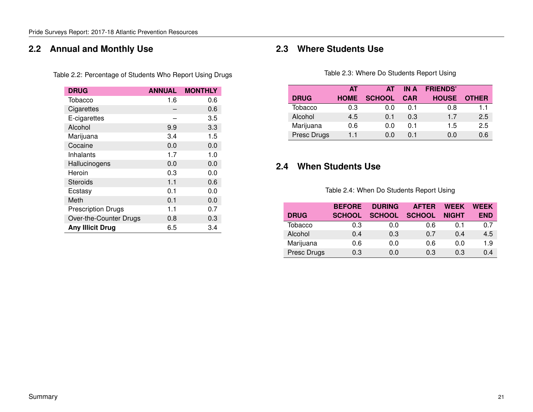### <span id="page-20-3"></span><span id="page-20-0"></span>**2.2 Annual and Monthly Use**

| Table 2.2: Percentage of Students Who Report Using Drugs |  |  |  |
|----------------------------------------------------------|--|--|--|
|                                                          |  |  |  |

| <b>DRUG</b>               | <b>ANNUAL</b> | <b>MONTHLY</b> |
|---------------------------|---------------|----------------|
| Tobacco                   | 1.6           | 0.6            |
| Cigarettes                |               | 0.6            |
| E-cigarettes              |               | 3.5            |
| Alcohol                   | 9.9           | 3.3            |
| Marijuana                 | 3.4           | 1.5            |
| Cocaine                   | 0.0           | 0.0            |
| Inhalants                 | 1.7           | 1.0            |
| Hallucinogens             | 0.0           | 0.0            |
| Heroin                    | 0.3           | 0.0            |
| Steroids                  | 1.1           | 0.6            |
| Ecstasy                   | 0.1           | 0.0            |
| Meth                      | 0.1           | 0.0            |
| <b>Prescription Drugs</b> | 1.1           | 0.7            |
| Over-the-Counter Drugs    | 0.8           | 0.3            |
| <b>Any Illicit Drug</b>   | 6.5           | 3.4            |

### <span id="page-20-4"></span><span id="page-20-1"></span>**2.3 Where Students Use**

Table 2.3: Where Do Students Report Using

|             | АT          | <b>AT</b>     | IN A           | <b>FRIENDS'</b> |              |
|-------------|-------------|---------------|----------------|-----------------|--------------|
| <b>DRUG</b> | <b>HOME</b> | <b>SCHOOL</b> | <b>CAR</b>     | <b>HOUSE</b>    | <b>OTHER</b> |
| Tobacco     | 0.3         | 0.0           | O 1            | 0.8             | 11           |
| Alcohol     | 4.5         | 0 1           | 0.3            | 1.7             | 2.5          |
| Marijuana   | 0.6         | 0.0           | ດ 1            | 1.5             | 2.5          |
| Presc Drugs | 1.1         | ი ი           | 0 <sub>1</sub> | 0.0             | 0.6          |

### <span id="page-20-5"></span><span id="page-20-2"></span>**2.4 When Students Use**

| Table 2.4: When Do Students Report Using |  |  |  |  |  |
|------------------------------------------|--|--|--|--|--|
|------------------------------------------|--|--|--|--|--|

|             | <b>BEFORE</b> | <b>DURING</b> | <b>AFTER</b>  | <b>WEEK</b>  | <b>WEEK</b> |
|-------------|---------------|---------------|---------------|--------------|-------------|
| <b>DRUG</b> | <b>SCHOOL</b> | <b>SCHOOL</b> | <b>SCHOOL</b> | <b>NIGHT</b> | <b>END</b>  |
| Tobacco     | 0.3           | 0.0           | 0.6           | 0.1          | 0.7         |
| Alcohol     | 0.4           | 0.3           | 0.7           | 0.4          | 4.5         |
| Marijuana   | 0.6           | 0.0           | 0.6           | 0.0          | 1.9         |
| Presc Drugs | 0.3           | 0.0           | 0.3           | 0.3          | 0.4         |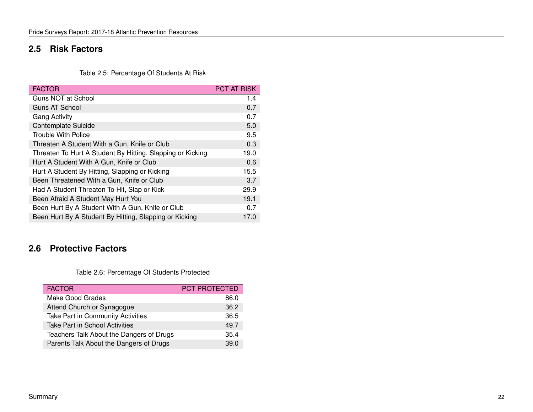### <span id="page-21-0"></span>**2.5 Risk Factors**

Table 2.5: Percentage Of Students At Risk

<span id="page-21-2"></span>

| <b>FACTOR</b>                                              | <b>PCT AT RISK</b> |
|------------------------------------------------------------|--------------------|
| Guns NOT at School                                         | 1.4                |
| Guns AT School                                             | 0.7                |
| <b>Gang Activity</b>                                       | 0.7                |
| Contemplate Suicide                                        | 5.0                |
| Trouble With Police                                        | 9.5                |
| Threaten A Student With a Gun, Knife or Club               | 0.3                |
| Threaten To Hurt A Student By Hitting, Slapping or Kicking | 19.0               |
| Hurt A Student With A Gun, Knife or Club                   | 0.6                |
| Hurt A Student By Hitting, Slapping or Kicking             | 15.5               |
| Been Threatened With a Gun, Knife or Club                  | 3.7                |
| Had A Student Threaten To Hit, Slap or Kick                | 29.9               |
| Been Afraid A Student May Hurt You                         | 19.1               |
| Been Hurt By A Student With A Gun, Knife or Club           | 0.7                |
| Been Hurt By A Student By Hitting, Slapping or Kicking     | 17.0               |

### <span id="page-21-3"></span><span id="page-21-1"></span>**2.6 Protective Factors**

Table 2.6: Percentage Of Students Protected

| <b>FACTOR</b>                            | <b>PCT PROTECTED</b> |
|------------------------------------------|----------------------|
| Make Good Grades                         | 86.0                 |
| Attend Church or Synagogue               | 36.2                 |
| Take Part in Community Activities        | 36.5                 |
| <b>Take Part in School Activities</b>    | 49.7                 |
| Teachers Talk About the Dangers of Drugs | 35.4                 |
| Parents Talk About the Dangers of Drugs  | 39.0                 |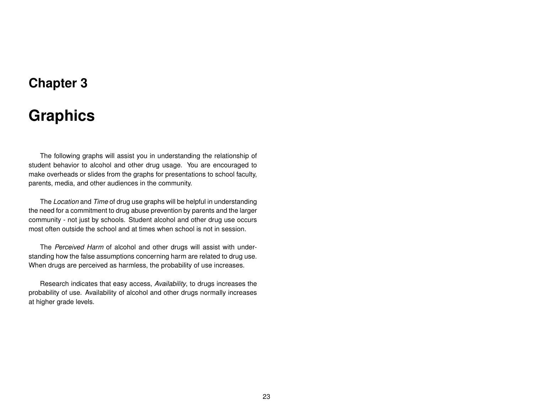## **Chapter 3**

## **Graphics**

<span id="page-22-0"></span>The following graphs will assist you in understanding the relationship of student behavior to alcohol and other drug usage. You are encouraged to make overheads or slides from the graphs for presentations to school faculty, parents, media, and other audiences in the community.

The *Location* and *Time* of drug use graphs will be helpful in understanding the need for a commitment to drug abuse prevention by parents and the larger community - not just by schools. Student alcohol and other drug use occurs most often outside the school and at times when school is not in session.

The *Perceived Harm* of alcohol and other drugs will assist with understanding how the false assumptions concerning harm are related to drug use. When drugs are perceived as harmless, the probability of use increases.

Research indicates that easy access, *Availability*, to drugs increases the probability of use. Availability of alcohol and other drugs normally increases at higher grade levels.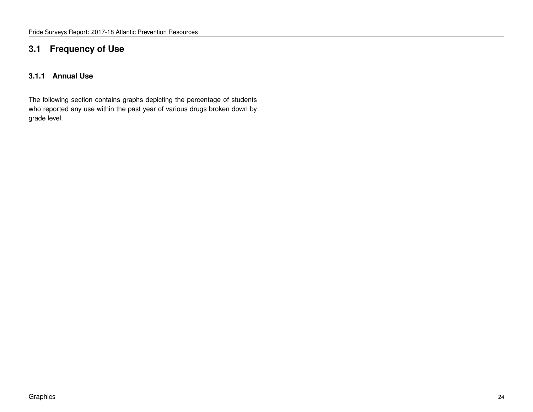### <span id="page-23-0"></span>**3.1 Frequency of Use**

### <span id="page-23-1"></span>**3.1.1 Annual Use**

The following section contains graphs depicting the percentage of students who reported any use within the past year of various drugs broken down by grade level.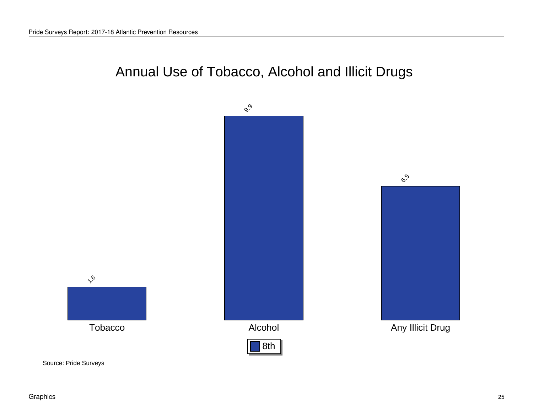# Annual Use of Tobacco, Alcohol and Illicit Drugs

<span id="page-24-0"></span>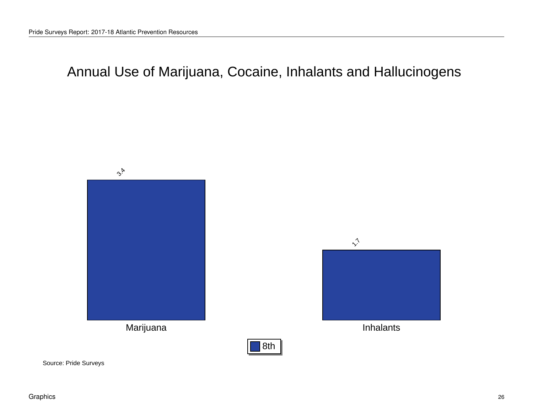<span id="page-25-0"></span>Annual Use of Marijuana, Cocaine, Inhalants and Hallucinogens





8th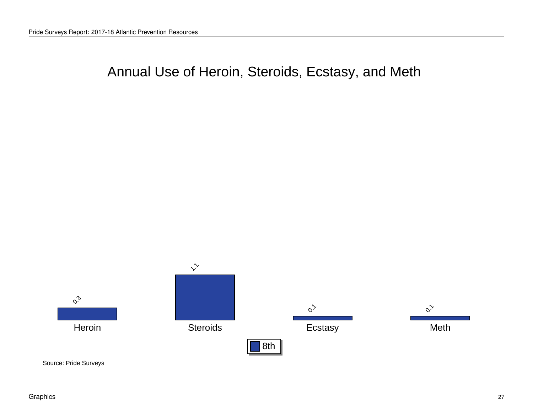## <span id="page-26-0"></span>Annual Use of Heroin, Steroids, Ecstasy, and Meth



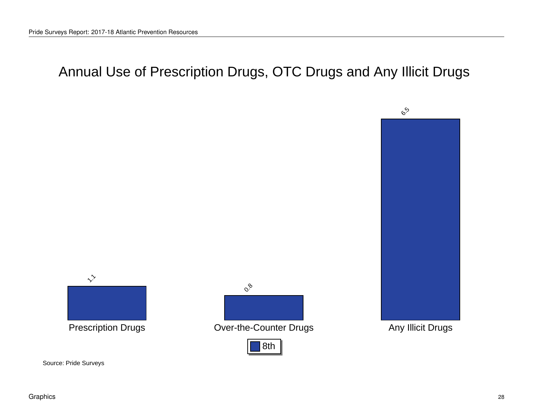# <span id="page-27-0"></span>Annual Use of Prescription Drugs, OTC Drugs and Any Illicit Drugs





 $\circ^8$ 

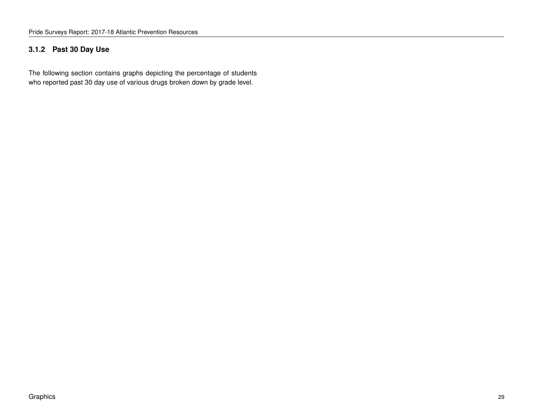### <span id="page-28-0"></span>**3.1.2 Past 30 Day Use**

The following section contains graphs depicting the percentage of students who reported past 30 day use of various drugs broken down by grade level.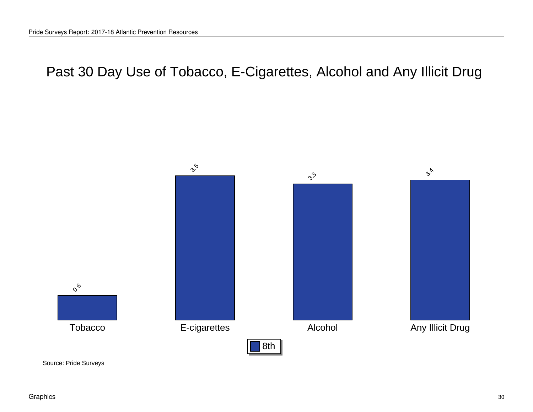## <span id="page-29-0"></span>Past 30 Day Use of Tobacco, E-Cigarettes, Alcohol and Any Illicit Drug

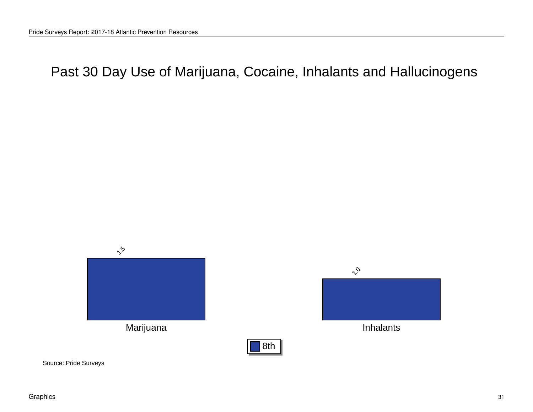<span id="page-30-0"></span>Past 30 Day Use of Marijuana, Cocaine, Inhalants and Hallucinogens

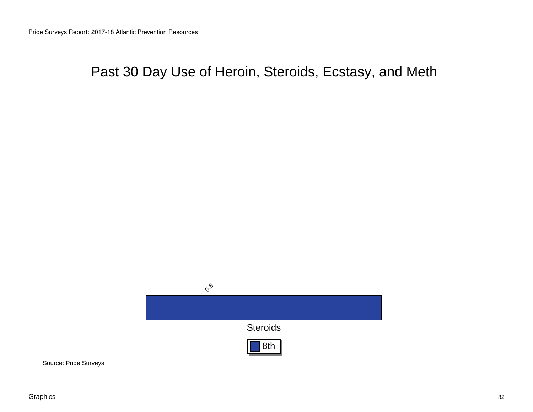## <span id="page-31-0"></span>Past 30 Day Use of Heroin, Steroids, Ecstasy, and Meth

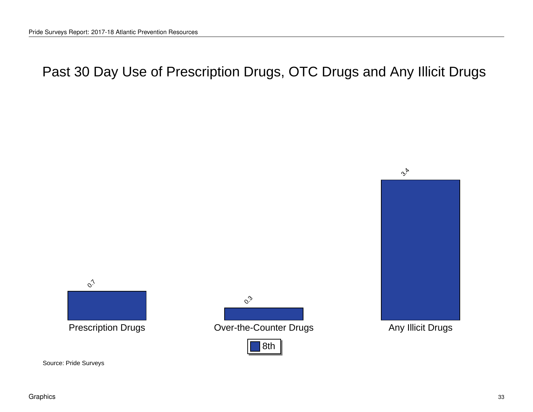# <span id="page-32-0"></span>Past 30 Day Use of Prescription Drugs, OTC Drugs and Any Illicit Drugs





Prescription Drugs **Constanting Counter Counter Drugs** Any Illicit Drugs  $\mathcal{S}^3$ 

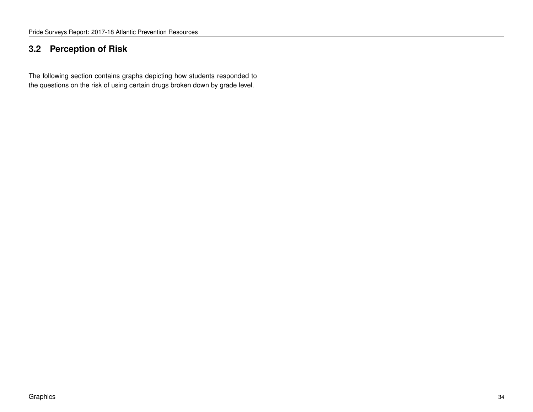### <span id="page-33-0"></span>**3.2 Perception of Risk**

The following section contains graphs depicting how students responded to the questions on the risk of using certain drugs broken down by grade level.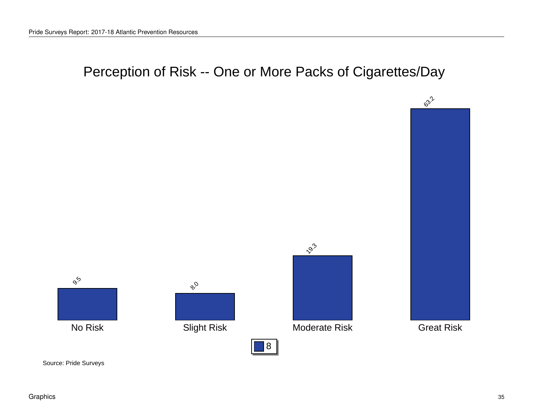# Perception of Risk -- One or More Packs of Cigarettes/Day

<span id="page-34-0"></span>





 $55$ 



Source: Pride Surveys

Graphics 35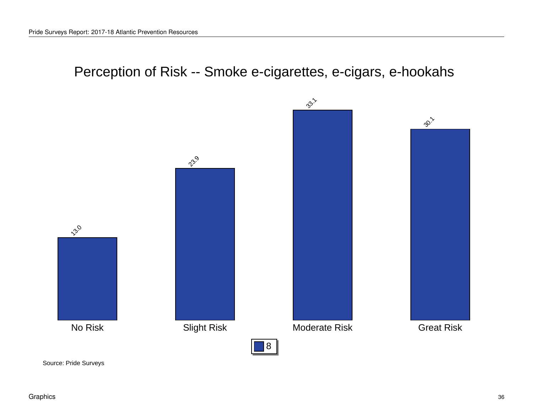## Perception of Risk -- Smoke e-cigarettes, e-cigars, e-hookahs

<span id="page-35-0"></span>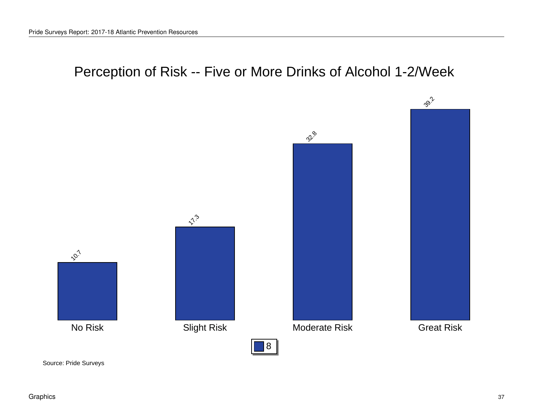## Perception of Risk -- Five or More Drinks of Alcohol 1-2/Week

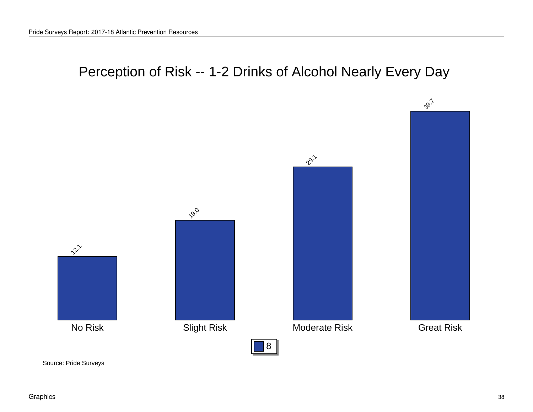# Perception of Risk -- 1-2 Drinks of Alcohol Nearly Every Day

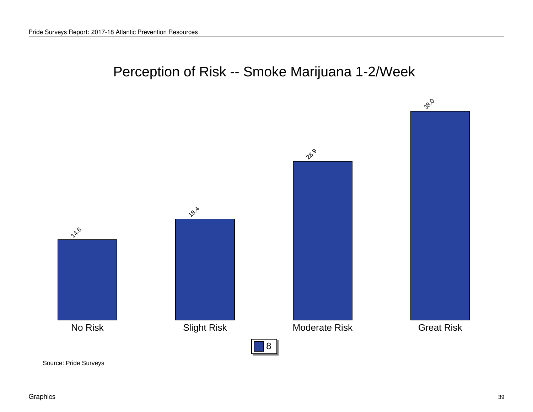

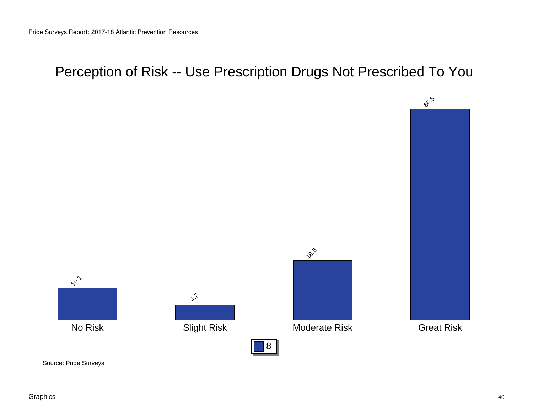# Perception of Risk -- Use Prescription Drugs Not Prescribed To You









18.8

8

Source: Pride Surveys

Graphics 40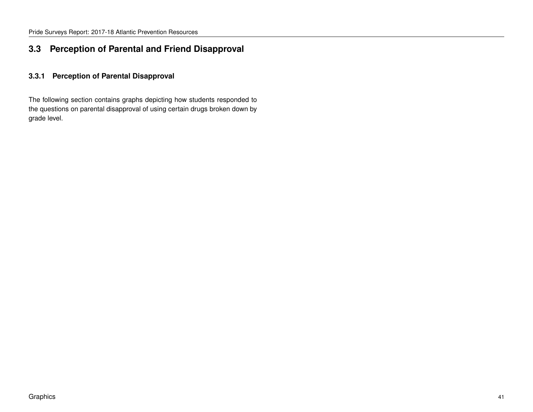#### **3.3 Perception of Parental and Friend Disapproval**

#### **3.3.1 Perception of Parental Disapproval**

The following section contains graphs depicting how students responded to the questions on parental disapproval of using certain drugs broken down by grade level.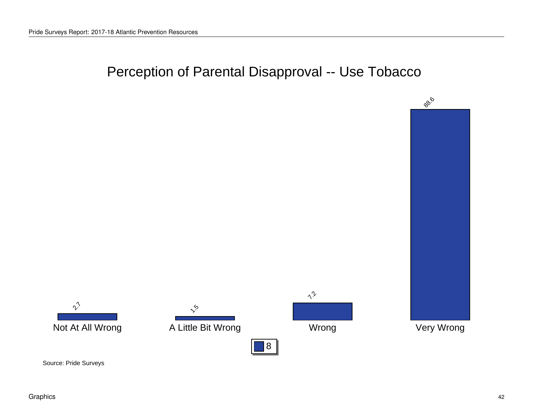## Perception of Parental Disapproval -- Use Tobacco

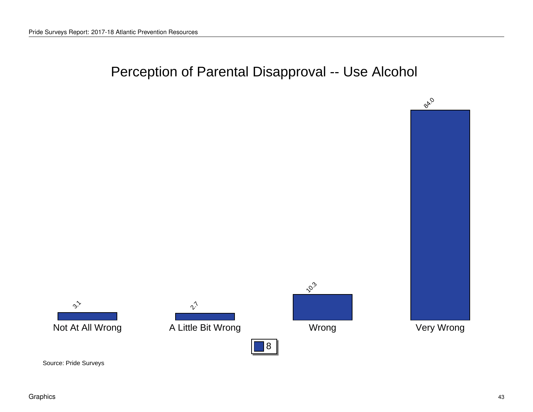# Perception of Parental Disapproval -- Use Alcohol

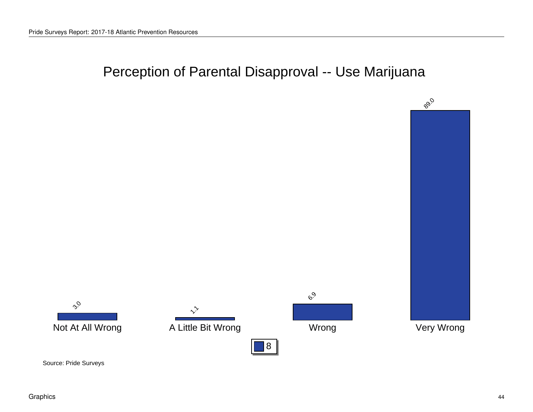# Perception of Parental Disapproval -- Use Marijuana

8









Source: Pride Surveys

Graphics 44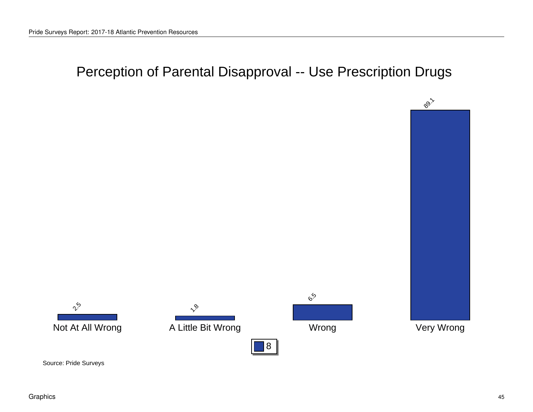# Perception of Parental Disapproval -- Use Prescription Drugs









 $e_{\infty}^{\circ}$ 

8

Source: Pride Surveys

Graphics 45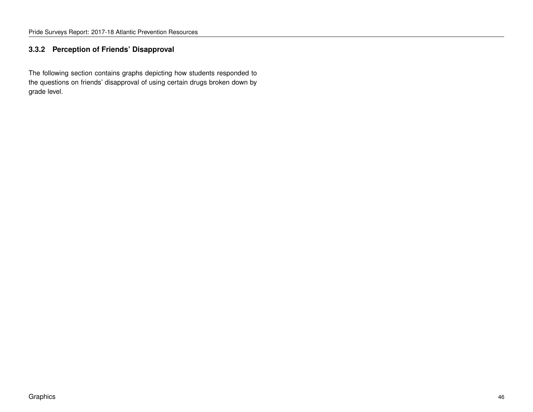#### **3.3.2 Perception of Friends' Disapproval**

The following section contains graphs depicting how students responded to the questions on friends' disapproval of using certain drugs broken down by grade level.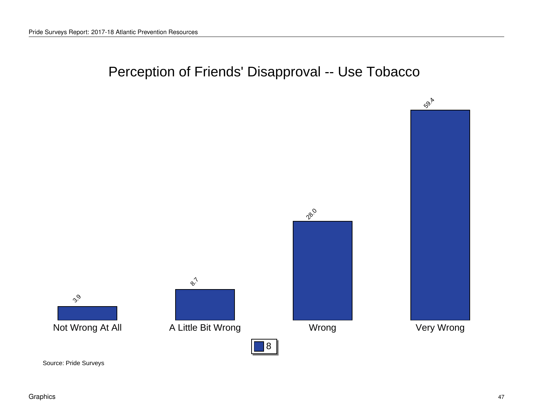# Perception of Friends' Disapproval -- Use Tobacco

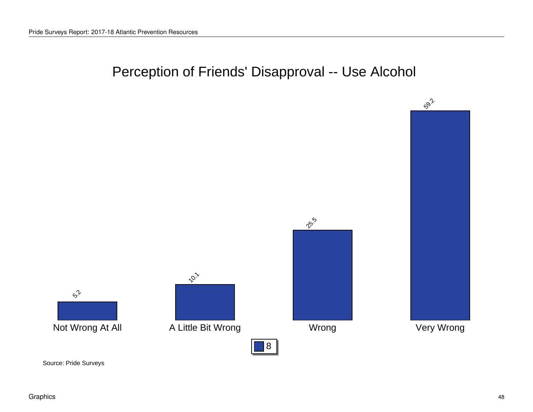## Perception of Friends' Disapproval -- Use Alcohol

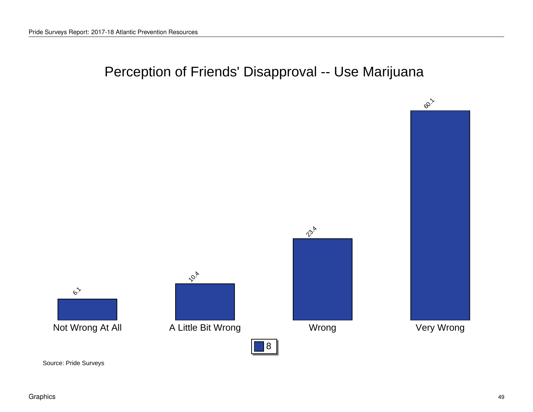# Perception of Friends' Disapproval -- Use Marijuana

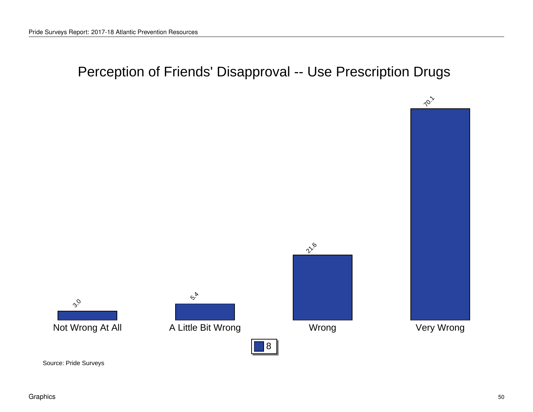# Perception of Friends' Disapproval -- Use Prescription Drugs



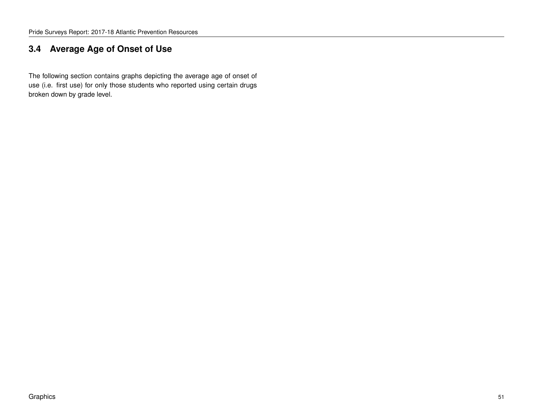#### **3.4 Average Age of Onset of Use**

The following section contains graphs depicting the average age of onset of use (i.e. first use) for only those students who reported using certain drugs broken down by grade level.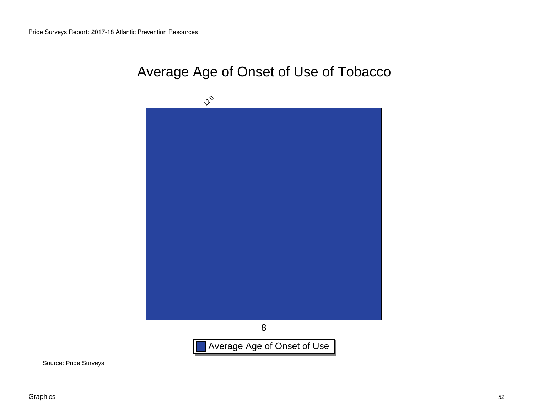#### Average Age of Onset of Use of Tobacco

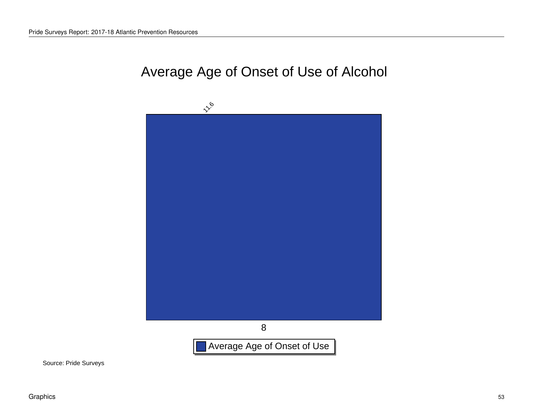## Average Age of Onset of Use of Alcohol

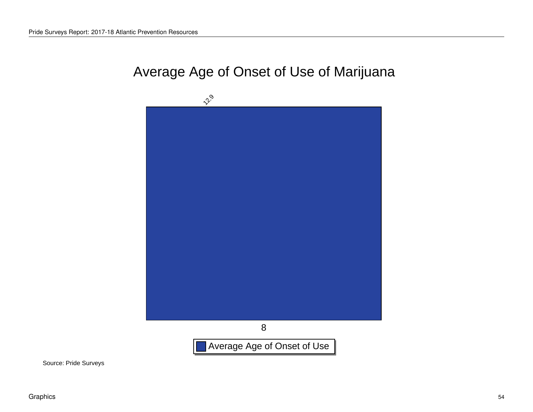#### Average Age of Onset of Use of Marijuana

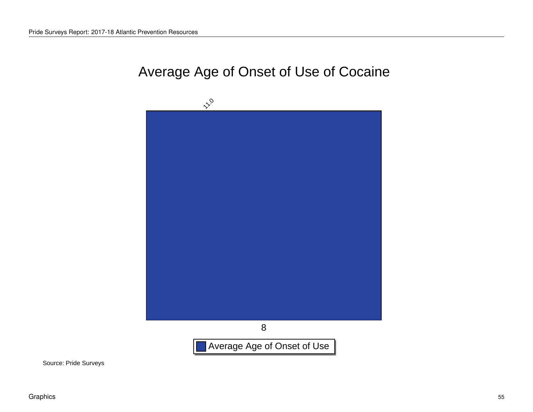## Average Age of Onset of Use of Cocaine

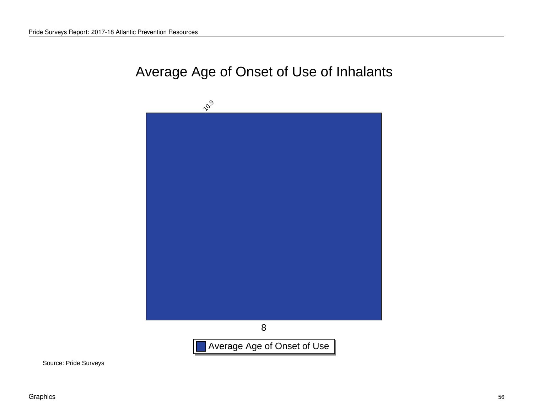#### Average Age of Onset of Use of Inhalants

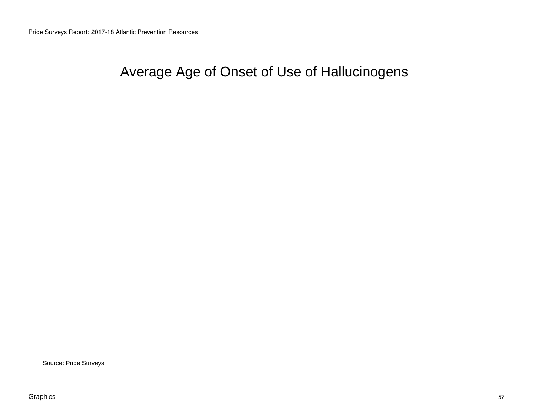# Average Age of Onset of Use of Hallucinogens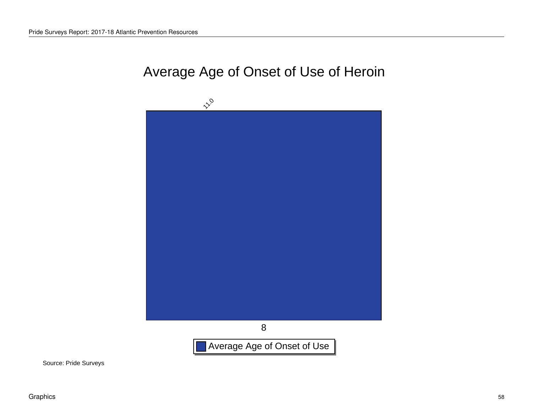## Average Age of Onset of Use of Heroin

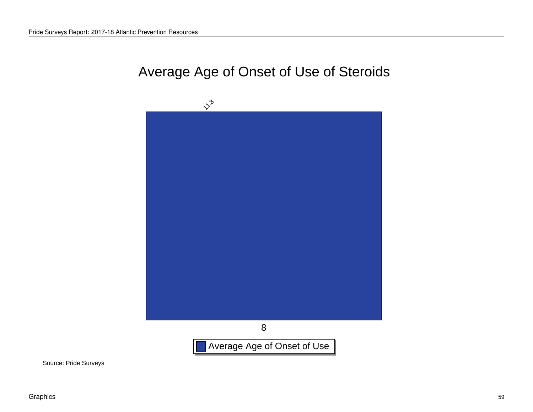## Average Age of Onset of Use of Steroids

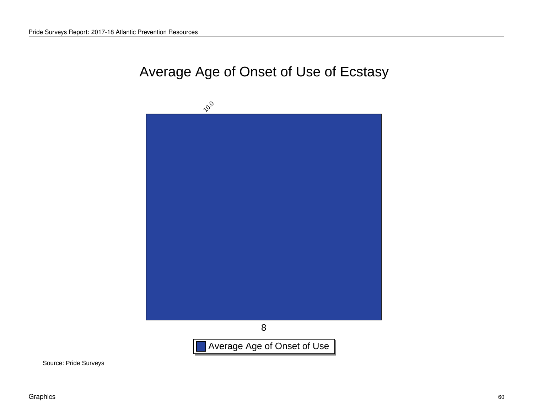# Average Age of Onset of Use of Ecstasy

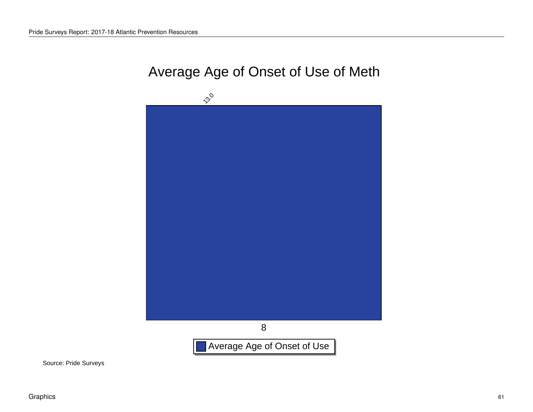# Average Age of Onset of Use of Meth

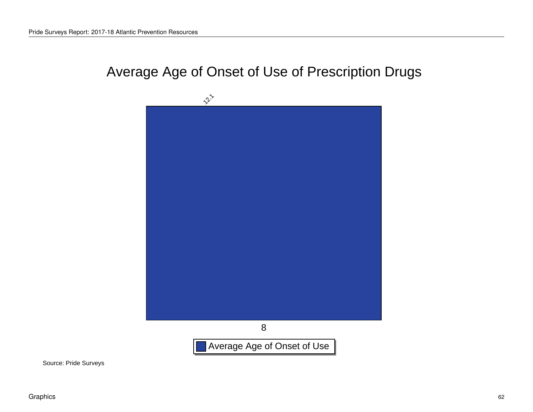# Average Age of Onset of Use of Prescription Drugs

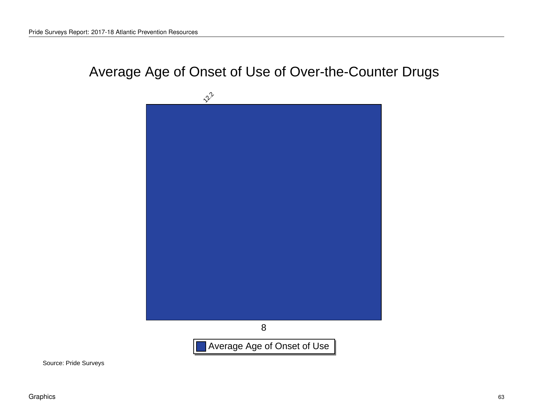# Average Age of Onset of Use of Over-the-Counter Drugs

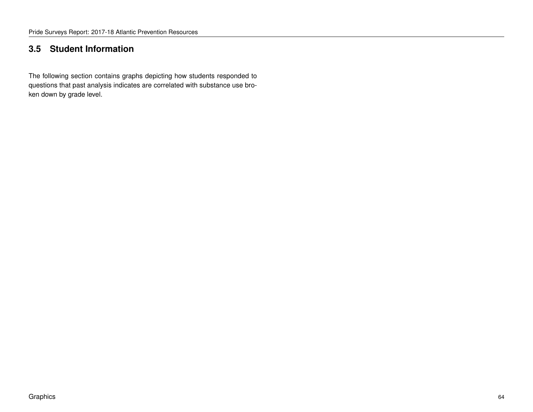#### **3.5 Student Information**

The following section contains graphs depicting how students responded to questions that past analysis indicates are correlated with substance use broken down by grade level.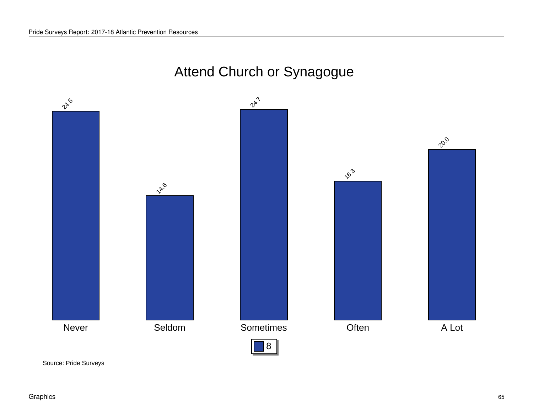# Attend Church or Synagogue

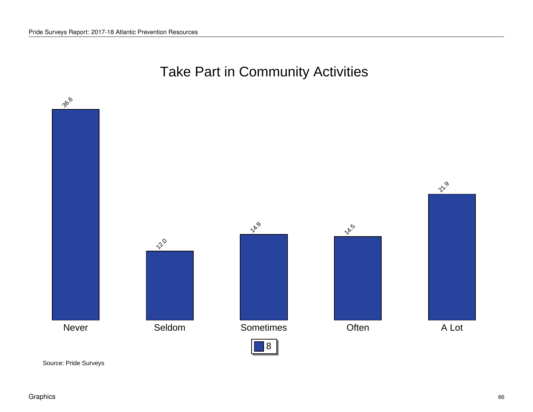# Take Part in Community Activities

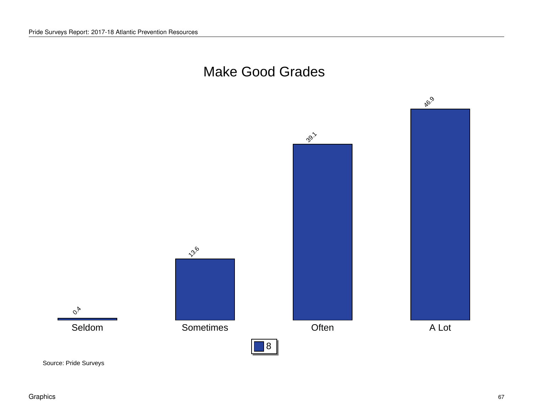

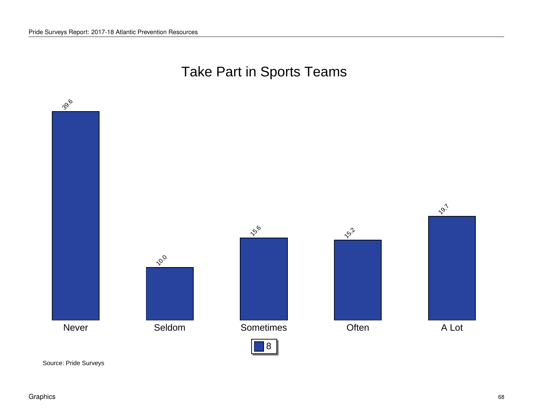# Take Part in Sports Teams

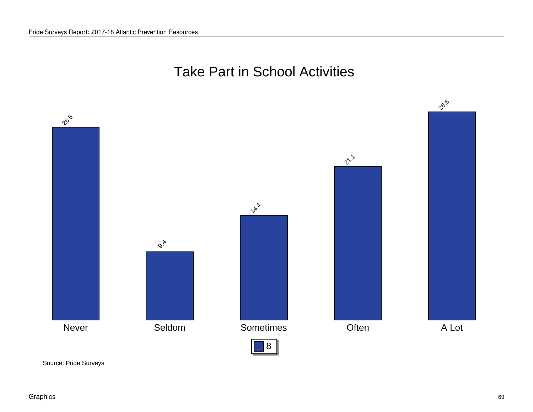#### Take Part in School Activities

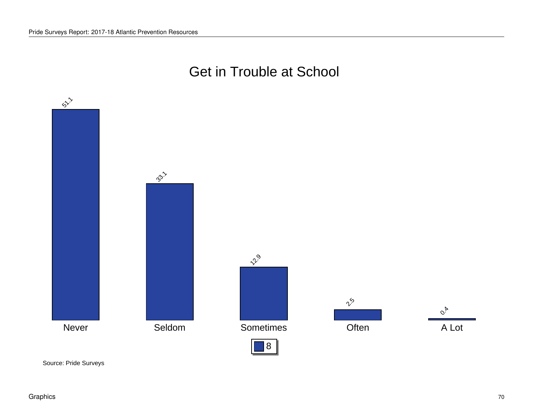#### Get in Trouble at School

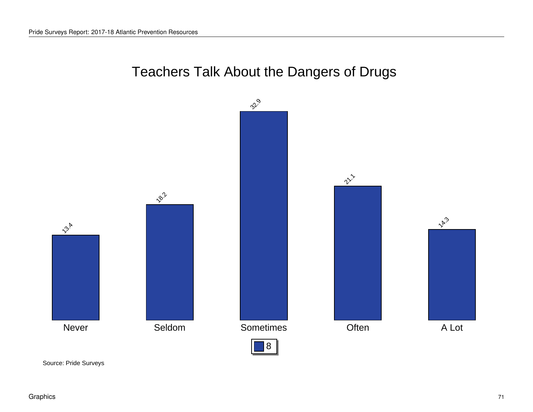# Teachers Talk About the Dangers of Drugs

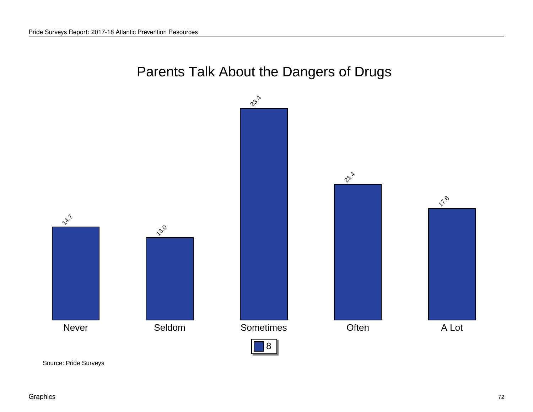# Parents Talk About the Dangers of Drugs

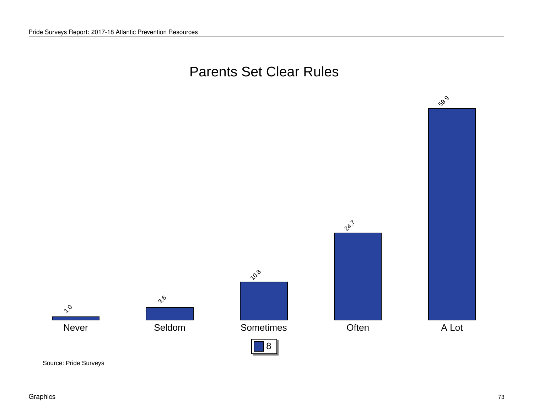#### Parents Set Clear Rules

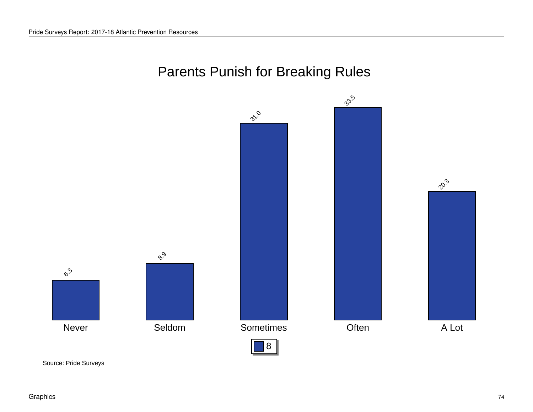## Parents Punish for Breaking Rules

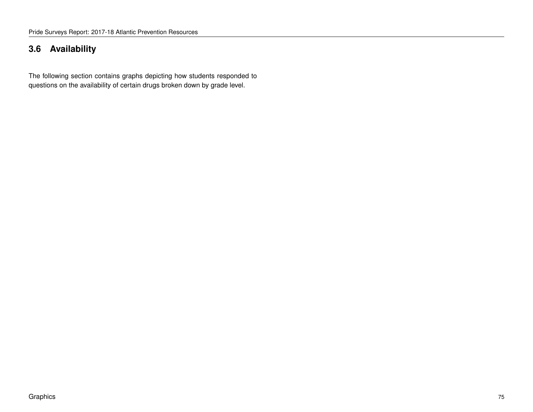#### **3.6 Availability**

The following section contains graphs depicting how students responded to questions on the availability of certain drugs broken down by grade level.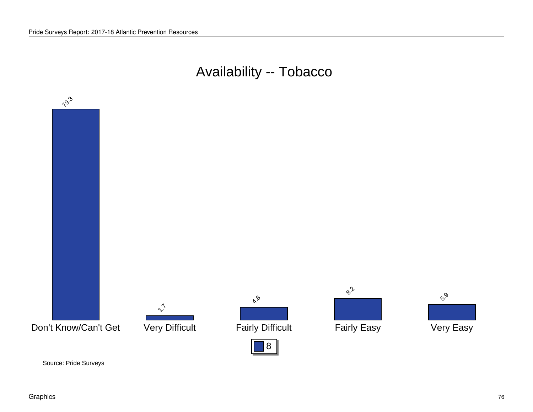#### Availability -- Tobacco

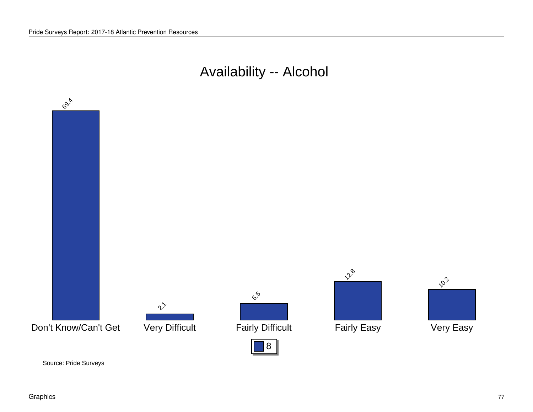## Availability -- Alcohol

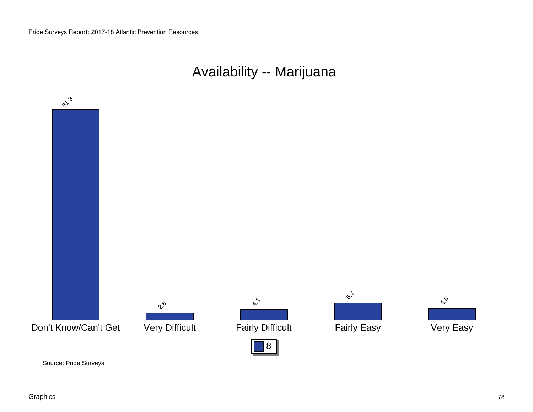## Availability -- Marijuana

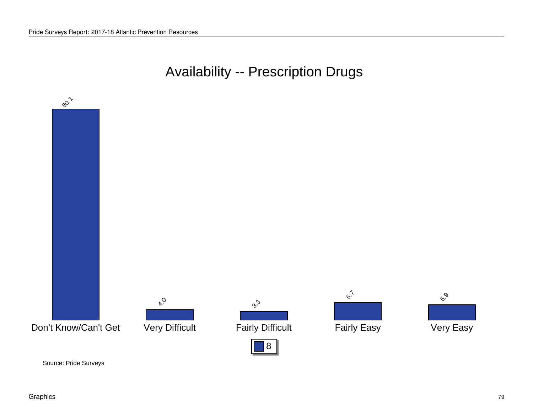### Availability -- Prescription Drugs

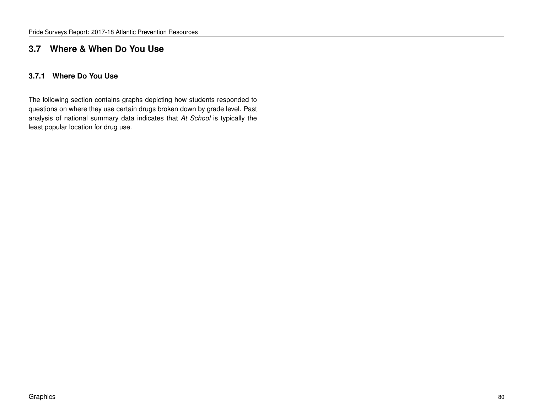#### **3.7 Where & When Do You Use**

#### **3.7.1 Where Do You Use**

The following section contains graphs depicting how students responded to questions on where they use certain drugs broken down by grade level. Past analysis of national summary data indicates that *At School* is typically the least popular location for drug use.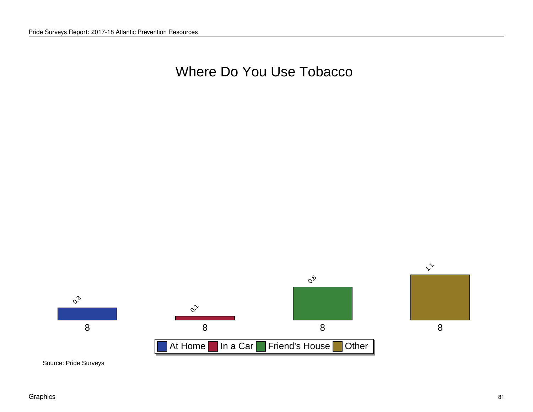#### Where Do You Use Tobacco

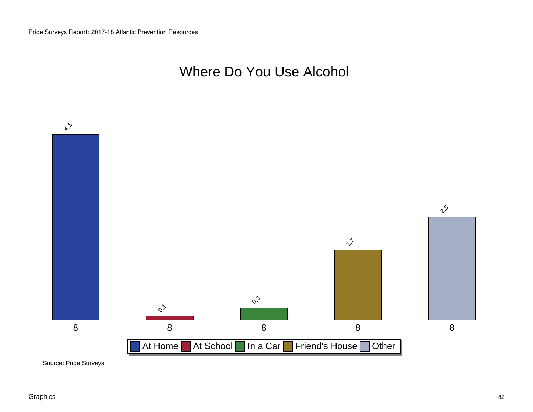#### Where Do You Use Alcohol

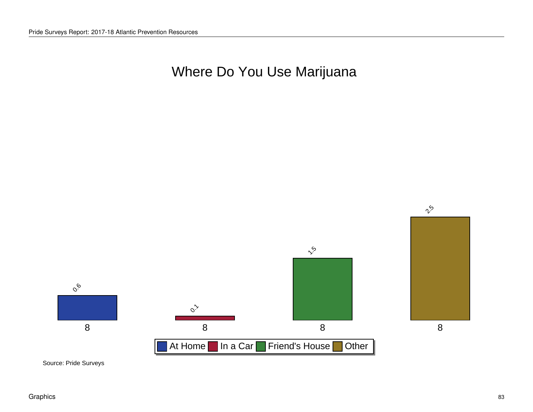## Where Do You Use Marijuana

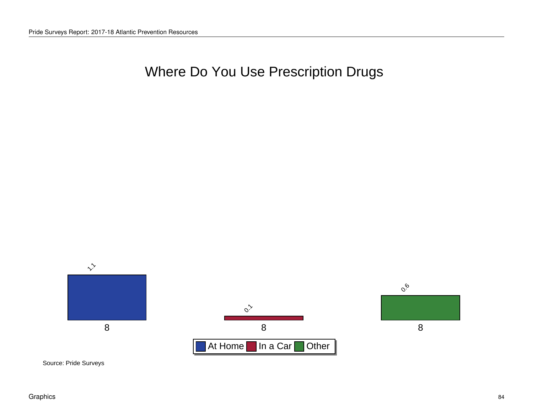## Where Do You Use Prescription Drugs

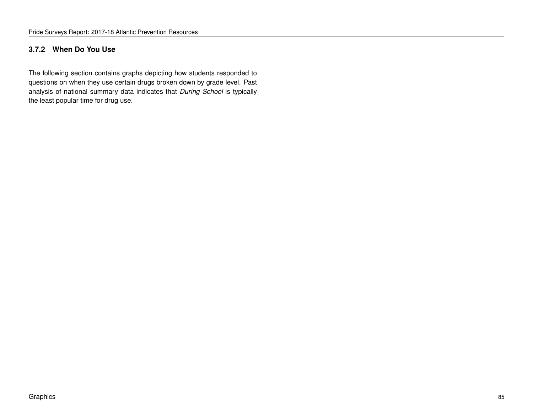#### **3.7.2 When Do You Use**

The following section contains graphs depicting how students responded to questions on when they use certain drugs broken down by grade level. Past analysis of national summary data indicates that *During School* is typically the least popular time for drug use.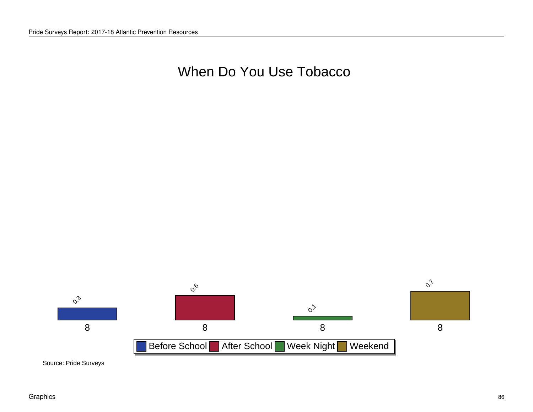#### When Do You Use Tobacco

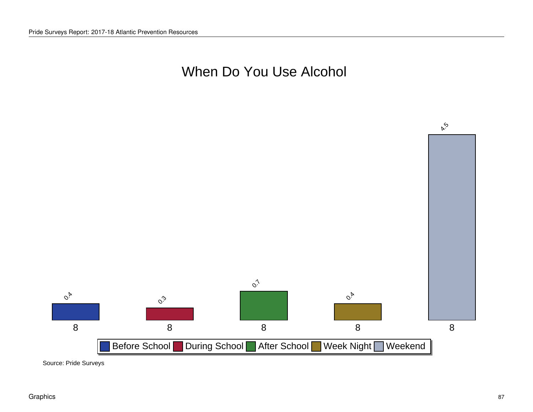### When Do You Use Alcohol

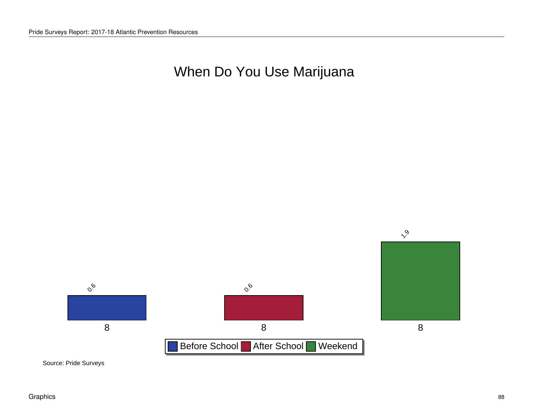## When Do You Use Marijuana

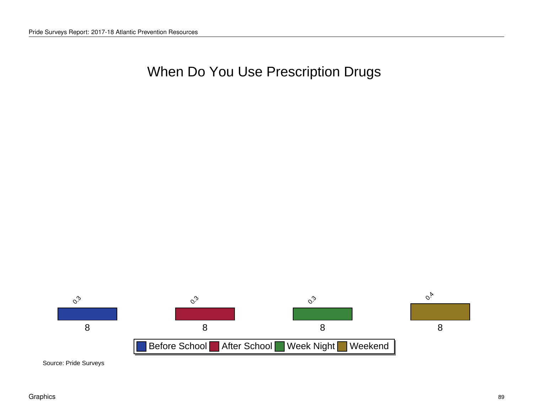### When Do You Use Prescription Drugs

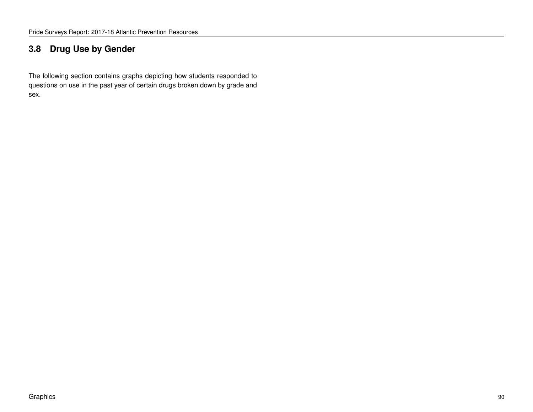#### **3.8 Drug Use by Gender**

The following section contains graphs depicting how students responded to questions on use in the past year of certain drugs broken down by grade and sex.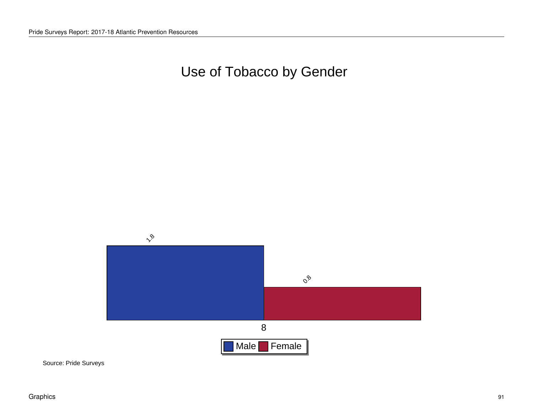# Use of Tobacco by Gender

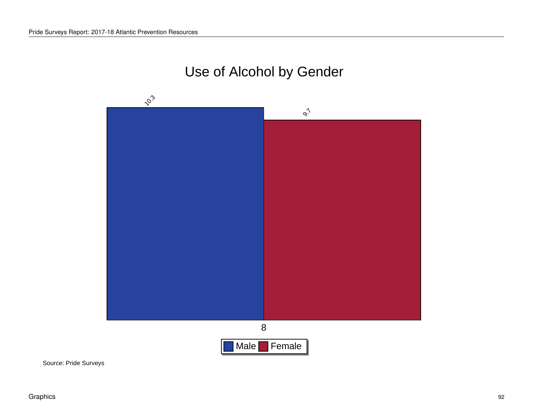# Use of Alcohol by Gender

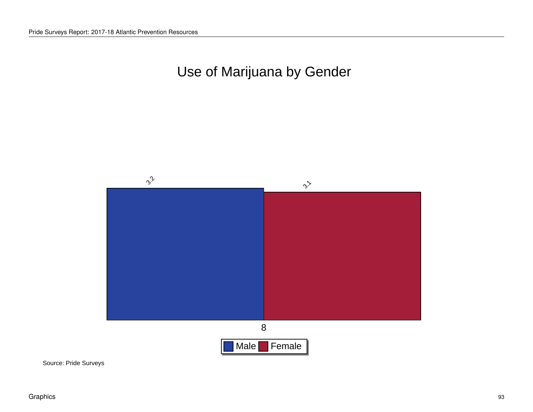# Use of Marijuana by Gender

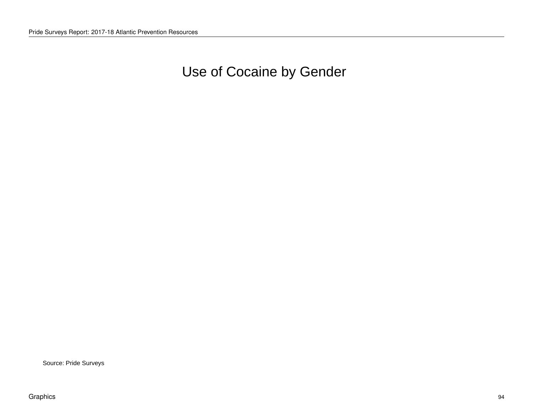Use of Cocaine by Gender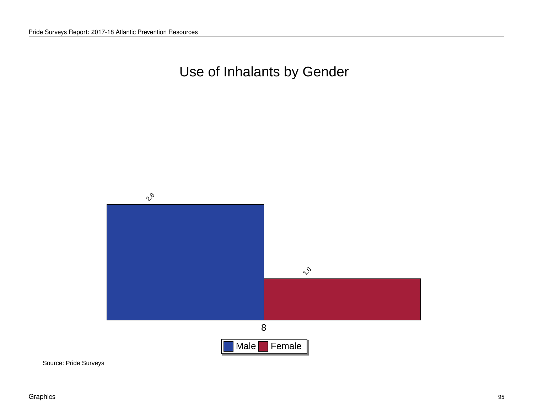# Use of Inhalants by Gender

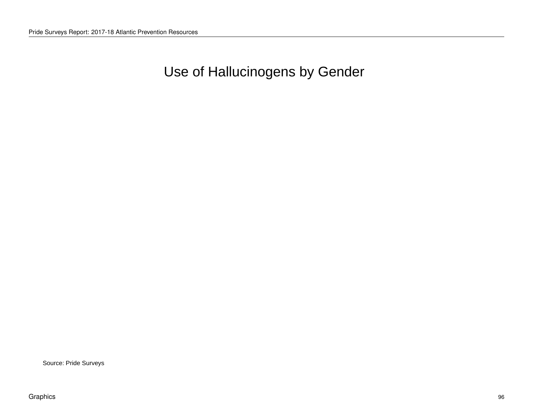# Use of Hallucinogens by Gender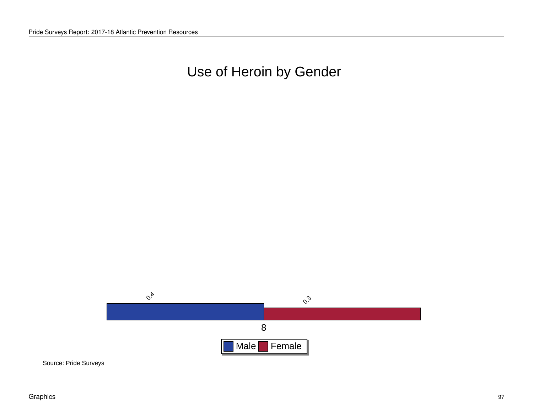# Use of Heroin by Gender

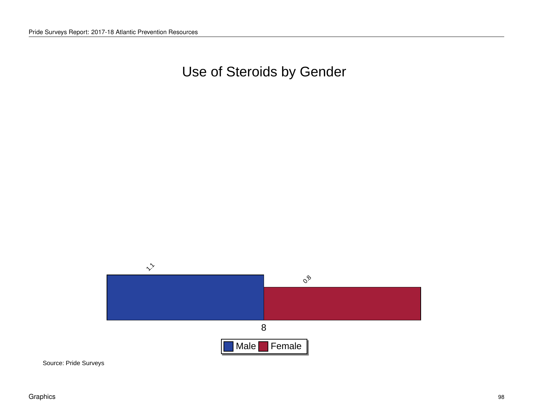Use of Steroids by Gender

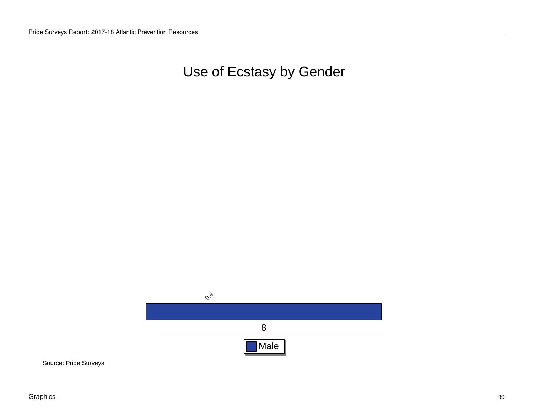# Use of Ecstasy by Gender

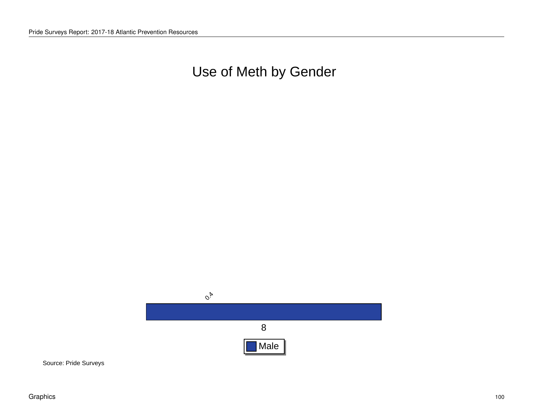Use of Meth by Gender

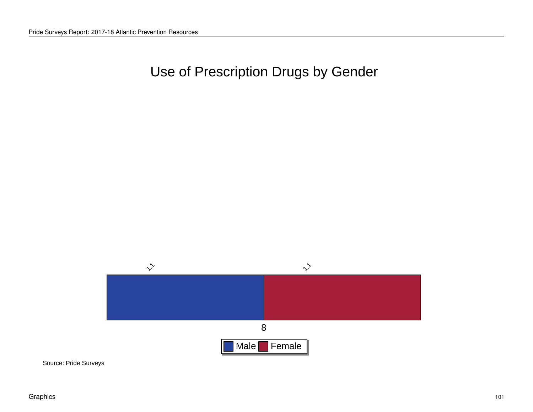Use of Prescription Drugs by Gender

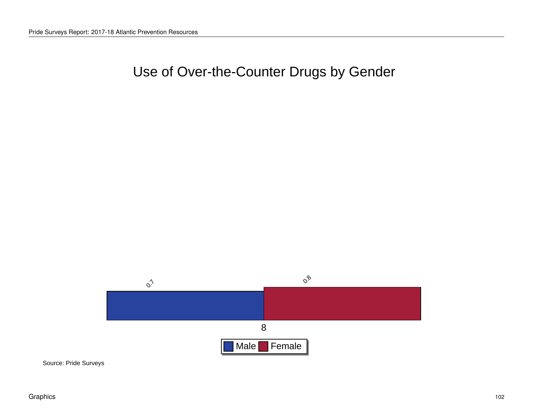## Use of Over-the-Counter Drugs by Gender

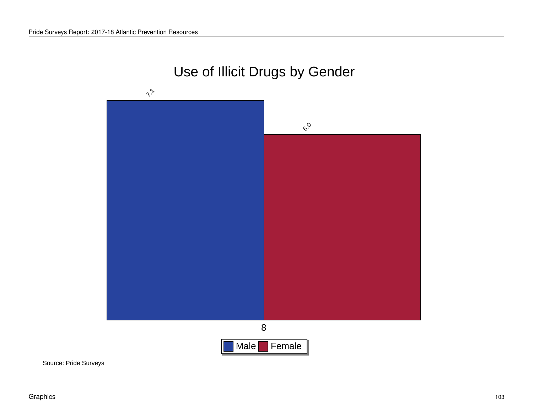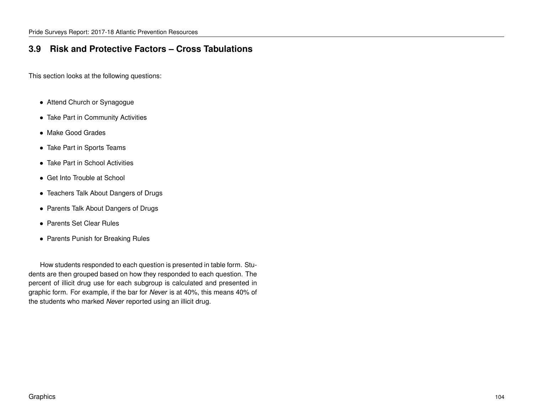#### **3.9 Risk and Protective Factors – Cross Tabulations**

This section looks at the following questions:

- Attend Church or Synagogue
- Take Part in Community Activities
- Make Good Grades
- Take Part in Sports Teams
- Take Part in School Activities
- Get Into Trouble at School
- Teachers Talk About Dangers of Drugs
- Parents Talk About Dangers of Drugs
- Parents Set Clear Rules
- Parents Punish for Breaking Rules

How students responded to each question is presented in table form. Students are then grouped based on how they responded to each question. The percent of illicit drug use for each subgroup is calculated and presented in graphic form. For example, if the bar for *Never* is at 40%, this means 40% of the students who marked *Never* reported using an illicit drug.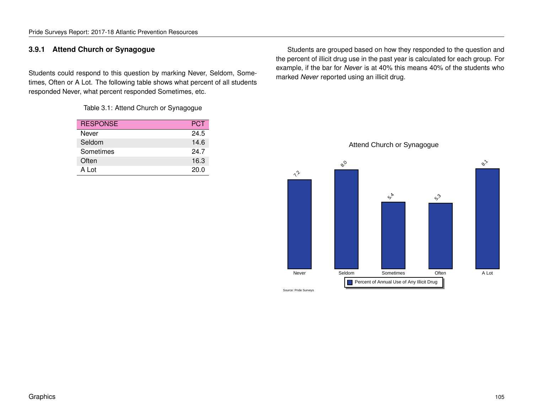#### **3.9.1 Attend Church or Synagogue**

Students could respond to this question by marking Never, Seldom, Sometimes, Often or A Lot. The following table shows what percent of all students responded Never, what percent responded Sometimes, etc.

Table 3.1: Attend Church or Synagogue

| <b>RESPONSE</b> | <b>PCT</b> |
|-----------------|------------|
| Never           | 24.5       |
| Seldom          | 14.6       |
| Sometimes       | 24.7       |
| Often           | 16.3       |
| A Lot           | 20.0       |

Students are grouped based on how they responded to the question and the percent of illicit drug use in the past year is calculated for each group. For example, if the bar for *Never* is at 40% this means 40% of the students who marked *Never* reported using an illicit drug.

Attend Church or Synagogue

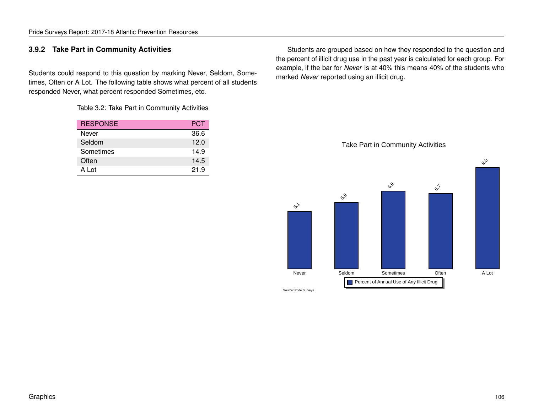#### **3.9.2 Take Part in Community Activities**

Students could respond to this question by marking Never, Seldom, Sometimes, Often or A Lot. The following table shows what percent of all students responded Never, what percent responded Sometimes, etc.

Table 3.2: Take Part in Community Activities

| <b>RESPONSE</b> | <b>PCT</b> |
|-----------------|------------|
| Never           | 36.6       |
| Seldom          | 12.0       |
| Sometimes       | 14.9       |
| Often           | 14.5       |
| A Lot           | 21.9       |

Students are grouped based on how they responded to the question and the percent of illicit drug use in the past year is calculated for each group. For example, if the bar for *Never* is at 40% this means 40% of the students who marked *Never* reported using an illicit drug.

Take Part in Community Activities

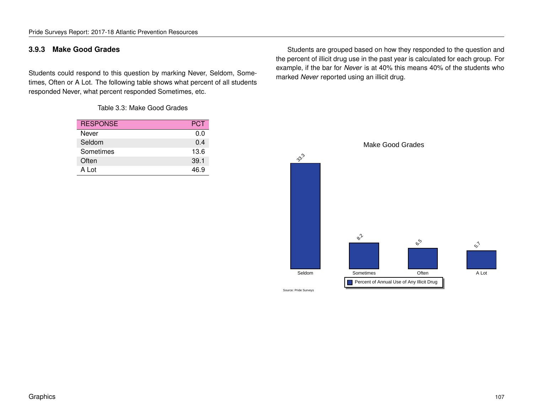#### **3.9.3 Make Good Grades**

Students could respond to this question by marking Never, Seldom, Sometimes, Often or A Lot. The following table shows what percent of all students responded Never, what percent responded Sometimes, etc.

Table 3.3: Make Good Grades

| <b>RESPONSE</b> | PCT  |
|-----------------|------|
| Never           | 0.0  |
| Seldom          | 0.4  |
| Sometimes       | 13.6 |
| Often           | 39.1 |
| A Lot           | 46.9 |

Students are grouped based on how they responded to the question and the percent of illicit drug use in the past year is calculated for each group. For example, if the bar for *Never* is at 40% this means 40% of the students who marked *Never* reported using an illicit drug.

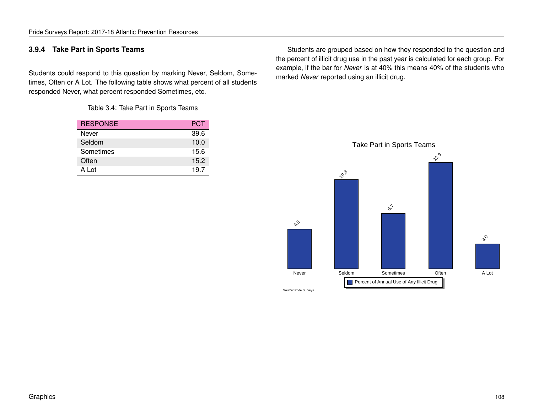#### **3.9.4 Take Part in Sports Teams**

Students could respond to this question by marking Never, Seldom, Sometimes, Often or A Lot. The following table shows what percent of all students responded Never, what percent responded Sometimes, etc.

Table 3.4: Take Part in Sports Teams

| <b>RESPONSE</b> | <b>PCT</b> |
|-----------------|------------|
| Never           | 39.6       |
| Seldom          | 10.0       |
| Sometimes       | 15.6       |
| Often           | 15.2       |
| A Lot           | 19.7       |

Students are grouped based on how they responded to the question and the percent of illicit drug use in the past year is calculated for each group. For example, if the bar for *Never* is at 40% this means 40% of the students who marked *Never* reported using an illicit drug.

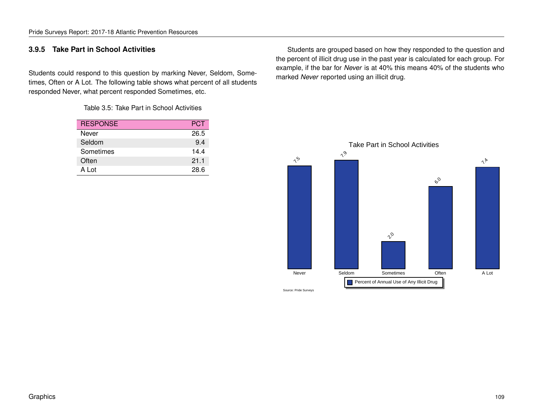### **3.9.5 Take Part in School Activities**

Students could respond to this question by marking Never, Seldom, Sometimes, Often or A Lot. The following table shows what percent of all students responded Never, what percent responded Sometimes, etc.

Table 3.5: Take Part in School Activities

| <b>RESPONSE</b> | <b>PCT</b> |
|-----------------|------------|
| Never           | 26.5       |
| Seldom          | 9.4        |
| Sometimes       | 144        |
| Often           | 21.1       |
| A Lot           | 28.6       |

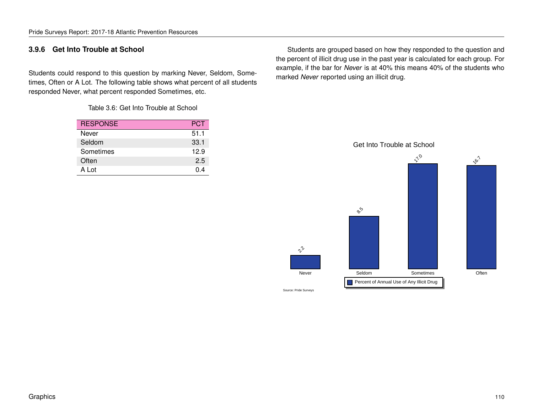### **3.9.6 Get Into Trouble at School**

Students could respond to this question by marking Never, Seldom, Sometimes, Often or A Lot. The following table shows what percent of all students responded Never, what percent responded Sometimes, etc.

Table 3.6: Get Into Trouble at School

| <b>RESPONSE</b> | <b>PCT</b> |
|-----------------|------------|
| Never           | 51.1       |
| Seldom          | 33.1       |
| Sometimes       | 12.9       |
| Often           | 2.5        |
| A Lot           | 0 4        |

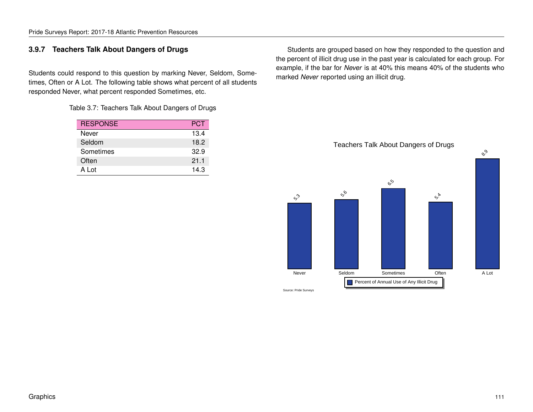## **3.9.7 Teachers Talk About Dangers of Drugs**

Students could respond to this question by marking Never, Seldom, Sometimes, Often or A Lot. The following table shows what percent of all students responded Never, what percent responded Sometimes, etc.

Table 3.7: Teachers Talk About Dangers of Drugs

| <b>RESPONSE</b> | <b>PCT</b> |
|-----------------|------------|
| Never           | 13.4       |
| Seldom          | 18.2       |
| Sometimes       | 32.9       |
| Often           | 21.1       |
| A Lot           | 14.3       |

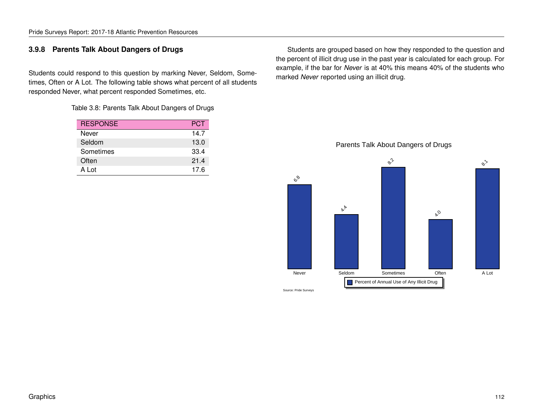## **3.9.8 Parents Talk About Dangers of Drugs**

Students could respond to this question by marking Never, Seldom, Sometimes, Often or A Lot. The following table shows what percent of all students responded Never, what percent responded Sometimes, etc.

Table 3.8: Parents Talk About Dangers of Drugs

| <b>RESPONSE</b> | <b>PCT</b> |
|-----------------|------------|
| Never           | 14.7       |
| Seldom          | 13.0       |
| Sometimes       | 33.4       |
| Often           | 21.4       |
| A Lot           | 17.6       |

Students are grouped based on how they responded to the question and the percent of illicit drug use in the past year is calculated for each group. For example, if the bar for *Never* is at 40% this means 40% of the students who marked *Never* reported using an illicit drug.

Parents Talk About Dangers of Drugs

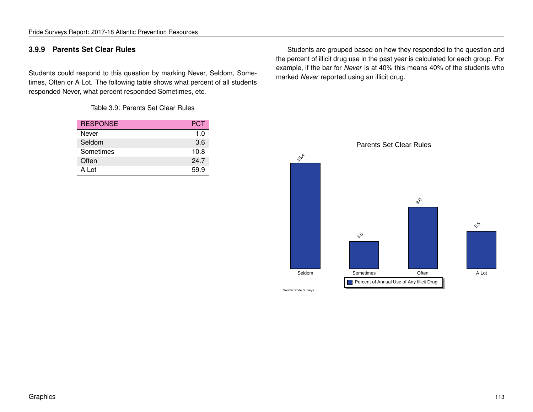## **3.9.9 Parents Set Clear Rules**

Students could respond to this question by marking Never, Seldom, Sometimes, Often or A Lot. The following table shows what percent of all students responded Never, what percent responded Sometimes, etc.

Table 3.9: Parents Set Clear Rules

| <b>RESPONSE</b> | <b>PCT</b> |
|-----------------|------------|
| Never           | 1.0        |
| Seldom          | 3.6        |
| Sometimes       | 10.8       |
| Often           | 24.7       |
| A Lot           | 59.9       |

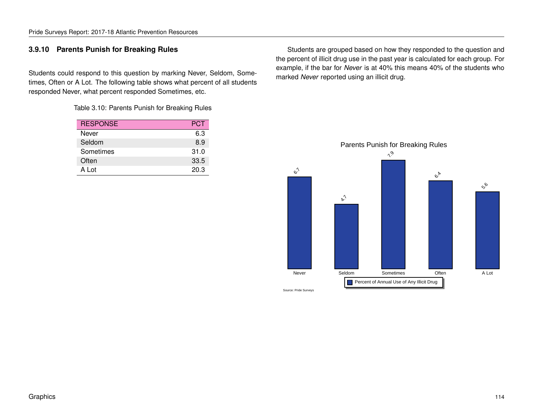## **3.9.10 Parents Punish for Breaking Rules**

Students could respond to this question by marking Never, Seldom, Sometimes, Often or A Lot. The following table shows what percent of all students responded Never, what percent responded Sometimes, etc.

Table 3.10: Parents Punish for Breaking Rules

| <b>RESPONSE</b> | PCT  |
|-----------------|------|
| Never           | 6.3  |
| Seldom          | 8.9  |
| Sometimes       | 31.0 |
| Often           | 33.5 |
| A Lot           | 20.3 |

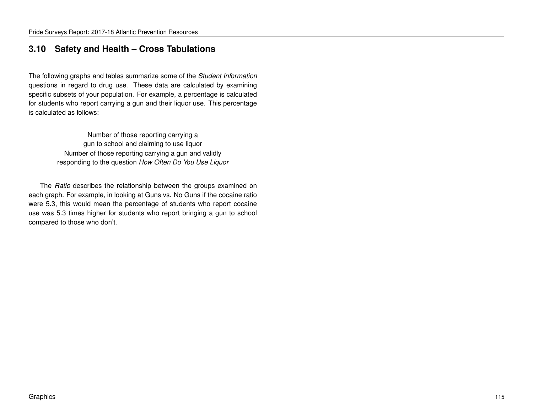# **3.10 Safety and Health – Cross Tabulations**

The following graphs and tables summarize some of the *Student Information* questions in regard to drug use. These data are calculated by examining specific subsets of your population. For example, a percentage is calculated for students who report carrying a gun and their liquor use. This percentage is calculated as follows:

> Number of those reporting carrying a gun to school and claiming to use liquor Number of those reporting carrying a gun and validly responding to the question *How Often Do You Use Liquor*

The *Ratio* describes the relationship between the groups examined on each graph. For example, in looking at Guns vs. No Guns if the cocaine ratio were 5.3, this would mean the percentage of students who report cocaine use was 5.3 times higher for students who report bringing a gun to school compared to those who don't.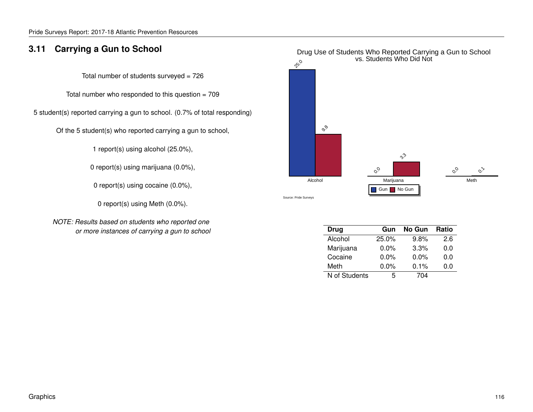# **3.11 Carrying a Gun to School**

Total number of students surveyed  $= 726$ 

Total number who responded to this question  $= 709$ 

5 student(s) reported carrying a gun to school. (0.7% of total responding)

Of the 5 student(s) who reported carrying a gun to school,

1 report(s) using alcohol (25.0%),

0 report(s) using marijuana (0.0%),

0 report(s) using cocaine (0.0%),

0 report(s) using Meth (0.0%).

*NOTE: Results based on students who reported one or more instances of carrying a gun to school*



| Drug          | Gun     | No Gun  | <b>Ratio</b> |
|---------------|---------|---------|--------------|
| Alcohol       | 25.0%   | 9.8%    | 2.6          |
| Marijuana     | $0.0\%$ | 3.3%    | 0.0          |
| Cocaine       | $0.0\%$ | $0.0\%$ | 0.0          |
| Meth          | $0.0\%$ | $0.1\%$ | 0.0          |
| N of Students | 5       | 704     |              |

# Drug Use of Students Who Reported Carrying a Gun to School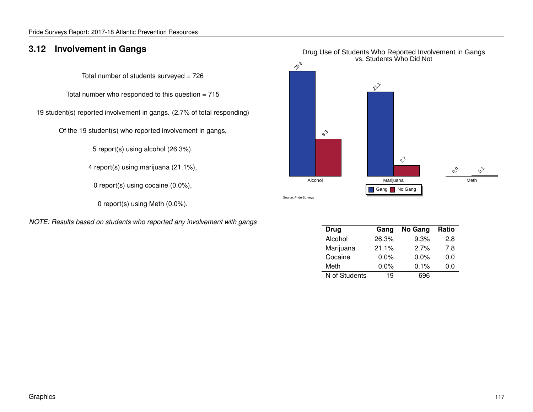# **3.12 Involvement in Gangs**

Total number of students surveyed  $= 726$ 

Total number who responded to this question  $= 715$ 

19 student(s) reported involvement in gangs. (2.7% of total responding)

Of the 19 student(s) who reported involvement in gangs,

5 report(s) using alcohol (26.3%),

4 report(s) using marijuana (21.1%),

0 report(s) using cocaine (0.0%),

0 report(s) using Meth (0.0%).

*NOTE: Results based on students who reported any involvement with gangs*



| Drug          | Gang    | No Gang | Ratio |
|---------------|---------|---------|-------|
| Alcohol       | 26.3%   | 9.3%    | 2.8   |
| Marijuana     | 21.1%   | 2.7%    | 7.8   |
| Cocaine       | $0.0\%$ | $0.0\%$ | 0.0   |
| Meth          | $0.0\%$ | $0.1\%$ | 0.0   |
| N of Students | 19      | 696     |       |

### Drug Use of Students Who Reported Involvement in Gangs vs. Students Who Did Not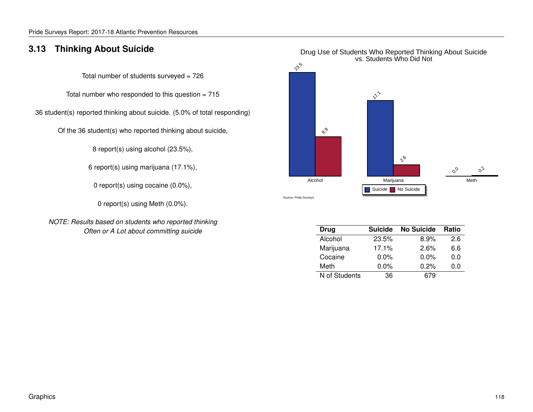# **3.13 Thinking About Suicide**

Total number of students surveyed  $= 726$ 

Total number who responded to this question  $= 715$ 

36 student(s) reported thinking about suicide. (5.0% of total responding)

Of the 36 student(s) who reported thinking about suicide,

8 report(s) using alcohol (23.5%),

6 report(s) using marijuana (17.1%),

0 report(s) using cocaine (0.0%),

0 report(s) using Meth (0.0%).

*NOTE: Results based on students who reported thinking Often or A Lot about committing suicide*



| Drug          | <b>Suicide</b> | <b>No Suicide</b> | <b>Ratio</b> |
|---------------|----------------|-------------------|--------------|
| Alcohol       | 23.5%          | $8.9\%$           | 2.6          |
| Marijuana     | 17.1%          | 2.6%              | 6.6          |
| Cocaine       | $0.0\%$        | $0.0\%$           | 0.0          |
| Meth          | $0.0\%$        | 0.2%              | 0.0          |
| N of Students | 36             | 679               |              |

### Drug Use of Students Who Reported Thinking About Suicide vs. Students Who Did Not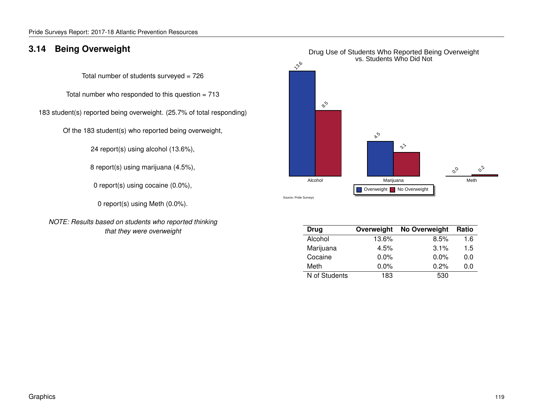# **3.14 Being Overweight**

Total number of students surveyed  $= 726$ 

Total number who responded to this question = 713

183 student(s) reported being overweight. (25.7% of total responding)

Of the 183 student(s) who reported being overweight,

24 report(s) using alcohol (13.6%),

8 report(s) using marijuana (4.5%),

0 report(s) using cocaine (0.0%),

0 report(s) using Meth (0.0%).

*NOTE: Results based on students who reported thinking that they were overweight*



| <b>Drug</b>   | Overweight | No Overweight | Ratio |
|---------------|------------|---------------|-------|
| Alcohol       | 13.6%      | 8.5%          | 1.6   |
| Marijuana     | 4.5%       | 3.1%          | 1.5   |
| Cocaine       | $0.0\%$    | $0.0\%$       | 0.0   |
| Meth          | $0.0\%$    | 0.2%          | 0.0   |
| N of Students | 183        | 530           |       |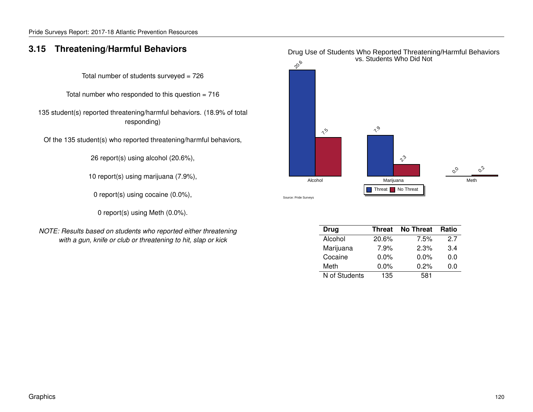# **3.15 Threatening/Harmful Behaviors**

Total number of students surveyed  $= 726$ 

Total number who responded to this question  $= 716$ 

135 student(s) reported threatening/harmful behaviors. (18.9% of total responding)

Of the 135 student(s) who reported threatening/harmful behaviors,

26 report(s) using alcohol (20.6%),

10 report(s) using marijuana (7.9%),

0 report(s) using cocaine (0.0%),

0 report(s) using Meth (0.0%).

*NOTE: Results based on students who reported either threatening with a gun, knife or club or threatening to hit, slap or kick*



| Drug          | <b>Threat</b> | <b>No Threat</b> | <b>Ratio</b> |
|---------------|---------------|------------------|--------------|
| Alcohol       | 20.6%         | 7.5%             | 27           |
| Marijuana     | 7.9%          | 2.3%             | 3.4          |
| Cocaine       | $0.0\%$       | $0.0\%$          | 0.0          |
| Meth          | $0.0\%$       | 0.2%             | 0.0          |
| N of Students | 135           | 581              |              |

### Drug Use of Students Who Reported Threatening/Harmful Behaviors vs. Students Who Did Not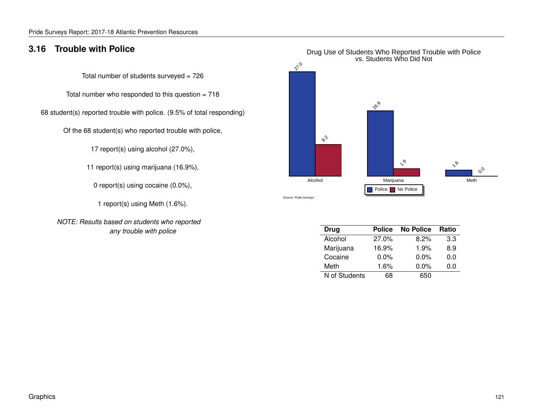# **3.16 Trouble with Police**

Total number of students surveyed  $= 726$ 

Total number who responded to this question  $= 718$ 

68 student(s) reported trouble with police. (9.5% of total responding)

Of the 68 student(s) who reported trouble with police,

17 report(s) using alcohol (27.0%),

11 report(s) using marijuana (16.9%),

0 report(s) using cocaine (0.0%),

1 report(s) using Meth (1.6%).

*NOTE: Results based on students who reported any trouble with police*



| <b>Drug</b>   | <b>Police</b> | <b>No Police</b> | <b>Ratio</b> |
|---------------|---------------|------------------|--------------|
| Alcohol       | 27.0%         | 8.2%             | 3.3          |
| Marijuana     | 16.9%         | 1.9%             | 8.9          |
| Cocaine       | $0.0\%$       | $0.0\%$          | 0.0          |
| Meth          | 1.6%          | $0.0\%$          | 0.0          |
| N of Students | 68            | 650              |              |

# Drug Use of Students Who Reported Trouble with Police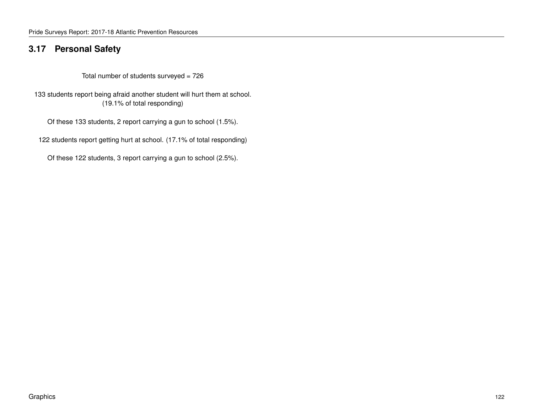# **3.17 Personal Safety**

Total number of students surveyed = 726

133 students report being afraid another student will hurt them at school. (19.1% of total responding)

Of these 133 students, 2 report carrying a gun to school (1.5%).

122 students report getting hurt at school. (17.1% of total responding)

Of these 122 students, 3 report carrying a gun to school (2.5%).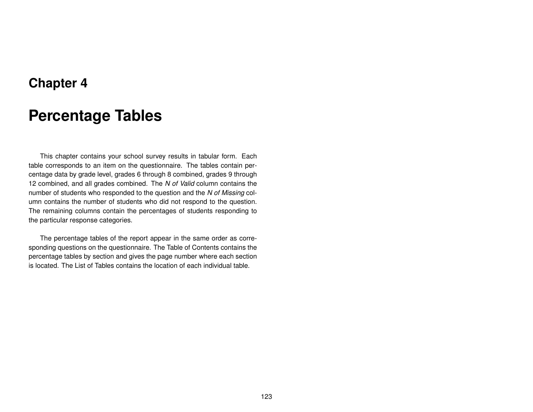# **Chapter 4**

# **Percentage Tables**

This chapter contains your school survey results in tabular form. Each table corresponds to an item on the questionnaire. The tables contain percentage data by grade level, grades 6 through 8 combined, grades 9 through 12 combined, and all grades combined. The *N of Valid* column contains the number of students who responded to the question and the *N of Missing* column contains the number of students who did not respond to the question. The remaining columns contain the percentages of students responding to the particular response categories.

The percentage tables of the report appear in the same order as corresponding questions on the questionnaire. The Table of Contents contains the percentage tables by section and gives the page number where each section is located. The List of Tables contains the location of each individual table.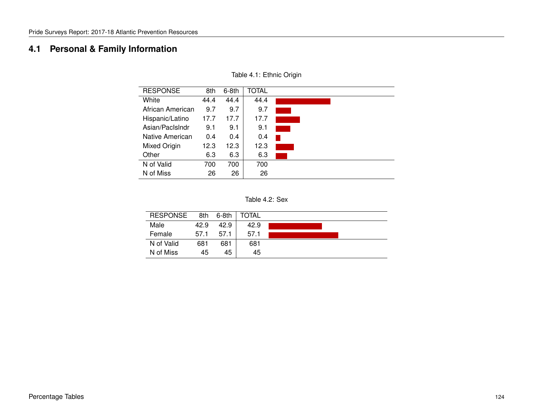# **4.1 Personal & Family Information**

| <b>RESPONSE</b>  | 8th  | $6-8th$ | TOTAL |  |
|------------------|------|---------|-------|--|
| White            | 44.4 | 44.4    | 44.4  |  |
| African American | 9.7  | 9.7     | 9.7   |  |
| Hispanic/Latino  | 17.7 | 17.7    | 17.7  |  |
| Asian/PacIsIndr  | 9.1  | 9.1     | 9.1   |  |
| Native American  | 0.4  | 0.4     | 0.4   |  |
| Mixed Origin     | 12.3 | 12.3    | 12.3  |  |
| Other            | 6.3  | 6.3     | 6.3   |  |
| N of Valid       | 700  | 700     | 700   |  |
| N of Miss        | 26   | 26      | 26    |  |

Table 4.1: Ethnic Origin

| Table 4.2: Sex |  |  |
|----------------|--|--|
|----------------|--|--|

| <b>RESPONSE</b> | 8th  | $6-8th$ | TOTAL |  |
|-----------------|------|---------|-------|--|
| Male            | 42.9 | 42.9    | 42.9  |  |
| Female          | 57.1 | 57.1    | 57.1  |  |
| N of Valid      | 681  | 681     | 681   |  |
| N of Miss       | 45   | 45      | 45    |  |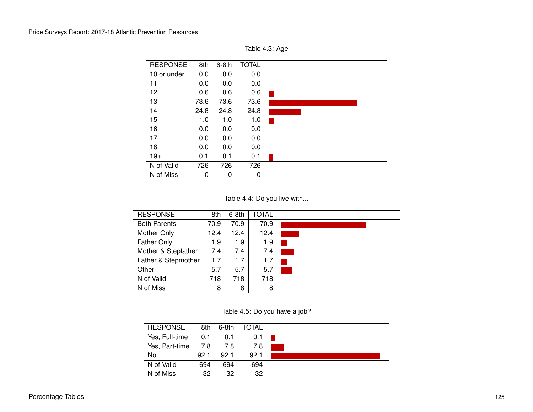| <b>RESPONSE</b> | 8th  | $6-8th$ | <b>TOTAL</b> |  |
|-----------------|------|---------|--------------|--|
| 10 or under     | 0.0  | 0.0     | 0.0          |  |
| 11              | 0.0  | 0.0     | 0.0          |  |
| 12              | 0.6  | 0.6     | 0.6          |  |
| 13              | 73.6 | 73.6    | 73.6         |  |
| 14              | 24.8 | 24.8    | 24.8         |  |
| 15              | 1.0  | 1.0     | 1.0          |  |
| 16              | 0.0  | 0.0     | 0.0          |  |
| 17              | 0.0  | 0.0     | 0.0          |  |
| 18              | 0.0  | 0.0     | 0.0          |  |
| $19+$           | 0.1  | 0.1     | 0.1          |  |
| N of Valid      | 726  | 726     | 726          |  |
| N of Miss       | 0    | 0       | 0            |  |

Table 4.3: Age

Table 4.4: Do you live with...

| <b>RESPONSE</b>     | 8th  | $6-8th$ | TOTAL |  |
|---------------------|------|---------|-------|--|
| <b>Both Parents</b> | 70.9 | 70.9    | 70.9  |  |
| Mother Only         | 12.4 | 12.4    | 12.4  |  |
| <b>Father Only</b>  | 1.9  | 1.9     | 1.9   |  |
| Mother & Stepfather | 7.4  | 7.4     | 7.4   |  |
| Father & Stepmother | 1.7  | 1.7     | 1.7   |  |
| Other               | 5.7  | 5.7     | 5.7   |  |
| N of Valid          | 718  | 718     | 718   |  |
| N of Miss           | 8    | 8       | 8     |  |

Table 4.5: Do you have a job?

| <b>RESPONSE</b> | 8th  | $6-8th$ | TOTAL |  |
|-----------------|------|---------|-------|--|
| Yes, Full-time  | 0.1  | 0.1     | 0.1   |  |
| Yes, Part-time  | 7.8  | 7.8     | 7.8   |  |
| No              | 92.1 | 92.1    | 92.1  |  |
| N of Valid      | 694  | 694     | 694   |  |
| N of Miss       | 32   | 32      | 32    |  |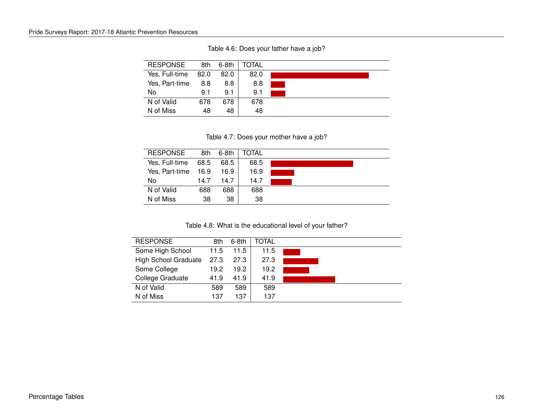Table 4.6: Does your father have a job?

| <b>RESPONSE</b> | 8th  | 6-8th | TOTAL |  |
|-----------------|------|-------|-------|--|
| Yes, Full-time  | 82.0 | 82.0  | 82.0  |  |
| Yes, Part-time  | 8.8  | 8.8   | 8.8   |  |
| No              | 9.1  | 9.1   | 9.1   |  |
| N of Valid      | 678  | 678   | 678   |  |
| N of Miss       | 48   | 48    | 48    |  |

Table 4.7: Does your mother have a job?

| <b>RESPONSE</b> | 8th  | 6-8th | TOTAL |  |
|-----------------|------|-------|-------|--|
| Yes, Full-time  | 68.5 | 68.5  | 68.5  |  |
| Yes, Part-time  | 16.9 | 16.9  | 16.9  |  |
| No              | 14.7 | 14.7  | 14.7  |  |
| N of Valid      | 688  | 688   | 688   |  |
| N of Miss       | 38   | 38    | 38    |  |

Table 4.8: What is the educational level of your father?

| <b>RESPONSE</b>             | 8th  | 6-8th | TOTAL |  |
|-----------------------------|------|-------|-------|--|
| Some High School            | 11.5 | 11.5  | 11.5  |  |
| <b>High School Graduate</b> | 27.3 | 27.3  | 27.3  |  |
| Some College                | 19.2 | 19.2  | 19.2  |  |
| College Graduate            | 41.9 | 41.9  | 41.9  |  |
| N of Valid                  | 589  | 589   | 589   |  |
| N of Miss                   | 137  | 137   | 137   |  |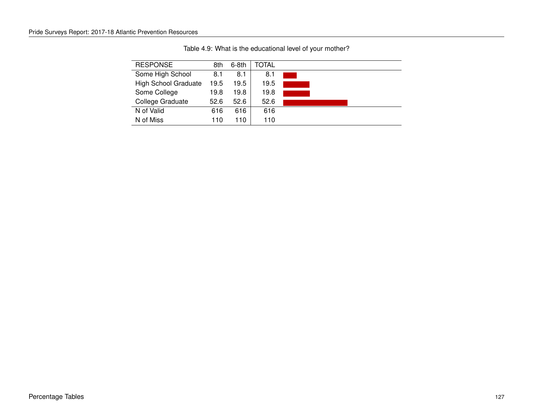| <b>RESPONSE</b>             | 8th  | $6-8th$ | TOTAL |  |
|-----------------------------|------|---------|-------|--|
| Some High School            | 8.1  | 8.1     | 8.1   |  |
| <b>High School Graduate</b> | 19.5 | 19.5    | 19.5  |  |
| Some College                | 19.8 | 19.8    | 19.8  |  |
| College Graduate            | 52.6 | 52.6    | 52.6  |  |
| N of Valid                  | 616  | 616     | 616   |  |
| N of Miss                   | 110  | 110     | 110   |  |

Table 4.9: What is the educational level of your mother?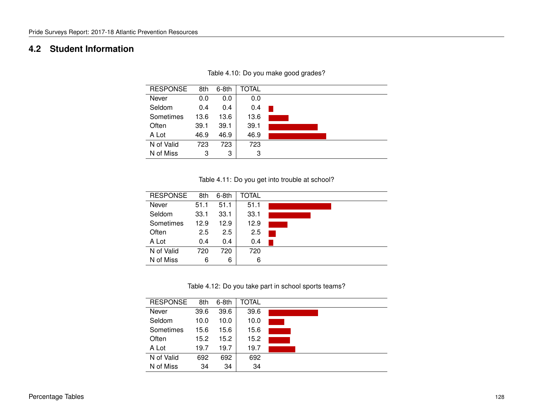# **4.2 Student Information**

| <b>RESPONSE</b> | 8th  | $6-8th$ | TOTAL |  |
|-----------------|------|---------|-------|--|
| Never           | 0.0  | 0.0     | 0.0   |  |
| Seldom          | 0.4  | 0.4     | 0.4   |  |
| Sometimes       | 13.6 | 13.6    | 13.6  |  |
| Often           | 39.1 | 39.1    | 39.1  |  |
| A Lot           | 46.9 | 46.9    | 46.9  |  |
| N of Valid      | 723  | 723     | 723   |  |
| N of Miss       | 3    | 3       | 3     |  |

Table 4.10: Do you make good grades?

Table 4.11: Do you get into trouble at school?

| <b>RESPONSE</b> | 8th  | $6-8th$ | TOTAL |  |
|-----------------|------|---------|-------|--|
| Never           | 51.1 | 51.1    | 51.1  |  |
| Seldom          | 33.1 | 33.1    | 33.1  |  |
| Sometimes       | 12.9 | 12.9    | 12.9  |  |
| Often           | 2.5  | 2.5     | 2.5   |  |
| A Lot           | 0.4  | 0.4     | 0.4   |  |
| N of Valid      | 720  | 720     | 720   |  |
| N of Miss       | 6    | 6       | 6     |  |

Table 4.12: Do you take part in school sports teams?

| <b>RESPONSE</b> | 8th  | $6-8th$ | TOTAL |  |
|-----------------|------|---------|-------|--|
| Never           | 39.6 | 39.6    | 39.6  |  |
| Seldom          | 10.0 | 10.0    | 10.0  |  |
| Sometimes       | 15.6 | 15.6    | 15.6  |  |
| Often           | 15.2 | 15.2    | 15.2  |  |
| A Lot           | 19.7 | 19.7    | 19.7  |  |
| N of Valid      | 692  | 692     | 692   |  |
| N of Miss       | 34   | 34      | 34    |  |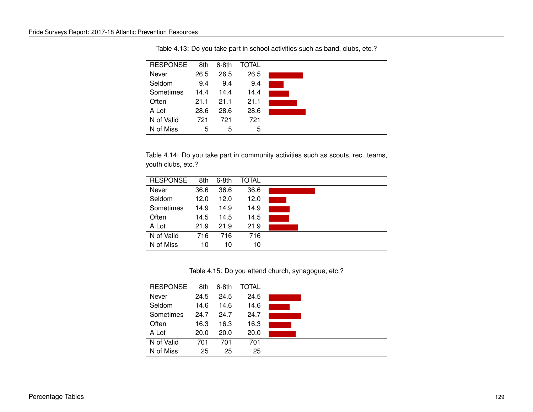| <b>RESPONSE</b> | 8th  | $6-8th$ | TOTAL |  |
|-----------------|------|---------|-------|--|
| Never           | 26.5 | 26.5    | 26.5  |  |
| Seldom          | 9.4  | 9.4     | 9.4   |  |
| Sometimes       | 14.4 | 14.4    | 14.4  |  |
| Often           | 21.1 | 21.1    | 21.1  |  |
| A Lot           | 28.6 | 28.6    | 28.6  |  |
| N of Valid      | 721  | 721     | 721   |  |
| N of Miss       | 5    | 5       | 5     |  |

Table 4.13: Do you take part in school activities such as band, clubs, etc.?

Table 4.14: Do you take part in community activities such as scouts, rec. teams, youth clubs, etc.?

| <b>RESPONSE</b> | 8th  | $6-8th$ | TOTAL |  |
|-----------------|------|---------|-------|--|
| Never           | 36.6 | 36.6    | 36.6  |  |
| Seldom          | 12.0 | 12.0    | 12.0  |  |
| Sometimes       | 14.9 | 14.9    | 14.9  |  |
| Often           | 14.5 | 14.5    | 14.5  |  |
| A Lot           | 21.9 | 21.9    | 21.9  |  |
| N of Valid      | 716  | 716     | 716   |  |
| N of Miss       | 10   | 10      | 10    |  |

Table 4.15: Do you attend church, synagogue, etc.?

| <b>RESPONSE</b> | 8th  | $6-8th$ | TOTAL |  |
|-----------------|------|---------|-------|--|
| Never           | 24.5 | 24.5    | 24.5  |  |
| Seldom          | 14.6 | 14.6    | 14.6  |  |
| Sometimes       | 24.7 | 24.7    | 24.7  |  |
| Often           | 16.3 | 16.3    | 16.3  |  |
| A Lot           | 20.0 | 20.0    | 20.0  |  |
| N of Valid      | 701  | 701     | 701   |  |
| N of Miss       | 25   | 25      | 25    |  |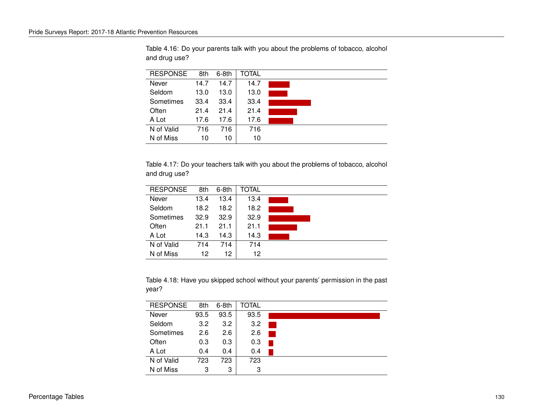| <b>RESPONSE</b> | 8th  | $6-8th$ | TOTAL |  |
|-----------------|------|---------|-------|--|
| Never           | 14.7 | 14.7    | 14.7  |  |
| Seldom          | 13.0 | 13.0    | 13.0  |  |
| Sometimes       | 33.4 | 33.4    | 33.4  |  |
| Often           | 21.4 | 21.4    | 21.4  |  |
| A Lot           | 17.6 | 17.6    | 17.6  |  |
| N of Valid      | 716  | 716     | 716   |  |
| N of Miss       | 10   | 10      | 10    |  |

Table 4.16: Do your parents talk with you about the problems of tobacco, alcohol and drug use?

Table 4.17: Do your teachers talk with you about the problems of tobacco, alcohol and drug use?

| <b>RESPONSE</b> | 8th  | $6-8th$         | TOTAL |  |
|-----------------|------|-----------------|-------|--|
| Never           | 13.4 | 13.4            | 13.4  |  |
| Seldom          | 18.2 | 18.2            | 18.2  |  |
| Sometimes       | 32.9 | 32.9            | 32.9  |  |
| Often           | 21.1 | 21.1            | 21.1  |  |
| A Lot           | 14.3 | 14.3            | 14.3  |  |
| N of Valid      | 714  | 714             | 714   |  |
| N of Miss       | 12   | 12 <sup>2</sup> | 12    |  |

Table 4.18: Have you skipped school without your parents' permission in the past year?

| <b>RESPONSE</b> | 8th  | $6-8th$ | TOTAL |  |
|-----------------|------|---------|-------|--|
| Never           | 93.5 | 93.5    | 93.5  |  |
| Seldom          | 3.2  | 3.2     | 3.2   |  |
| Sometimes       | 2.6  | 2.6     | 2.6   |  |
| Often           | 0.3  | 0.3     | 0.3   |  |
| A Lot           | 0.4  | 0.4     | 0.4   |  |
| N of Valid      | 723  | 723     | 723   |  |
| N of Miss       | З    | 3       | 3     |  |
|                 |      |         |       |  |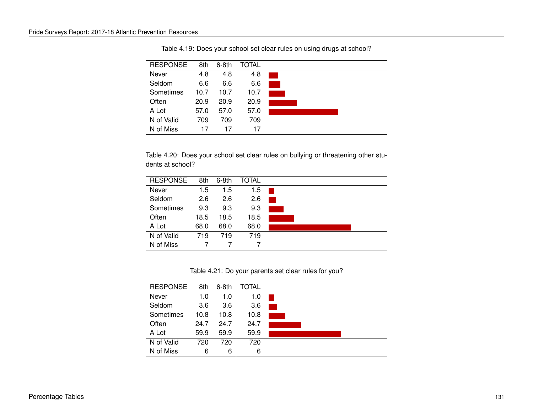| <b>RESPONSE</b> | 8th  | $6-8th$ | TOTAL |  |
|-----------------|------|---------|-------|--|
| Never           | 4.8  | 4.8     | 4.8   |  |
| Seldom          | 6.6  | 6.6     | 6.6   |  |
| Sometimes       | 10.7 | 10.7    | 10.7  |  |
| Often           | 20.9 | 20.9    | 20.9  |  |
| A Lot           | 57.0 | 57.0    | 57.0  |  |
| N of Valid      | 709  | 709     | 709   |  |
| N of Miss       | 17   | 17      | 17    |  |

Table 4.19: Does your school set clear rules on using drugs at school?

Table 4.20: Does your school set clear rules on bullying or threatening other students at school?

| <b>RESPONSE</b> | 8th  | $6-8th$ | TOTAL |  |
|-----------------|------|---------|-------|--|
| Never           | 1.5  | 1.5     | 1.5   |  |
| Seldom          | 2.6  | 2.6     | 2.6   |  |
| Sometimes       | 9.3  | 9.3     | 9.3   |  |
| Often           | 18.5 | 18.5    | 18.5  |  |
| A Lot           | 68.0 | 68.0    | 68.0  |  |
| N of Valid      | 719  | 719     | 719   |  |
| N of Miss       |      |         |       |  |

Table 4.21: Do your parents set clear rules for you?

| <b>RESPONSE</b> | 8th  | $6-8th$ | TOTAL |  |
|-----------------|------|---------|-------|--|
| Never           | 1.0  | 1.0     | 1.0   |  |
| Seldom          | 3.6  | 3.6     | 3.6   |  |
| Sometimes       | 10.8 | 10.8    | 10.8  |  |
| Often           | 24.7 | 24.7    | 24.7  |  |
| A Lot           | 59.9 | 59.9    | 59.9  |  |
| N of Valid      | 720  | 720     | 720   |  |
| N of Miss       | 6    | 6       | 6     |  |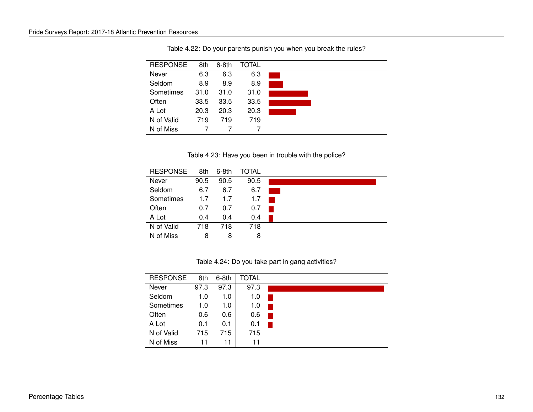| <b>RESPONSE</b> | 8th  | $6-8th$ | <b>TOTAL</b> |  |
|-----------------|------|---------|--------------|--|
| Never           | 6.3  | 6.3     | 6.3          |  |
| Seldom          | 8.9  | 8.9     | 8.9          |  |
| Sometimes       | 31.0 | 31.0    | 31.0         |  |
| Often           | 33.5 | 33.5    | 33.5         |  |
| A Lot           | 20.3 | 20.3    | 20.3         |  |
| N of Valid      | 719  | 719     | 719          |  |
| N of Miss       |      |         |              |  |

Table 4.22: Do your parents punish you when you break the rules?

Table 4.23: Have you been in trouble with the police?

| <b>RESPONSE</b> | 8th  | $6-8th$ | TOTAL |  |
|-----------------|------|---------|-------|--|
| Never           | 90.5 | 90.5    | 90.5  |  |
| Seldom          | 6.7  | 6.7     | 6.7   |  |
| Sometimes       | 1.7  | 1.7     | 1.7   |  |
| Often           | 0.7  | 0.7     | 0.7   |  |
| A Lot           | 0.4  | 0.4     | 0.4   |  |
| N of Valid      | 718  | 718     | 718   |  |
| N of Miss       | 8    | 8       | 8     |  |

Table 4.24: Do you take part in gang activities?

| <b>RESPONSE</b> | 8th  | $6-8th$ | <b>TOTAL</b> |  |
|-----------------|------|---------|--------------|--|
| Never           | 97.3 | 97.3    | 97.3         |  |
| Seldom          | 1.0  | 1.0     | 1.0          |  |
| Sometimes       | 1.0  | 1.0     | 1.0          |  |
| Often           | 0.6  | 0.6     | 0.6          |  |
| A Lot           | 0.1  | 0.1     | 0.1          |  |
| N of Valid      | 715  | 715     | 715          |  |
| N of Miss       | 11   | 11      | 11           |  |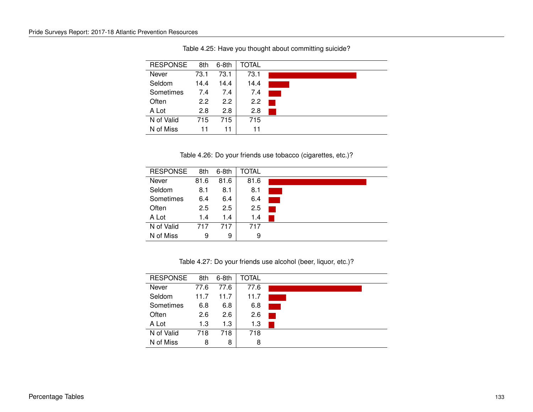| <b>RESPONSE</b> | 8th  | $6-8th$       | <b>TOTAL</b> |  |
|-----------------|------|---------------|--------------|--|
| Never           | 73.1 | 73.1          | 73.1         |  |
| Seldom          | 14.4 | 14.4          | 14.4         |  |
| Sometimes       | 7.4  | 7.4           | 7.4          |  |
| Often           | 2.2  | $2.2^{\circ}$ | 2.2          |  |
| A Lot           | 2.8  | 2.8           | 2.8          |  |
| N of Valid      | 715  | 715           | 715          |  |
| N of Miss       | 11   | 11            | 11           |  |

Table 4.25: Have you thought about committing suicide?

Table 4.26: Do your friends use tobacco (cigarettes, etc.)?

| <b>RESPONSE</b> | 8th  | $6-8th$ | TOTAL |  |
|-----------------|------|---------|-------|--|
| Never           | 81.6 | 81.6    | 81.6  |  |
| Seldom          | 8.1  | 8.1     | 8.1   |  |
| Sometimes       | 6.4  | 6.4     | 6.4   |  |
| Often           | 2.5  | 2.5     | 2.5   |  |
| A Lot           | 1.4  | 1.4     | 1.4   |  |
| N of Valid      | 717  | 717     | 717   |  |
| N of Miss       | 9    | 9       | 9     |  |

Table 4.27: Do your friends use alcohol (beer, liquor, etc.)?

| <b>RESPONSE</b> | 8th  | $6-8th$ | TOTAL |  |
|-----------------|------|---------|-------|--|
| Never           | 77.6 | 77.6    | 77.6  |  |
| Seldom          | 11.7 | 11.7    | 11.7  |  |
| Sometimes       | 6.8  | 6.8     | 6.8   |  |
| Often           | 2.6  | 2.6     | 2.6   |  |
| A Lot           | 1.3  | 1.3     | 1.3   |  |
| N of Valid      | 718  | 718     | 718   |  |
| N of Miss       | 8    | 8       | 8     |  |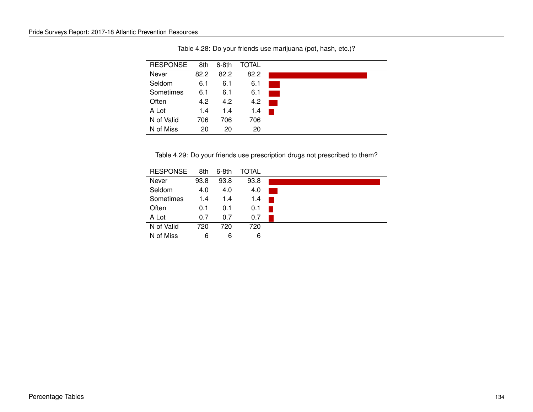| <b>RESPONSE</b> | 8th  | $6-8th$ | <b>TOTAL</b> |  |
|-----------------|------|---------|--------------|--|
| Never           | 82.2 | 82.2    | 82.2         |  |
| Seldom          | 6.1  | 6.1     | 6.1          |  |
| Sometimes       | 6.1  | 6.1     | 6.1          |  |
| Often           | 4.2  | 4.2     | 4.2          |  |
| A Lot           | 1.4  | 1.4     | 1.4          |  |
| N of Valid      | 706  | 706     | 706          |  |
| N of Miss       | 20   | 20      | 20           |  |

Table 4.28: Do your friends use marijuana (pot, hash, etc.)?

Table 4.29: Do your friends use prescription drugs not prescribed to them?

| <b>RESPONSE</b> | 8th  | $6-8th$ | TOTAL |  |
|-----------------|------|---------|-------|--|
| Never           | 93.8 | 93.8    | 93.8  |  |
| Seldom          | 4.0  | 4.0     | 4.0   |  |
| Sometimes       | 1.4  | 1.4     | 1.4   |  |
| Often           | 0.1  | 0.1     | 0.1   |  |
| A Lot           | 0.7  | 0.7     | 0.7   |  |
| N of Valid      | 720  | 720     | 720   |  |
| N of Miss       | 6    | 6       | 6     |  |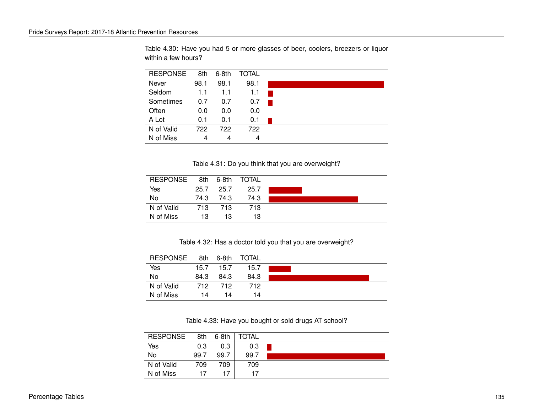RESPONSE 8th 6-8th TOTAL Never 98.1 98.1 98.1 Seldom 1.1 1.1 1.1 Sometimes  $0.7$  0.7 0.7 Often 0.0 0.0 0.0 A Lot 0.1 0.1 0.1  $\blacksquare$ N of Valid 722 722 722 N of Miss  $4 \mid 4 \mid 4$ 

Table 4.30: Have you had 5 or more glasses of beer, coolers, breezers or liquor within a few hours?

Table 4.31: Do you think that you are overweight?

| <b>RESPONSE</b> | 8th  | 6-8th | <b>TOTAL</b> |  |
|-----------------|------|-------|--------------|--|
| Yes             | 25.7 | 25.7  | 25.7         |  |
| No              | 74.3 | 74.3  | 74.3         |  |
| N of Valid      | 713  | 713   | 713          |  |
| N of Miss       | 13   | 13    | 13           |  |

Table 4.32: Has a doctor told you that you are overweight?

| <b>RESPONSE</b> | 8th  | $6-8th$ | TOTAL |  |
|-----------------|------|---------|-------|--|
| Yes             | 15.7 | 15.7    | 15.7  |  |
| No              | 84.3 | 84.3    | 84.3  |  |
| N of Valid      | 712  | 712     | 712   |  |
| N of Miss       | 14   | 14      | 14    |  |

Table 4.33: Have you bought or sold drugs AT school?

| <b>RESPONSE</b> | 8th  | 6-8th | TOTAL |  |
|-----------------|------|-------|-------|--|
| Yes             | 0.3  | 0.3   | 0.3   |  |
| No              | 99.7 | 99.7  | 99.7  |  |
| N of Valid      | 709  | 709   | 709   |  |
| N of Miss       | 17   |       | 17    |  |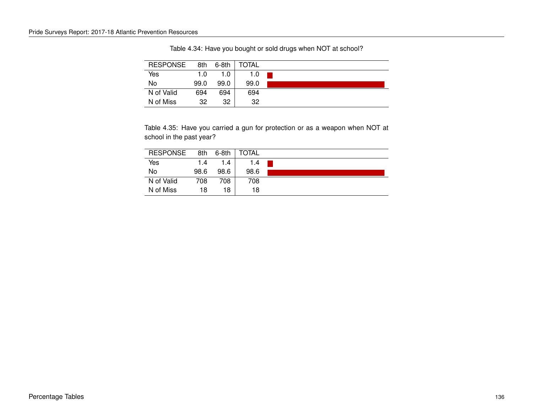| <b>RESPONSE</b> | 8th  | $6-8th$ | <b>TOTAL</b> |  |
|-----------------|------|---------|--------------|--|
| Yes             | 1.0  | 1.0     | 1.0          |  |
| No              | 99.0 | 99.0    | 99.0         |  |
| N of Valid      | 694  | 694     | 694          |  |
| N of Miss       | 32   | 32      | 32           |  |

Table 4.34: Have you bought or sold drugs when NOT at school?

Table 4.35: Have you carried a gun for protection or as a weapon when NOT at school in the past year?

| <b>RESPONSE</b> | 8th  | $6-8th$ | TOTAL |  |
|-----------------|------|---------|-------|--|
| Yes             | 1.4  | 1.4     | 1.4   |  |
| No              | 98.6 | 98.6    | 98.6  |  |
| N of Valid      | 708  | 708     | 708   |  |
| N of Miss       | 18   | 18      | 18    |  |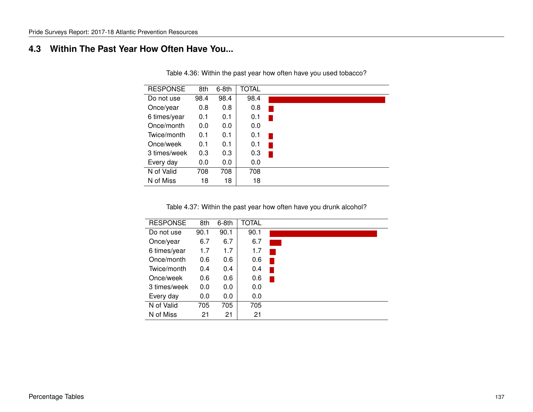# **4.3 Within The Past Year How Often Have You...**

| <b>RESPONSE</b> | 8th  | 6-8th | <b>TOTAL</b> |  |
|-----------------|------|-------|--------------|--|
| Do not use      | 98.4 | 98.4  | 98.4         |  |
| Once/year       | 0.8  | 0.8   | 0.8          |  |
| 6 times/year    | 0.1  | 0.1   | 0.1          |  |
| Once/month      | 0.0  | 0.0   | 0.0          |  |
| Twice/month     | 0.1  | 0.1   | 0.1          |  |
| Once/week       | 0.1  | 0.1   | 0.1          |  |
| 3 times/week    | 0.3  | 0.3   | 0.3          |  |
| Every day       | 0.0  | 0.0   | 0.0          |  |
| N of Valid      | 708  | 708   | 708          |  |
| N of Miss       | 18   | 18    | 18           |  |

Table 4.36: Within the past year how often have you used tobacco?

Table 4.37: Within the past year how often have you drunk alcohol?

| <b>RESPONSE</b> | 8th  | $6-8th$ | <b>TOTAL</b> |  |
|-----------------|------|---------|--------------|--|
| Do not use      | 90.1 | 90.1    | 90.1         |  |
| Once/year       | 6.7  | 6.7     | 6.7          |  |
| 6 times/year    | 1.7  | 1.7     | 1.7          |  |
| Once/month      | 0.6  | 0.6     | 0.6          |  |
| Twice/month     | 0.4  | 0.4     | 0.4          |  |
| Once/week       | 0.6  | 0.6     | 0.6          |  |
| 3 times/week    | 0.0  | 0.0     | 0.0          |  |
| Every day       | 0.0  | 0.0     | 0.0          |  |
| N of Valid      | 705  | 705     | 705          |  |
| N of Miss       | 21   | 21      | 21           |  |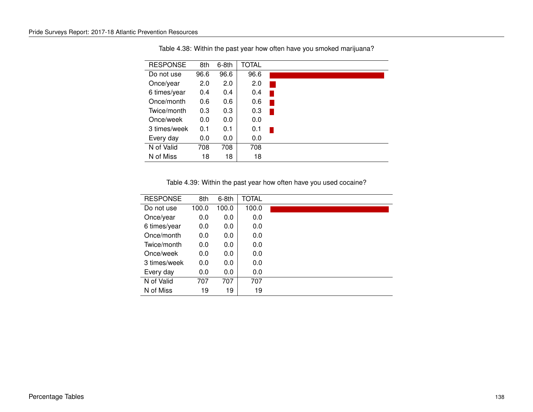| <b>RESPONSE</b> | 8th  | 6-8th | <b>TOTAL</b> |  |
|-----------------|------|-------|--------------|--|
| Do not use      | 96.6 | 96.6  | 96.6         |  |
| Once/year       | 2.0  | 2.0   | 2.0          |  |
| 6 times/year    | 0.4  | 0.4   | 0.4          |  |
| Once/month      | 0.6  | 0.6   | 0.6          |  |
| Twice/month     | 0.3  | 0.3   | 0.3          |  |
| Once/week       | 0.0  | 0.0   | 0.0          |  |
| 3 times/week    | 0.1  | 0.1   | 0.1          |  |
| Every day       | 0.0  | 0.0   | 0.0          |  |
| N of Valid      | 708  | 708   | 708          |  |
| N of Miss       | 18   | 18    | 18           |  |

Table 4.38: Within the past year how often have you smoked marijuana?

Table 4.39: Within the past year how often have you used cocaine?

| <b>RESPONSE</b> | 8th   | 6-8th | <b>TOTAL</b> |  |
|-----------------|-------|-------|--------------|--|
| Do not use      | 100.0 | 100.0 | 100.0        |  |
| Once/year       | 0.0   | 0.0   | 0.0          |  |
| 6 times/year    | 0.0   | 0.0   | 0.0          |  |
| Once/month      | 0.0   | 0.0   | 0.0          |  |
| Twice/month     | 0.0   | 0.0   | 0.0          |  |
| Once/week       | 0.0   | 0.0   | 0.0          |  |
| 3 times/week    | 0.0   | 0.0   | 0.0          |  |
| Every day       | 0.0   | 0.0   | 0.0          |  |
| N of Valid      | 707   | 707   | 707          |  |
| N of Miss       | 19    | 19    | 19           |  |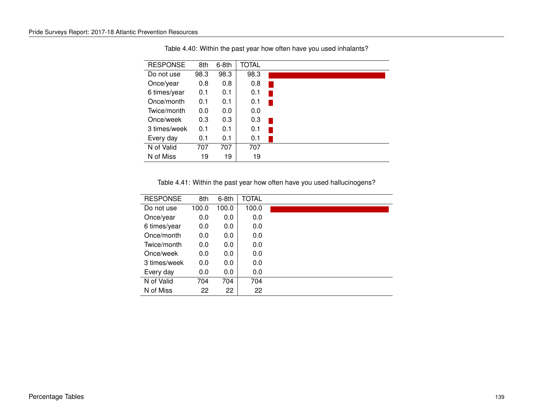| <b>RESPONSE</b> | 8th  | $6-8th$ | <b>TOTAL</b> |  |
|-----------------|------|---------|--------------|--|
| Do not use      | 98.3 | 98.3    | 98.3         |  |
| Once/year       | 0.8  | 0.8     | 0.8          |  |
| 6 times/year    | 0.1  | 0.1     | 0.1          |  |
| Once/month      | 0.1  | 0.1     | 0.1          |  |
| Twice/month     | 0.0  | 0.0     | 0.0          |  |
| Once/week       | 0.3  | 0.3     | 0.3          |  |
| 3 times/week    | 0.1  | 0.1     | 0.1          |  |
| Every day       | 0.1  | 0.1     | 0.1          |  |
| N of Valid      | 707  | 707     | 707          |  |
| N of Miss       | 19   | 19      | 19           |  |

Table 4.40: Within the past year how often have you used inhalants?

Table 4.41: Within the past year how often have you used hallucinogens?

| <b>RESPONSE</b> | 8th   | 6-8th | <b>TOTAL</b> |  |
|-----------------|-------|-------|--------------|--|
| Do not use      | 100.0 | 100.0 | 100.0        |  |
| Once/year       | 0.0   | 0.0   | 0.0          |  |
| 6 times/year    | 0.0   | 0.0   | 0.0          |  |
| Once/month      | 0.0   | 0.0   | 0.0          |  |
| Twice/month     | 0.0   | 0.0   | 0.0          |  |
| Once/week       | 0.0   | 0.0   | 0.0          |  |
| 3 times/week    | 0.0   | 0.0   | 0.0          |  |
| Every day       | 0.0   | 0.0   | 0.0          |  |
| N of Valid      | 704   | 704   | 704          |  |
| N of Miss       | 22    | 22    | 22           |  |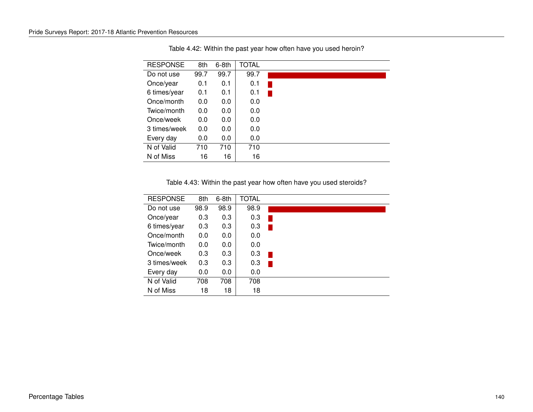| <b>RESPONSE</b> | 8th  | 6-8th | <b>TOTAL</b> |  |
|-----------------|------|-------|--------------|--|
| Do not use      | 99.7 | 99.7  | 99.7         |  |
| Once/year       | 0.1  | 0.1   | 0.1          |  |
| 6 times/year    | 0.1  | 0.1   | 0.1          |  |
| Once/month      | 0.0  | 0.0   | 0.0          |  |
| Twice/month     | 0.0  | 0.0   | 0.0          |  |
| Once/week       | 0.0  | 0.0   | 0.0          |  |
| 3 times/week    | 0.0  | 0.0   | 0.0          |  |
| Every day       | 0.0  | 0.0   | 0.0          |  |
| N of Valid      | 710  | 710   | 710          |  |
| N of Miss       | 16   | 16    | 16           |  |

Table 4.42: Within the past year how often have you used heroin?

Table 4.43: Within the past year how often have you used steroids?

| <b>RESPONSE</b> | 8th  | $6-8th$ | <b>TOTAL</b> |  |
|-----------------|------|---------|--------------|--|
| Do not use      | 98.9 | 98.9    | 98.9         |  |
| Once/year       | 0.3  | 0.3     | 0.3          |  |
| 6 times/year    | 0.3  | 0.3     | 0.3          |  |
| Once/month      | 0.0  | 0.0     | 0.0          |  |
| Twice/month     | 0.0  | 0.0     | 0.0          |  |
| Once/week       | 0.3  | 0.3     | 0.3          |  |
| 3 times/week    | 0.3  | 0.3     | 0.3          |  |
| Every day       | 0.0  | 0.0     | 0.0          |  |
| N of Valid      | 708  | 708     | 708          |  |
| N of Miss       | 18   | 18      | 18           |  |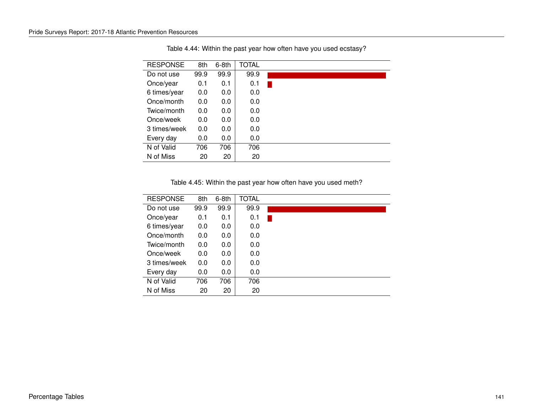| <b>RESPONSE</b> | 8th  | 6-8th | <b>TOTAL</b> |  |
|-----------------|------|-------|--------------|--|
| Do not use      | 99.9 | 99.9  | 99.9         |  |
| Once/year       | 0.1  | 0.1   | 0.1          |  |
| 6 times/year    | 0.0  | 0.0   | 0.0          |  |
| Once/month      | 0.0  | 0.0   | 0.0          |  |
| Twice/month     | 0.0  | 0.0   | 0.0          |  |
| Once/week       | 0.0  | 0.0   | 0.0          |  |
| 3 times/week    | 0.0  | 0.0   | 0.0          |  |
| Every day       | 0.0  | 0.0   | 0.0          |  |
| N of Valid      | 706  | 706   | 706          |  |
| N of Miss       | 20   | 20    | 20           |  |

Table 4.44: Within the past year how often have you used ecstasy?

Table 4.45: Within the past year how often have you used meth?

| <b>RESPONSE</b> | 8th  | 6-8th | TOTAL |  |
|-----------------|------|-------|-------|--|
| Do not use      | 99.9 | 99.9  | 99.9  |  |
| Once/year       | 0.1  | 0.1   | 0.1   |  |
| 6 times/year    | 0.0  | 0.0   | 0.0   |  |
| Once/month      | 0.0  | 0.0   | 0.0   |  |
| Twice/month     | 0.0  | 0.0   | 0.0   |  |
| Once/week       | 0.0  | 0.0   | 0.0   |  |
| 3 times/week    | 0.0  | 0.0   | 0.0   |  |
| Every day       | 0.0  | 0.0   | 0.0   |  |
| N of Valid      | 706  | 706   | 706   |  |
| N of Miss       | 20   | 20    | 20    |  |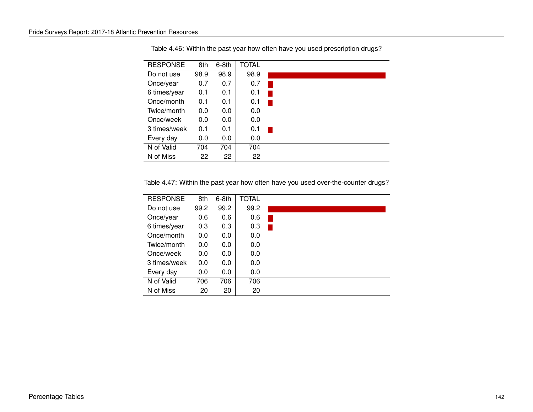| <b>RESPONSE</b> | 8th  | 6-8th | <b>TOTAL</b> |  |
|-----------------|------|-------|--------------|--|
| Do not use      | 98.9 | 98.9  | 98.9         |  |
| Once/year       | 0.7  | 0.7   | 0.7          |  |
| 6 times/year    | 0.1  | 0.1   | 0.1          |  |
| Once/month      | 0.1  | 0.1   | 0.1          |  |
| Twice/month     | 0.0  | 0.0   | 0.0          |  |
| Once/week       | 0.0  | 0.0   | 0.0          |  |
| 3 times/week    | 0.1  | 0.1   | 0.1          |  |
| Every day       | 0.0  | 0.0   | 0.0          |  |
| N of Valid      | 704  | 704   | 704          |  |
| N of Miss       | 22   | 22    | 22           |  |

Table 4.46: Within the past year how often have you used prescription drugs?

Table 4.47: Within the past year how often have you used over-the-counter drugs?

| <b>RESPONSE</b> | 8th  | $6-8th$ | <b>TOTAL</b> |  |  |
|-----------------|------|---------|--------------|--|--|
| Do not use      | 99.2 | 99.2    | 99.2         |  |  |
| Once/year       | 0.6  | 0.6     | 0.6          |  |  |
| 6 times/year    | 0.3  | 0.3     | 0.3          |  |  |
| Once/month      | 0.0  | 0.0     | 0.0          |  |  |
| Twice/month     | 0.0  | 0.0     | 0.0          |  |  |
| Once/week       | 0.0  | 0.0     | 0.0          |  |  |
| 3 times/week    | 0.0  | 0.0     | 0.0          |  |  |
| Every day       | 0.0  | 0.0     | 0.0          |  |  |
| N of Valid      | 706  | 706     | 706          |  |  |
| N of Miss       | 20   | 20      | 20           |  |  |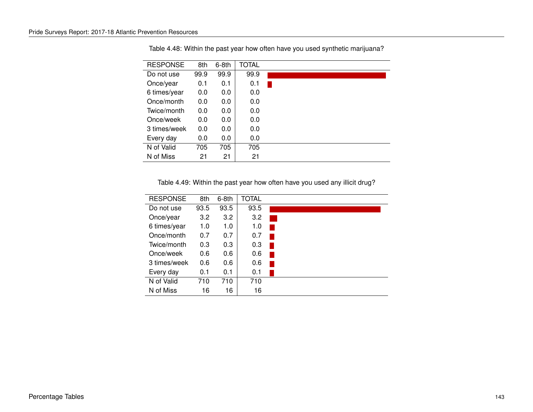| <b>RESPONSE</b> | 8th  | $6-8th$ | <b>TOTAL</b> |  |
|-----------------|------|---------|--------------|--|
| Do not use      | 99.9 | 99.9    | 99.9         |  |
| Once/year       | 0.1  | 0.1     | 0.1          |  |
| 6 times/year    | 0.0  | 0.0     | 0.0          |  |
| Once/month      | 0.0  | 0.0     | 0.0          |  |
| Twice/month     | 0.0  | 0.0     | 0.0          |  |
| Once/week       | 0.0  | 0.0     | 0.0          |  |
| 3 times/week    | 0.0  | 0.0     | 0.0          |  |
| Every day       | 0.0  | 0.0     | 0.0          |  |
| N of Valid      | 705  | 705     | 705          |  |
| N of Miss       | 21   | 21      | 21           |  |

Table 4.48: Within the past year how often have you used synthetic marijuana?

Table 4.49: Within the past year how often have you used any illicit drug?

| <b>RESPONSE</b> | 8th  | $6-8th$ | <b>TOTAL</b> |  |
|-----------------|------|---------|--------------|--|
| Do not use      | 93.5 | 93.5    | 93.5         |  |
| Once/year       | 3.2  | 3.2     | 3.2          |  |
| 6 times/year    | 1.0  | 1.0     | 1.0          |  |
| Once/month      | 0.7  | 0.7     | 0.7          |  |
| Twice/month     | 0.3  | 0.3     | 0.3          |  |
| Once/week       | 0.6  | 0.6     | 0.6          |  |
| 3 times/week    | 0.6  | 0.6     | 0.6          |  |
| Every day       | 0.1  | 0.1     | 0.1          |  |
| N of Valid      | 710  | 710     | 710          |  |
| N of Miss       | 16   | 16      | 16           |  |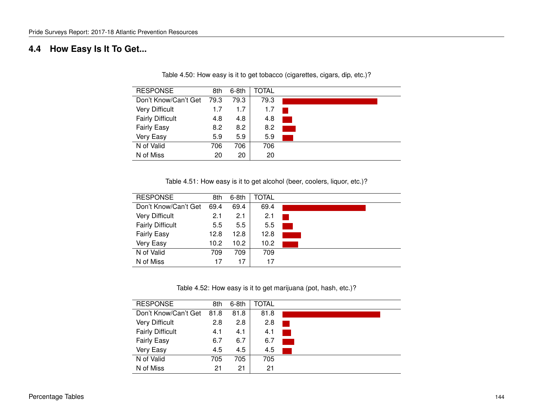# **4.4 How Easy Is It To Get...**

| <b>RESPONSE</b>         | 8th  | $6-8th$ | TOTAL |  |
|-------------------------|------|---------|-------|--|
| Don't Know/Can't Get    | 79.3 | 79.3    | 79.3  |  |
| <b>Very Difficult</b>   | 1.7  | 1.7     | 1.7   |  |
| <b>Fairly Difficult</b> | 4.8  | 4.8     | 4.8   |  |
| <b>Fairly Easy</b>      | 8.2  | 8.2     | 8.2   |  |
| Very Easy               | 5.9  | 5.9     | 5.9   |  |
| N of Valid              | 706  | 706     | 706   |  |
| N of Miss               | 20   | 20      | 20    |  |

Table 4.50: How easy is it to get tobacco (cigarettes, cigars, dip, etc.)?

Table 4.51: How easy is it to get alcohol (beer, coolers, liquor, etc.)?

| <b>RESPONSE</b>         | 8th               | $6-8th$ | TOTAL |  |
|-------------------------|-------------------|---------|-------|--|
| Don't Know/Can't Get    | 69.4              | 69.4    | 69.4  |  |
| <b>Very Difficult</b>   | 2.1               | 2.1     | 2.1   |  |
| <b>Fairly Difficult</b> | 5.5               | 5.5     | 5.5   |  |
| <b>Fairly Easy</b>      | 12.8              | 12.8    | 12.8  |  |
| Very Easy               | 10.2 <sub>2</sub> | 10.2    | 10.2  |  |
| N of Valid              | 709               | 709     | 709   |  |
| N of Miss               | 17                | 17      | 17    |  |

Table 4.52: How easy is it to get marijuana (pot, hash, etc.)?

| <b>RESPONSE</b>         | 8th  | $6-8th$ | TOTAL |  |
|-------------------------|------|---------|-------|--|
| Don't Know/Can't Get    | 81.8 | 81.8    | 81.8  |  |
| <b>Very Difficult</b>   | 2.8  | 2.8     | 2.8   |  |
| <b>Fairly Difficult</b> | 4.1  | 4.1     | 4.1   |  |
| <b>Fairly Easy</b>      | 6.7  | 6.7     | 6.7   |  |
| Very Easy               | 4.5  | 4.5     | 4.5   |  |
| N of Valid              | 705  | 705     | 705   |  |
| N of Miss               | 21   | 21      | 21    |  |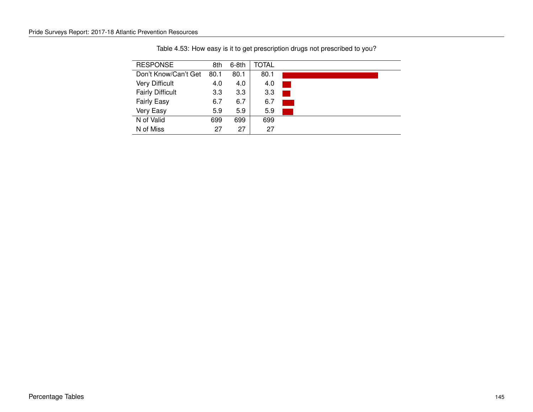| <b>RESPONSE</b>         | 8th  | $6-8th$          | TOTAL |  |
|-------------------------|------|------------------|-------|--|
| Don't Know/Can't Get    | 80.1 | 80.1             | 80.1  |  |
| <b>Very Difficult</b>   | 4.0  | 4.0              | 4.0   |  |
| <b>Fairly Difficult</b> | 3.3  | 3.3 <sub>2</sub> | 3.3   |  |
| <b>Fairly Easy</b>      | 6.7  | 6.7              | 6.7   |  |
| Very Easy               | 5.9  | 5.9              | 5.9   |  |
| N of Valid              | 699  | 699              | 699   |  |
| N of Miss               | 27   | 27               | 27    |  |

Table 4.53: How easy is it to get prescription drugs not prescribed to you?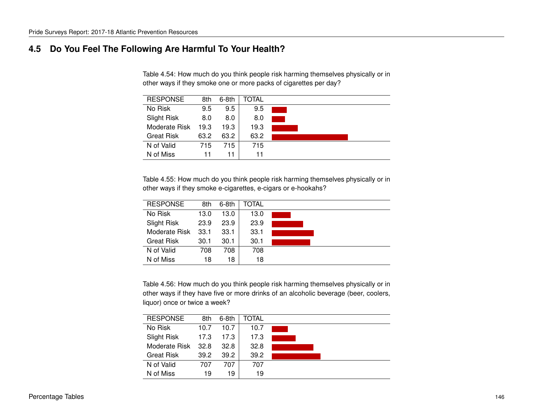### **4.5 Do You Feel The Following Are Harmful To Your Health?**

Table 4.54: How much do you think people risk harming themselves physically or in other ways if they smoke one or more packs of cigarettes per day?

| <b>RESPONSE</b>    | 8th  | $6-8th$ | TOTAL |  |
|--------------------|------|---------|-------|--|
| No Risk            | 9.5  | 9.5     | 9.5   |  |
| <b>Slight Risk</b> | 8.0  | 8.0     | 8.0   |  |
| Moderate Risk      | 19.3 | 19.3    | 19.3  |  |
| <b>Great Risk</b>  | 63.2 | 63.2    | 63.2  |  |
| N of Valid         | 715  | 715     | 715   |  |
| N of Miss          | 11   | 11      | 11    |  |

Table 4.55: How much do you think people risk harming themselves physically or in other ways if they smoke e-cigarettes, e-cigars or e-hookahs?

| <b>RESPONSE</b>    | 8th  | $6-8th$ | TOTAL |  |
|--------------------|------|---------|-------|--|
| No Risk            | 13.0 | 13.0    | 13.0  |  |
| <b>Slight Risk</b> | 23.9 | 23.9    | 23.9  |  |
| Moderate Risk      | 33.1 | 33.1    | 33.1  |  |
| <b>Great Risk</b>  | 30.1 | 30.1    | 30.1  |  |
| N of Valid         | 708  | 708     | 708   |  |
| N of Miss          | 18   | 18      | 18    |  |

Table 4.56: How much do you think people risk harming themselves physically or in other ways if they have five or more drinks of an alcoholic beverage (beer, coolers, liquor) once or twice a week?

| <b>RESPONSE</b>   | 8th  | $6-8th$ | TOTAL |  |
|-------------------|------|---------|-------|--|
| No Risk           | 10.7 | 10.7    | 10.7  |  |
| Slight Risk       | 17.3 | 17.3    | 17.3  |  |
| Moderate Risk     | 32.8 | 32.8    | 32.8  |  |
| <b>Great Risk</b> | 39.2 | 39.2    | 39.2  |  |
| N of Valid        | 707  | 707     | 707   |  |
| N of Miss         | 19   | 19      | 19    |  |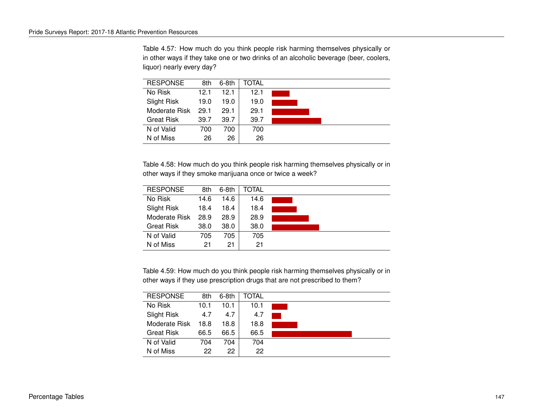Table 4.57: How much do you think people risk harming themselves physically or in other ways if they take one or two drinks of an alcoholic beverage (beer, coolers, liquor) nearly every day?

| <b>RESPONSE</b>    | 8th  | $6-8th$ | TOTAL |  |
|--------------------|------|---------|-------|--|
| No Risk            | 12.1 | 12.1    | 12.1  |  |
| <b>Slight Risk</b> | 19.0 | 19.0    | 19.0  |  |
| Moderate Risk      | 29.1 | 29.1    | 29.1  |  |
| <b>Great Risk</b>  | 39.7 | 39.7    | 39.7  |  |
| N of Valid         | 700  | 700     | 700   |  |
| N of Miss          | 26   | 26      | 26    |  |

Table 4.58: How much do you think people risk harming themselves physically or in other ways if they smoke marijuana once or twice a week?

| <b>RESPONSE</b>   | 8th  | 6-8th | TOTAL |  |
|-------------------|------|-------|-------|--|
| No Risk           | 14.6 | 14.6  | 14.6  |  |
| Slight Risk       | 18.4 | 18.4  | 18.4  |  |
| Moderate Risk     | 28.9 | 28.9  | 28.9  |  |
| <b>Great Risk</b> | 38.0 | 38.0  | 38.0  |  |
| N of Valid        | 705  | 705   | 705   |  |
| N of Miss         | 21   | 21    | 21    |  |

Table 4.59: How much do you think people risk harming themselves physically or in other ways if they use prescription drugs that are not prescribed to them?

| <b>RESPONSE</b>   | 8th  | $6-8th$ | TOTAL |  |
|-------------------|------|---------|-------|--|
| No Risk           | 10.1 | 10.1    | 10.1  |  |
| Slight Risk       | 4.7  | 4.7     | 4.7   |  |
| Moderate Risk     | 18.8 | 18.8    | 18.8  |  |
| <b>Great Risk</b> | 66.5 | 66.5    | 66.5  |  |
| N of Valid        | 704  | 704     | 704   |  |
| N of Miss         | 22   | 22      | 22    |  |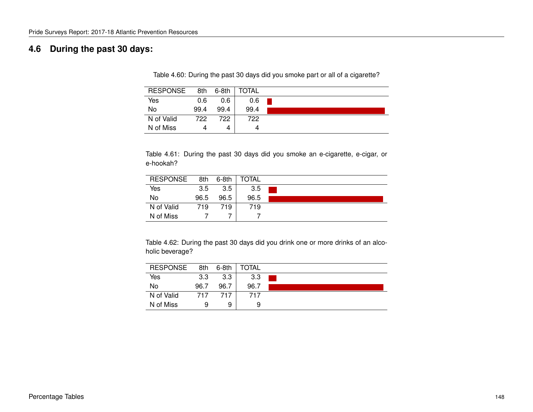## **4.6 During the past 30 days:**

Table 4.60: During the past 30 days did you smoke part or all of a cigarette?

| <b>RESPONSE</b> | 8th  | 6-8th | TOTAL |  |
|-----------------|------|-------|-------|--|
| Yes             | 0.6  | 0.6   | 0.6   |  |
| No              | 99.4 | 99.4  | 99.4  |  |
| N of Valid      | 722  | 722   | 722.  |  |
| N of Miss       |      | 4     | 4     |  |

Table 4.61: During the past 30 days did you smoke an e-cigarette, e-cigar, or e-hookah?

| <b>RESPONSE</b> | 8th  | $6-8th$ | <b>TOTAL</b> |  |
|-----------------|------|---------|--------------|--|
| Yes             | 3.5  | 3.5     | 3.5          |  |
| No              | 96.5 | 96.5    | 96.5         |  |
| N of Valid      | 719  | 719     | 719          |  |
| N of Miss       |      |         |              |  |

Table 4.62: During the past 30 days did you drink one or more drinks of an alcoholic beverage?

| <b>RESPONSE</b> | 8th  | $6-8th$ | TOTAL |  |
|-----------------|------|---------|-------|--|
| Yes             | 3.3  | 3.3     | 3.3   |  |
| No              | 96.7 | 96.7    | 96.7  |  |
| N of Valid      | 717  | 717     | 717   |  |
| N of Miss       | 9    | 9       | 9     |  |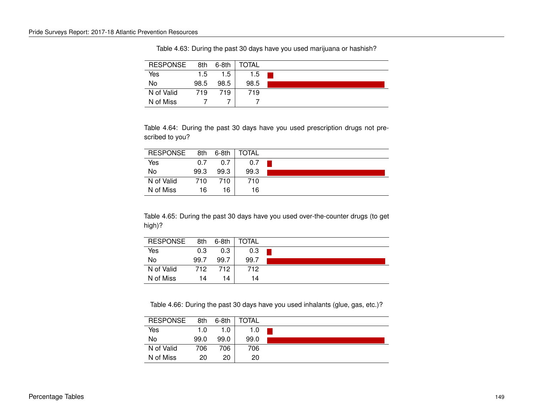| <b>RESPONSE</b> | 8th  | 6-8th | <b>TOTAL</b> |  |
|-----------------|------|-------|--------------|--|
| Yes             | 1.5  | 1.5   | 1.5          |  |
| No              | 98.5 | 98.5  | 98.5         |  |
| N of Valid      | 719  | 719   | 719          |  |
| N of Miss       |      |       |              |  |

Table 4.63: During the past 30 days have you used marijuana or hashish?

Table 4.64: During the past 30 days have you used prescription drugs not prescribed to you?

| <b>RESPONSE</b> | 8th  | 6-8th | <b>TOTAL</b> |  |
|-----------------|------|-------|--------------|--|
| Yes             | 0.7  | 0.7   | 0.7          |  |
| No              | 99.3 | 99.3  | 99.3         |  |
| N of Valid      | 710  | 710.  | 710          |  |
| N of Miss       | 16   | 16    | 16           |  |

Table 4.65: During the past 30 days have you used over-the-counter drugs (to get high)?

| <b>RESPONSE</b> | 8th  | 6-8th | TOTAL |  |
|-----------------|------|-------|-------|--|
| Yes             | 0.3  | 0.3   | 0.3   |  |
| No              | 99.7 | 99.7  | 99.7  |  |
| N of Valid      | 712  | 712   | 712   |  |
| N of Miss       | 14   | 14    | 14    |  |

Table 4.66: During the past 30 days have you used inhalants (glue, gas, etc.)?

| <b>RESPONSE</b> | 8th  | 6-8th | TOTAL |  |
|-----------------|------|-------|-------|--|
| Yes             | 1.0  | 1.0   | 1.0   |  |
| No              | 99.0 | 99.0  | 99.0  |  |
| N of Valid      | 706  | 706   | 706   |  |
| N of Miss       | 20   | 20    | 20    |  |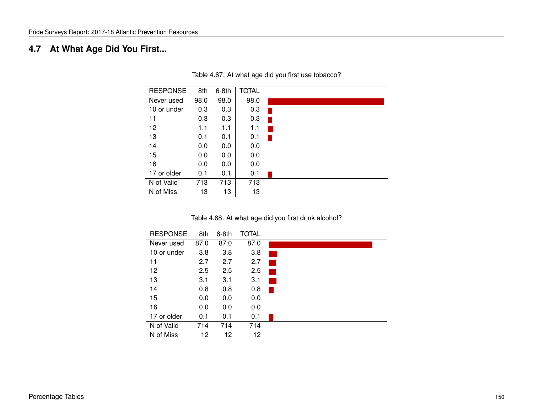# **4.7 At What Age Did You First...**

| <b>RESPONSE</b> | 8th  | $6-8th$ | <b>TOTAL</b> |
|-----------------|------|---------|--------------|
| Never used      | 98.0 | 98.0    | 98.0         |
| 10 or under     | 0.3  | 0.3     | 0.3          |
| 11              | 0.3  | 0.3     | 0.3          |
| 12              | 1.1  | 1.1     | 1.1          |
| 13              | 0.1  | 0.1     | 0.1          |
| 14              | 0.0  | 0.0     | 0.0          |
| 15              | 0.0  | 0.0     | 0.0          |
| 16              | 0.0  | 0.0     | 0.0          |
| 17 or older     | 0.1  | 0.1     | 0.1          |
| N of Valid      | 713  | 713     | 713          |
| N of Miss       | 13   | 13      | 13           |

Table 4.67: At what age did you first use tobacco?

Table 4.68: At what age did you first drink alcohol?

| <b>RESPONSE</b> | 8th  | 6-8th | <b>TOTAL</b> |  |
|-----------------|------|-------|--------------|--|
| Never used      | 87.0 | 87.0  | 87.0         |  |
| 10 or under     | 3.8  | 3.8   | 3.8          |  |
| 11              | 2.7  | 2.7   | 2.7          |  |
| 12              | 2.5  | 2.5   | 2.5          |  |
| 13              | 3.1  | 3.1   | 3.1          |  |
| 14              | 0.8  | 0.8   | 0.8          |  |
| 15              | 0.0  | 0.0   | 0.0          |  |
| 16              | 0.0  | 0.0   | 0.0          |  |
| 17 or older     | 0.1  | 0.1   | 0.1          |  |
| N of Valid      | 714  | 714   | 714          |  |
| N of Miss       | 12   | 12    | 12           |  |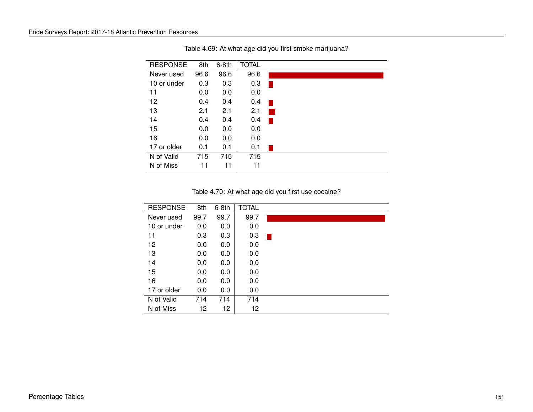| <b>RESPONSE</b> | 8th  | $6-8th$ | <b>TOTAL</b> |  |
|-----------------|------|---------|--------------|--|
| Never used      | 96.6 | 96.6    | 96.6         |  |
| 10 or under     | 0.3  | 0.3     | 0.3          |  |
| 11              | 0.0  | 0.0     | 0.0          |  |
| 12              | 0.4  | 0.4     | 0.4          |  |
| 13              | 2.1  | 2.1     | 2.1          |  |
| 14              | 0.4  | 0.4     | 0.4          |  |
| 15              | 0.0  | 0.0     | 0.0          |  |
| 16              | 0.0  | 0.0     | 0.0          |  |
| 17 or older     | 0.1  | 0.1     | 0.1          |  |
| N of Valid      | 715  | 715     | 715          |  |
| N of Miss       | 11   | 11      | 11           |  |

Table 4.69: At what age did you first smoke marijuana?

Table 4.70: At what age did you first use cocaine?

| <b>RESPONSE</b> | 8th  | $6-8th$ | <b>TOTAL</b> |  |
|-----------------|------|---------|--------------|--|
| Never used      | 99.7 | 99.7    | 99.7         |  |
| 10 or under     | 0.0  | 0.0     | 0.0          |  |
| 11              | 0.3  | 0.3     | 0.3          |  |
| 12              | 0.0  | 0.0     | 0.0          |  |
| 13              | 0.0  | 0.0     | 0.0          |  |
| 14              | 0.0  | 0.0     | 0.0          |  |
| 15              | 0.0  | 0.0     | 0.0          |  |
| 16              | 0.0  | 0.0     | 0.0          |  |
| 17 or older     | 0.0  | 0.0     | 0.0          |  |
| N of Valid      | 714  | 714     | 714          |  |
| N of Miss       | 12   | 12      | 12           |  |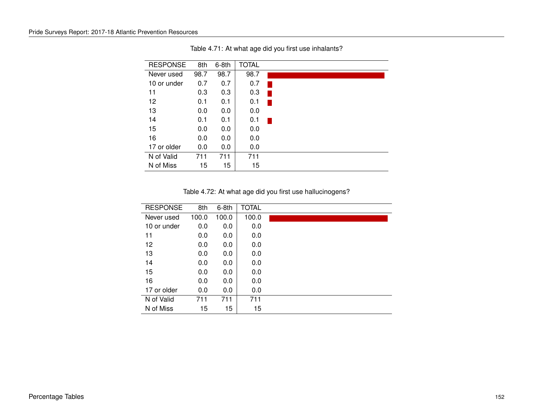| <b>RESPONSE</b> | 8th  | $6-8th$ | <b>TOTAL</b> |  |
|-----------------|------|---------|--------------|--|
| Never used      | 98.7 | 98.7    | 98.7         |  |
| 10 or under     | 0.7  | 0.7     | 0.7          |  |
| 11              | 0.3  | 0.3     | 0.3          |  |
| 12              | 0.1  | 0.1     | 0.1          |  |
| 13              | 0.0  | 0.0     | 0.0          |  |
| 14              | 0.1  | 0.1     | 0.1          |  |
| 15              | 0.0  | 0.0     | 0.0          |  |
| 16              | 0.0  | 0.0     | 0.0          |  |
| 17 or older     | 0.0  | 0.0     | 0.0          |  |
| N of Valid      | 711  | 711     | 711          |  |
| N of Miss       | 15   | 15      | 15           |  |

Table 4.71: At what age did you first use inhalants?

Table 4.72: At what age did you first use hallucinogens?

| <b>RESPONSE</b> | 8th   | $6-8th$ | <b>TOTAL</b> |  |
|-----------------|-------|---------|--------------|--|
| Never used      | 100.0 | 100.0   | 100.0        |  |
| 10 or under     | 0.0   | 0.0     | 0.0          |  |
| 11              | 0.0   | 0.0     | 0.0          |  |
| 12              | 0.0   | 0.0     | 0.0          |  |
| 13              | 0.0   | 0.0     | 0.0          |  |
| 14              | 0.0   | 0.0     | 0.0          |  |
| 15              | 0.0   | 0.0     | 0.0          |  |
| 16              | 0.0   | 0.0     | 0.0          |  |
| 17 or older     | 0.0   | 0.0     | 0.0          |  |
| N of Valid      | 711   | 711     | 711          |  |
| N of Miss       | 15    | 15      | 15           |  |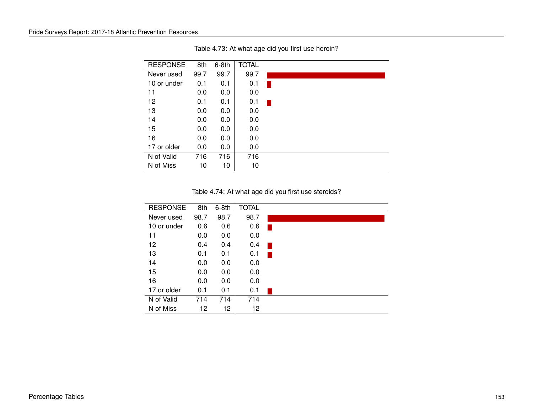| <b>RESPONSE</b> | 8th  | $6-8th$ | <b>TOTAL</b> |  |
|-----------------|------|---------|--------------|--|
| Never used      | 99.7 | 99.7    | 99.7         |  |
| 10 or under     | 0.1  | 0.1     | 0.1          |  |
| 11              | 0.0  | 0.0     | 0.0          |  |
| 12              | 0.1  | 0.1     | 0.1          |  |
| 13              | 0.0  | 0.0     | 0.0          |  |
| 14              | 0.0  | 0.0     | 0.0          |  |
| 15              | 0.0  | 0.0     | 0.0          |  |
| 16              | 0.0  | 0.0     | 0.0          |  |
| 17 or older     | 0.0  | 0.0     | 0.0          |  |
| N of Valid      | 716  | 716     | 716          |  |
| N of Miss       | 10   | 10      | 10           |  |

Table 4.73: At what age did you first use heroin?

Table 4.74: At what age did you first use steroids?

| <b>RESPONSE</b> | 8th  | $6-8th$ | <b>TOTAL</b> |  |
|-----------------|------|---------|--------------|--|
| Never used      | 98.7 | 98.7    | 98.7         |  |
| 10 or under     | 0.6  | 0.6     | 0.6          |  |
| 11              | 0.0  | 0.0     | 0.0          |  |
| 12              | 0.4  | 0.4     | 0.4          |  |
| 13              | 0.1  | 0.1     | 0.1          |  |
| 14              | 0.0  | 0.0     | 0.0          |  |
| 15              | 0.0  | 0.0     | 0.0          |  |
| 16              | 0.0  | 0.0     | 0.0          |  |
| 17 or older     | 0.1  | 0.1     | 0.1          |  |
| N of Valid      | 714  | 714     | 714          |  |
| N of Miss       | 12   | 12      | 12           |  |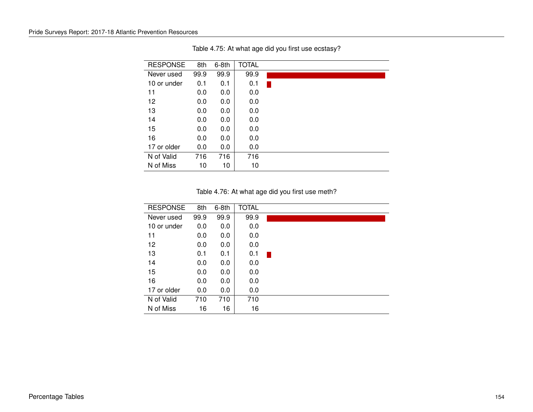| <b>RESPONSE</b> | 8th  | $6-8th$ | <b>TOTAL</b> |  |
|-----------------|------|---------|--------------|--|
| Never used      | 99.9 | 99.9    | 99.9         |  |
| 10 or under     | 0.1  | 0.1     | 0.1          |  |
| 11              | 0.0  | 0.0     | 0.0          |  |
| 12              | 0.0  | 0.0     | 0.0          |  |
| 13              | 0.0  | 0.0     | 0.0          |  |
| 14              | 0.0  | 0.0     | 0.0          |  |
| 15              | 0.0  | 0.0     | 0.0          |  |
| 16              | 0.0  | 0.0     | 0.0          |  |
| 17 or older     | 0.0  | 0.0     | 0.0          |  |
| N of Valid      | 716  | 716     | 716          |  |
| N of Miss       | 10   | 10      | 10           |  |

Table 4.75: At what age did you first use ecstasy?

Table 4.76: At what age did you first use meth?

| <b>RESPONSE</b> | 8th  | $6-8th$ | <b>TOTAL</b> |  |
|-----------------|------|---------|--------------|--|
| Never used      | 99.9 | 99.9    | 99.9         |  |
| 10 or under     | 0.0  | 0.0     | 0.0          |  |
| 11              | 0.0  | 0.0     | 0.0          |  |
| 12              | 0.0  | 0.0     | 0.0          |  |
| 13              | 0.1  | 0.1     | 0.1          |  |
| 14              | 0.0  | 0.0     | 0.0          |  |
| 15              | 0.0  | 0.0     | 0.0          |  |
| 16              | 0.0  | 0.0     | 0.0          |  |
| 17 or older     | 0.0  | 0.0     | 0.0          |  |
| N of Valid      | 710  | 710     | 710          |  |
| N of Miss       | 16   | 16      | 16           |  |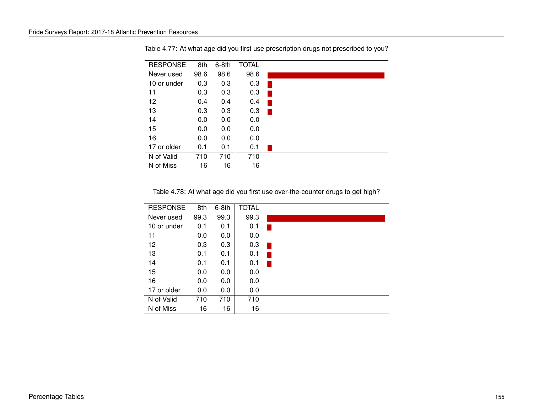| <b>RESPONSE</b> | 8th  | $6-8th$ | <b>TOTAL</b> |  |
|-----------------|------|---------|--------------|--|
| Never used      | 98.6 | 98.6    | 98.6         |  |
| 10 or under     | 0.3  | 0.3     | 0.3          |  |
| 11              | 0.3  | 0.3     | 0.3          |  |
| 12              | 0.4  | 0.4     | 0.4          |  |
| 13              | 0.3  | 0.3     | 0.3          |  |
| 14              | 0.0  | 0.0     | 0.0          |  |
| 15              | 0.0  | 0.0     | 0.0          |  |
| 16              | 0.0  | 0.0     | 0.0          |  |
| 17 or older     | 0.1  | 0.1     | 0.1          |  |
| N of Valid      | 710  | 710     | 710          |  |
| N of Miss       | 16   | 16      | 16           |  |

Table 4.77: At what age did you first use prescription drugs not prescribed to you?

Table 4.78: At what age did you first use over-the-counter drugs to get high?

| <b>RESPONSE</b> | 8th  | $6-8th$ | <b>TOTAL</b> |  |
|-----------------|------|---------|--------------|--|
| Never used      | 99.3 | 99.3    | 99.3         |  |
| 10 or under     | 0.1  | 0.1     | 0.1          |  |
| 11              | 0.0  | 0.0     | 0.0          |  |
| 12              | 0.3  | 0.3     | 0.3          |  |
| 13              | 0.1  | 0.1     | 0.1          |  |
| 14              | 0.1  | 0.1     | 0.1          |  |
| 15              | 0.0  | 0.0     | 0.0          |  |
| 16              | 0.0  | 0.0     | 0.0          |  |
| 17 or older     | 0.0  | 0.0     | 0.0          |  |
| N of Valid      | 710  | 710     | 710          |  |
| N of Miss       | 16   | 16      | 16           |  |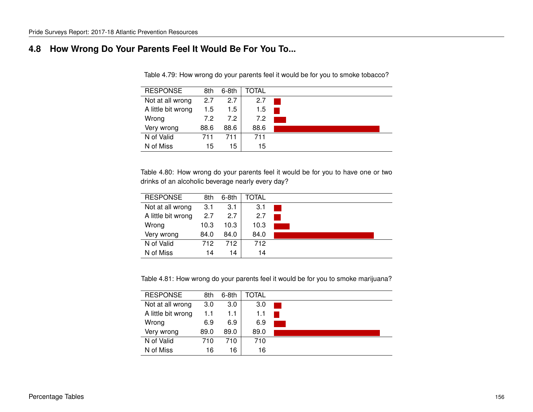### **4.8 How Wrong Do Your Parents Feel It Would Be For You To...**

Table 4.79: How wrong do your parents feel it would be for you to smoke tobacco?

| <b>RESPONSE</b>    | 8th  | $6-8th$ | TOTAL |  |
|--------------------|------|---------|-------|--|
| Not at all wrong   | 2.7  | 2.7     | 2.7   |  |
| A little bit wrong | 1.5  | 1.5     | 1.5   |  |
| Wrong              | 7.2  | 7.2     | 7.2   |  |
| Very wrong         | 88.6 | 88.6    | 88.6  |  |
| N of Valid         | 711  | 711     | 711   |  |
| N of Miss          | 15   | 15      | 15    |  |

Table 4.80: How wrong do your parents feel it would be for you to have one or two drinks of an alcoholic beverage nearly every day?

| <b>RESPONSE</b>    | 8th  | $6-8th$ | TOTAL |  |
|--------------------|------|---------|-------|--|
| Not at all wrong   | 3.1  | 3.1     | 3.1   |  |
| A little bit wrong | 2.7  | 2.7     | 2.7   |  |
| Wrong              | 10.3 | 10.3    | 10.3  |  |
| Very wrong         | 84.0 | 84.0    | 84.0  |  |
| N of Valid         | 712  | 712.    | 712   |  |
| N of Miss          | 14   | 14      | 14    |  |

Table 4.81: How wrong do your parents feel it would be for you to smoke marijuana?

| <b>RESPONSE</b>    | 8th  | $6-8th$ | TOTAL |  |
|--------------------|------|---------|-------|--|
| Not at all wrong   | 3.0  | 3.0     | 3.0   |  |
| A little bit wrong | 1.1  | 1.1     | 1.1   |  |
| Wrong              | 6.9  | 6.9     | 6.9   |  |
| Very wrong         | 89.0 | 89.0    | 89.0  |  |
| N of Valid         | 710  | 710     | 710   |  |
| N of Miss          | 16   | 16      | 16    |  |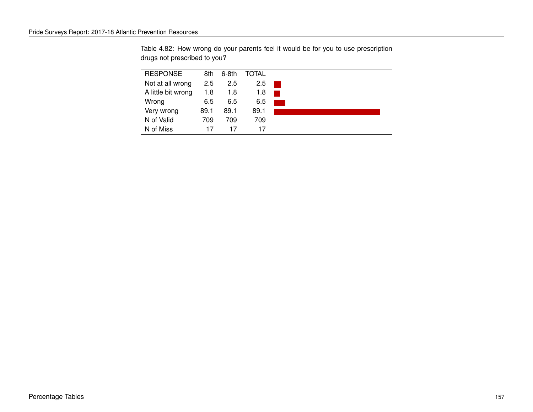Table 4.82: How wrong do your parents feel it would be for you to use prescription drugs not prescribed to you?

| <b>RESPONSE</b>    | 8th  | $6-8th$ | TOTAL |  |
|--------------------|------|---------|-------|--|
| Not at all wrong   | 2.5  | 2.5     | 2.5   |  |
| A little bit wrong | 1.8  | 1.8     | 1.8   |  |
| Wrong              | 6.5  | 6.5     | 6.5   |  |
| Very wrong         | 89.1 | 89.1    | 89.1  |  |
| N of Valid         | 709  | 709     | 709   |  |
| N of Miss          | 17   | 17      | 17    |  |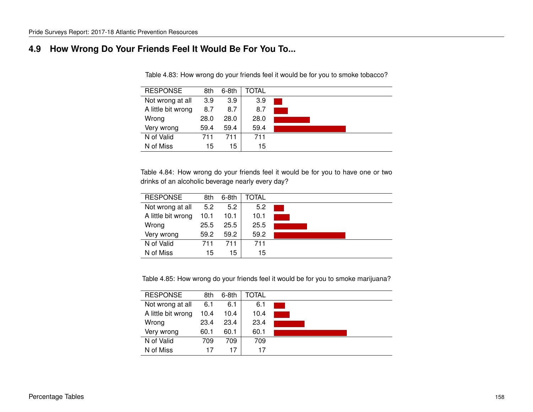### **4.9 How Wrong Do Your Friends Feel It Would Be For You To...**

| <b>RESPONSE</b>    | 8th  | $6-8th$ | TOTAL |  |
|--------------------|------|---------|-------|--|
| Not wrong at all   | 3.9  | 3.9     | 3.9   |  |
| A little bit wrong | 8.7  | 8.7     | 8.7   |  |
| Wrong              | 28.0 | 28.0    | 28.0  |  |
| Very wrong         | 59.4 | 59.4    | 59.4  |  |
| N of Valid         | 711  | 711     | 711   |  |
| N of Miss          | 15   | 15      | 15    |  |
|                    |      |         |       |  |

Table 4.83: How wrong do your friends feel it would be for you to smoke tobacco?

Table 4.84: How wrong do your friends feel it would be for you to have one or two drinks of an alcoholic beverage nearly every day?

| <b>RESPONSE</b>    | 8th  | 6-8th | TOTAL |  |
|--------------------|------|-------|-------|--|
| Not wrong at all   | 5.2  | 5.2   | 5.2   |  |
| A little bit wrong | 10.1 | 10.1  | 10.1  |  |
| Wrong              | 25.5 | 25.5  | 25.5  |  |
| Very wrong         | 59.2 | 59.2  | 59.2  |  |
| N of Valid         | 711  | 711   | 711   |  |
| N of Miss          | 15   | 15    | 15    |  |

Table 4.85: How wrong do your friends feel it would be for you to smoke marijuana?

| <b>RESPONSE</b>    | 8th  | $6-8th$ | TOTAL |  |
|--------------------|------|---------|-------|--|
| Not wrong at all   | 6.1  | 6.1     | 6.1   |  |
| A little bit wrong | 10.4 | 10.4    | 10.4  |  |
| Wrong              | 23.4 | 23.4    | 23.4  |  |
| Very wrong         | 60.1 | 60.1    | 60.1  |  |
| N of Valid         | 709  | 709     | 709   |  |
| N of Miss          | 17   | 17      | 17    |  |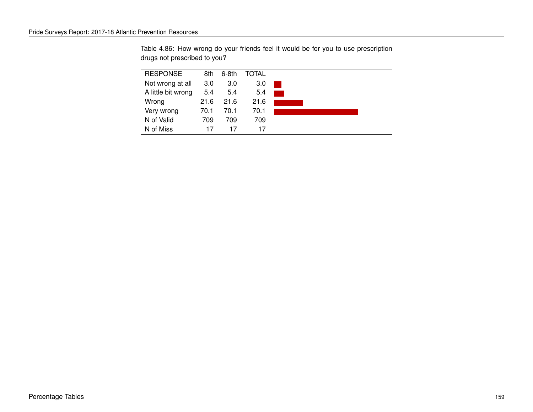Table 4.86: How wrong do your friends feel it would be for you to use prescription drugs not prescribed to you?

| <b>RESPONSE</b>    | 8th  | $6-8th$ | TOTAL |  |
|--------------------|------|---------|-------|--|
| Not wrong at all   | 3.0  | 3.0     | 3.0   |  |
| A little bit wrong | 5.4  | 5.4     | 5.4   |  |
| Wrong              | 21.6 | 21.6    | 21.6  |  |
| Very wrong         | 70.1 | 70.1    | 70.1  |  |
| N of Valid         | 709  | 709     | 709   |  |
| N of Miss          | 17   | 17      | 17    |  |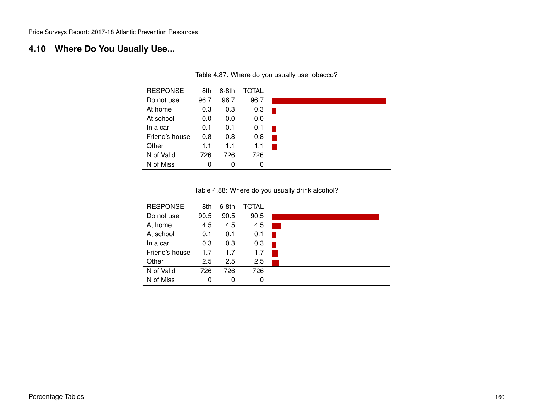# **4.10 Where Do You Usually Use...**

| <b>RESPONSE</b> | 8th  | 6-8th | TOTAL |  |
|-----------------|------|-------|-------|--|
| Do not use      | 96.7 | 96.7  | 96.7  |  |
| At home         | 0.3  | 0.3   | 0.3   |  |
| At school       | 0.0  | 0.0   | 0.0   |  |
| In a car        | 0.1  | 0.1   | 0.1   |  |
| Friend's house  | 0.8  | 0.8   | 0.8   |  |
| Other           | 1.1  | 1.1   | 1.1   |  |
| N of Valid      | 726  | 726   | 726   |  |
| N of Miss       | 0    | 0     | 0     |  |

Table 4.87: Where do you usually use tobacco?

Table 4.88: Where do you usually drink alcohol?

| <b>RESPONSE</b> | 8th  | $6-8th$ | <b>TOTAL</b> |  |
|-----------------|------|---------|--------------|--|
| Do not use      | 90.5 | 90.5    | 90.5         |  |
| At home         | 4.5  | 4.5     | 4.5          |  |
| At school       | 0.1  | 0.1     | 0.1          |  |
| In a car        | 0.3  | 0.3     | 0.3          |  |
| Friend's house  | 1.7  | 1.7     | 1.7          |  |
| Other           | 2.5  | 2.5     | 2.5          |  |
| N of Valid      | 726  | 726     | 726          |  |
| N of Miss       | 0    | 0       | 0            |  |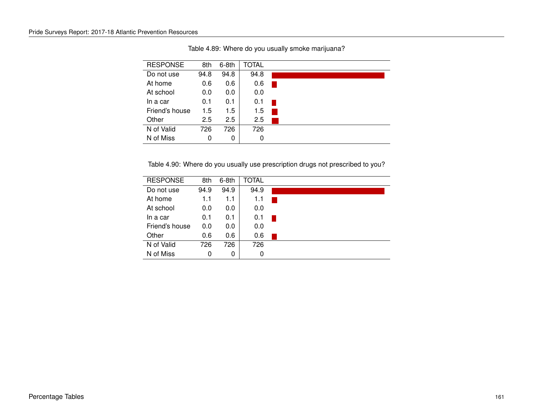| <b>RESPONSE</b> | 8th  | $6-8th$ | <b>TOTAL</b> |  |  |
|-----------------|------|---------|--------------|--|--|
| Do not use      | 94.8 | 94.8    | 94.8         |  |  |
| At home         | 0.6  | 0.6     | 0.6          |  |  |
| At school       | 0.0  | 0.0     | 0.0          |  |  |
| In a car        | 0.1  | 0.1     | 0.1          |  |  |
| Friend's house  | 1.5  | 1.5     | 1.5          |  |  |
| Other           | 2.5  | 2.5     | 2.5          |  |  |
| N of Valid      | 726  | 726     | 726          |  |  |
| N of Miss       | 0    | 0       | 0            |  |  |

Table 4.89: Where do you usually smoke marijuana?

Table 4.90: Where do you usually use prescription drugs not prescribed to you?

| <b>RESPONSE</b> | 8th  | $6-8th$ | TOTAL |  |
|-----------------|------|---------|-------|--|
| Do not use      | 94.9 | 94.9    | 94.9  |  |
| At home         | 1.1  | 1.1     | 1.1   |  |
| At school       | 0.0  | 0.0     | 0.0   |  |
| In a car        | 0.1  | 0.1     | 0.1   |  |
| Friend's house  | 0.0  | 0.0     | 0.0   |  |
| Other           | 0.6  | 0.6     | 0.6   |  |
| N of Valid      | 726  | 726     | 726   |  |
| N of Miss       | 0    | 0       | 0     |  |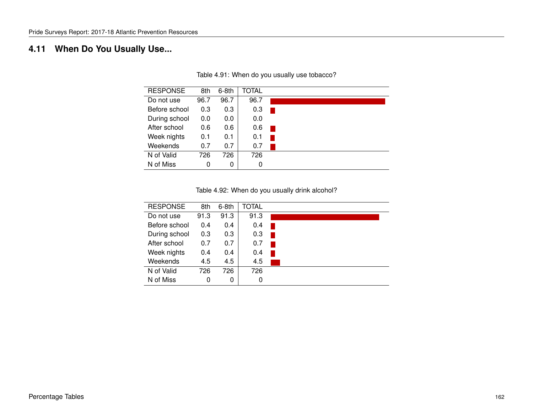# **4.11 When Do You Usually Use...**

| <b>RESPONSE</b> | 8th  | $6-8th$ | <b>TOTAL</b> |  |
|-----------------|------|---------|--------------|--|
| Do not use      | 96.7 | 96.7    | 96.7         |  |
| Before school   | 0.3  | 0.3     | 0.3          |  |
| During school   | 0.0  | 0.0     | 0.0          |  |
| After school    | 0.6  | 0.6     | 0.6          |  |
| Week nights     | 0.1  | 0.1     | 0.1          |  |
| Weekends        | 0.7  | 0.7     | 0.7          |  |
| N of Valid      | 726  | 726     | 726          |  |
| N of Miss       | 0    | 0       | 0            |  |

Table 4.91: When do you usually use tobacco?

Table 4.92: When do you usually drink alcohol?

| <b>RESPONSE</b> | 8th  | $6-8th$ | <b>TOTAL</b> |  |
|-----------------|------|---------|--------------|--|
| Do not use      | 91.3 | 91.3    | 91.3         |  |
| Before school   | 0.4  | 0.4     | 0.4          |  |
| During school   | 0.3  | 0.3     | 0.3          |  |
| After school    | 0.7  | 0.7     | 0.7          |  |
| Week nights     | 0.4  | 0.4     | 0.4          |  |
| Weekends        | 4.5  | 4.5     | 4.5          |  |
| N of Valid      | 726  | 726     | 726          |  |
| N of Miss       | 0    | 0       | 0            |  |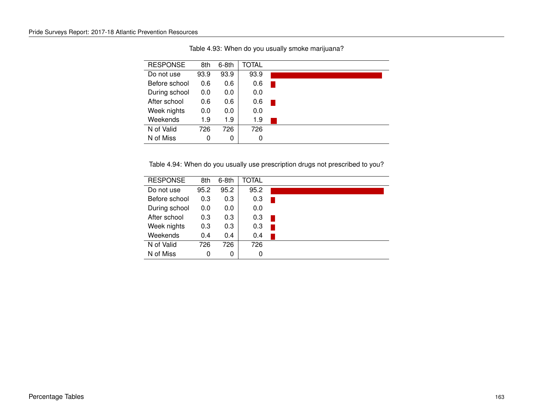| <b>RESPONSE</b> | 8th  | $6-8th$ | <b>TOTAL</b> |  |
|-----------------|------|---------|--------------|--|
| Do not use      | 93.9 | 93.9    | 93.9         |  |
| Before school   | 0.6  | 0.6     | 0.6          |  |
| During school   | 0.0  | 0.0     | 0.0          |  |
| After school    | 0.6  | 0.6     | 0.6          |  |
| Week nights     | 0.0  | 0.0     | 0.0          |  |
| Weekends        | 1.9  | 1.9     | 1.9          |  |
| N of Valid      | 726  | 726     | 726          |  |
| N of Miss       | 0    | 0       | 0            |  |

Table 4.93: When do you usually smoke marijuana?

Table 4.94: When do you usually use prescription drugs not prescribed to you?

| <b>RESPONSE</b> | 8th  | $6-8th$       | <b>TOTAL</b> |  |
|-----------------|------|---------------|--------------|--|
| Do not use      | 95.2 | 95.2          | 95.2         |  |
| Before school   | 0.3  | 0.3           | 0.3          |  |
| During school   | 0.0  | 0.0           | 0.0          |  |
| After school    | 0.3  | 0.3           | 0.3          |  |
| Week nights     | 0.3  | 0.3           | 0.3          |  |
| Weekends        | 0.4  | $0.4^{\circ}$ | 0.4          |  |
| N of Valid      | 726  | 726           | 726          |  |
| N of Miss       | 0    | 0             | 0            |  |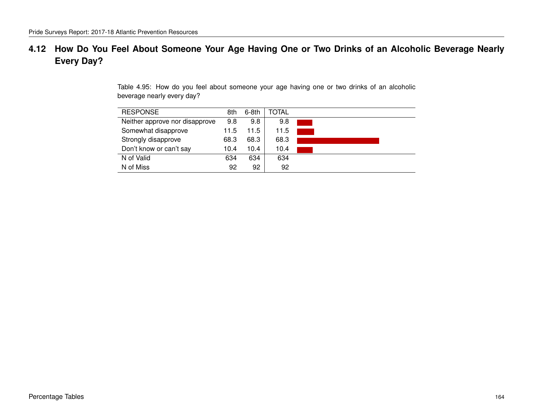## **4.12 How Do You Feel About Someone Your Age Having One or Two Drinks of an Alcoholic Beverage Nearly Every Day?**

Table 4.95: How do you feel about someone your age having one or two drinks of an alcoholic beverage nearly every day?

| <b>RESPONSE</b>                | 8th  | $6-8th$ | TOTAL |  |
|--------------------------------|------|---------|-------|--|
| Neither approve nor disapprove | 9.8  | 9.8     | 9.8   |  |
| Somewhat disapprove            | 11.5 | 11.5    | 11.5  |  |
| Strongly disapprove            | 68.3 | 68.3    | 68.3  |  |
| Don't know or can't say        | 10.4 | 10.4    | 10.4  |  |
| N of Valid                     | 634  | 634     | 634   |  |
| N of Miss                      | 92   | 92      | 92    |  |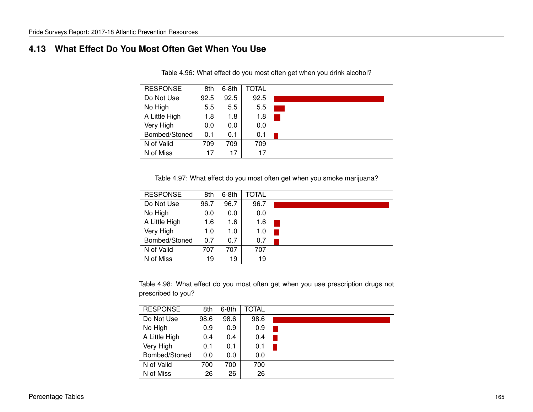### **4.13 What Effect Do You Most Often Get When You Use**

| <b>RESPONSE</b> | 8th  | $6-8th$ | <b>TOTAL</b> |
|-----------------|------|---------|--------------|
| Do Not Use      | 92.5 | 92.5    | 92.5         |
| No High         | 5.5  | 5.5     | 5.5          |
| A Little High   | 1.8  | 1.8     | 1.8          |
| Very High       | 0.0  | 0.0     | 0.0          |
| Bombed/Stoned   | 0.1  | 0.1     | 0.1          |
| N of Valid      | 709  | 709     | 709          |
| N of Miss       | 17   | 17      | 17           |

Table 4.96: What effect do you most often get when you drink alcohol?

Table 4.97: What effect do you most often get when you smoke marijuana?

| <b>RESPONSE</b> | 8th  | $6-8th$ | TOTAL |  |
|-----------------|------|---------|-------|--|
| Do Not Use      | 96.7 | 96.7    | 96.7  |  |
| No High         | 0.0  | 0.0     | 0.0   |  |
| A Little High   | 1.6  | 1.6     | 1.6   |  |
| Very High       | 1.0  | 1.0     | 1.0   |  |
| Bombed/Stoned   | 0.7  | 0.7     | 0.7   |  |
| N of Valid      | 707  | 707     | 707   |  |
| N of Miss       | 19   | 19      | 19    |  |

Table 4.98: What effect do you most often get when you use prescription drugs not prescribed to you?

| <b>RESPONSE</b> | 8th  | $6-8th$ | TOTAL |  |
|-----------------|------|---------|-------|--|
| Do Not Use      | 98.6 | 98.6    | 98.6  |  |
| No High         | 0.9  | 0.9     | 0.9   |  |
| A Little High   | 0.4  | 0.4     | 0.4   |  |
| Very High       | 0.1  | 0.1     | 0.1   |  |
| Bombed/Stoned   | 0.0  | 0.0     | 0.0   |  |
| N of Valid      | 700  | 700     | 700   |  |
| N of Miss       | 26   | 26      | 26    |  |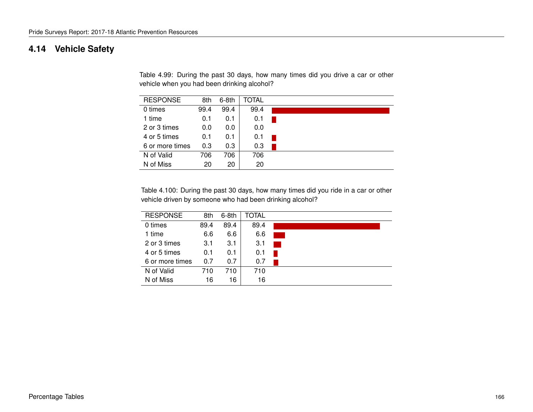### **4.14 Vehicle Safety**

Table 4.99: During the past 30 days, how many times did you drive a car or other vehicle when you had been drinking alcohol?

| <b>RESPONSE</b> | 8th  | $6-8th$ | TOTAL |  |  |
|-----------------|------|---------|-------|--|--|
| 0 times         | 99.4 | 99.4    | 99.4  |  |  |
| 1 time          | 0.1  | 0.1     | 0.1   |  |  |
| 2 or 3 times    | 0.0  | 0.0     | 0.0   |  |  |
| 4 or 5 times    | 0.1  | 0.1     | 0.1   |  |  |
| 6 or more times | 0.3  | 0.3     | 0.3   |  |  |
| N of Valid      | 706  | 706     | 706   |  |  |
| N of Miss       | 20   | 20      | 20    |  |  |

Table 4.100: During the past 30 days, how many times did you ride in a car or other vehicle driven by someone who had been drinking alcohol?

| <b>RESPONSE</b> | 8th  | $6-8th$ | TOTAL |                        |
|-----------------|------|---------|-------|------------------------|
| 0 times         | 89.4 | 89.4    | 89.4  |                        |
| 1 time          | 6.6  | 6.6     | 6.6   |                        |
| 2 or 3 times    | 3.1  | 3.1     | 3.1   | <b>Service Service</b> |
| 4 or 5 times    | 0.1  | 0.1     | 0.1   |                        |
| 6 or more times | 0.7  | 0.7     | 0.7   |                        |
| N of Valid      | 710  | 710     | 710   |                        |
| N of Miss       | 16   | 16      | 16    |                        |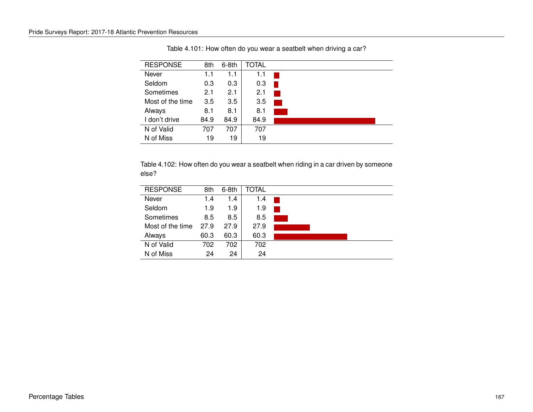| <b>RESPONSE</b>  | 8th  | $6-8th$ | <b>TOTAL</b> |                        |
|------------------|------|---------|--------------|------------------------|
| Never            | 1.1  | 1.1     | 1.1          |                        |
| Seldom           | 0.3  | 0.3     | 0.3          |                        |
| Sometimes        | 2.1  | 2.1     | 2.1          | <b>Service Service</b> |
| Most of the time | 3.5  | 3.5     | 3.5          | <b>CONTRACTOR</b>      |
| Always           | 8.1  | 8.1     | 8.1          |                        |
| I don't drive    | 84.9 | 84.9    | 84.9         |                        |
| N of Valid       | 707  | 707     | 707          |                        |
| N of Miss        | 19   | 19      | 19           |                        |

Table 4.101: How often do you wear a seatbelt when driving a car?

Table 4.102: How often do you wear a seatbelt when riding in a car driven by someone else?

| <b>RESPONSE</b>  | 8th  | $6-8th$ | TOTAL |  |
|------------------|------|---------|-------|--|
| Never            | 1.4  | 1.4     | 1.4   |  |
| Seldom           | 1.9  | 1.9     | 1.9   |  |
| Sometimes        | 8.5  | 8.5     | 8.5   |  |
| Most of the time | 27.9 | 27.9    | 27.9  |  |
| Always           | 60.3 | 60.3    | 60.3  |  |
| N of Valid       | 702  | 702     | 702   |  |
| N of Miss        | 24   | 24      | 24    |  |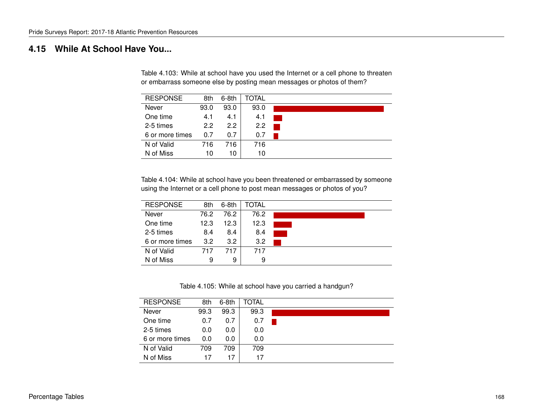### **4.15 While At School Have You...**

Table 4.103: While at school have you used the Internet or a cell phone to threaten or embarrass someone else by posting mean messages or photos of them?

| <b>RESPONSE</b> | 8th  | 6-8th         | TOTAL |  |
|-----------------|------|---------------|-------|--|
| Never           | 93.0 | 93.0          | 93.0  |  |
| One time        | 4.1  | 4.1           | 4.1   |  |
| 2-5 times       | 2.2  | $2.2^{\circ}$ | 2.2   |  |
| 6 or more times | 0.7  | 0.7           | 0.7   |  |
| N of Valid      | 716  | 716           | 716   |  |
| N of Miss       | 10   | 10            | 10    |  |

Table 4.104: While at school have you been threatened or embarrassed by someone using the Internet or a cell phone to post mean messages or photos of you?

| <b>RESPONSE</b> | 8th  | $6-8th$ | TOTAL |  |
|-----------------|------|---------|-------|--|
| Never           | 76.2 | 76.2    | 76.2  |  |
| One time        | 12.3 | 12.3    | 12.3  |  |
| 2-5 times       | 8.4  | 8.4     | 8.4   |  |
| 6 or more times | 3.2  | 3.2     | 3.2   |  |
| N of Valid      | 717  | 717     | 717   |  |
| N of Miss       | 9    | 9       | 9     |  |

Table 4.105: While at school have you carried a handgun?

| <b>RESPONSE</b> | 8th  | $6-8th$ | TOTAL |  |
|-----------------|------|---------|-------|--|
| Never           | 99.3 | 99.3    | 99.3  |  |
| One time        | 0.7  | 0.7     | 0.7   |  |
| 2-5 times       | 0.0  | 0.0     | 0.0   |  |
| 6 or more times | 0.0  | 0.0     | 0.0   |  |
| N of Valid      | 709  | 709     | 709   |  |
| N of Miss       | 17   | 17      | 17    |  |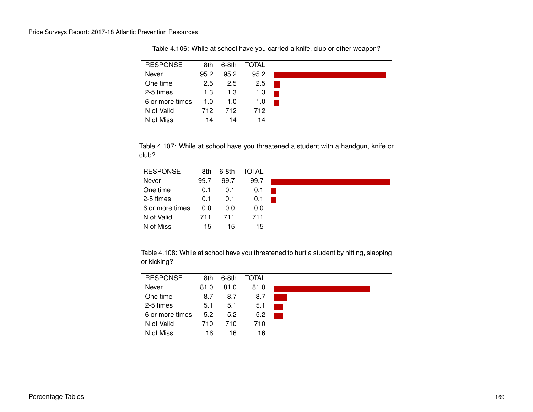| <b>RESPONSE</b> | 8th  | $6-8th$ | TOTAL |  |
|-----------------|------|---------|-------|--|
| Never           | 95.2 | 95.2    | 95.2  |  |
| One time        | 2.5  | 2.5     | 2.5   |  |
| 2-5 times       | 1.3  | 1.3     | 1.3   |  |
| 6 or more times | 1.0  | 1.O     | 1.0   |  |
| N of Valid      | 712  | 712.    | 712   |  |
| N of Miss       | 14   | 14      | 14    |  |

Table 4.106: While at school have you carried a knife, club or other weapon?

Table 4.107: While at school have you threatened a student with a handgun, knife or club?

| <b>RESPONSE</b> | 8th  | $6-8th$ | TOTAL |  |  |  |
|-----------------|------|---------|-------|--|--|--|
| Never           | 99.7 | 99.7    | 99.7  |  |  |  |
| One time        | 0.1  | 0.1     | 0.1   |  |  |  |
| 2-5 times       | 0.1  | 0.1     | 0.1   |  |  |  |
| 6 or more times | 0.0  | 0.0     | 0.0   |  |  |  |
| N of Valid      | 711  | 711     | 711   |  |  |  |
| N of Miss       | 15   | 15      | 15    |  |  |  |

Table 4.108: While at school have you threatened to hurt a student by hitting, slapping or kicking?

| <b>RESPONSE</b> | 8th  | $6-8th$       | TOTAL |  |
|-----------------|------|---------------|-------|--|
| Never           | 81.0 | 81.0          | 81.0  |  |
| One time        | 8.7  | 8.7           | 8.7   |  |
| 2-5 times       | 5.1  | 5.1           | 5.1   |  |
| 6 or more times | 5.2  | $5.2^{\circ}$ | 5.2   |  |
| N of Valid      | 710  | 710           | 710   |  |
| N of Miss       | 16   | 16            | 16    |  |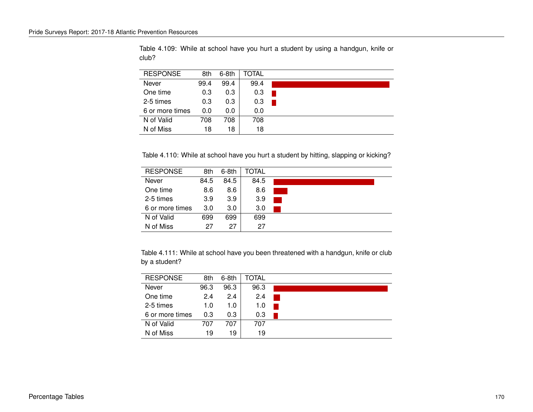| <b>RESPONSE</b> | 8th  | $6-8th$ | TOTAL |  |
|-----------------|------|---------|-------|--|
| Never           | 99.4 | 99.4    | 99.4  |  |
| One time        | 0.3  | 0.3     | 0.3   |  |
| 2-5 times       | 0.3  | 0.3     | 0.3   |  |
| 6 or more times | 0.0  | 0.0     | 0.0   |  |
| N of Valid      | 708  | 708     | 708   |  |
| N of Miss       | 18   | 18      | 18    |  |

Table 4.109: While at school have you hurt a student by using a handgun, knife or club?

Table 4.110: While at school have you hurt a student by hitting, slapping or kicking?

| <b>RESPONSE</b> | 8th  | $6-8th$          | TOTAL |  |
|-----------------|------|------------------|-------|--|
| Never           | 84.5 | 84.5             | 84.5  |  |
| One time        | 8.6  | 8.6              | 8.6   |  |
| 2-5 times       | 3.9  | 3.9              | 3.9   |  |
| 6 or more times | 3.0  | 3.0 <sub>2</sub> | 3.0   |  |
| N of Valid      | 699  | 699              | 699   |  |
| N of Miss       | 27   | 27               | 27    |  |

Table 4.111: While at school have you been threatened with a handgun, knife or club by a student?

| <b>RESPONSE</b> | 8th  | $6-8th$ | TOTAL |  |
|-----------------|------|---------|-------|--|
| Never           | 96.3 | 96.3    | 96.3  |  |
| One time        | 2.4  | 2.4     | 2.4   |  |
| 2-5 times       | 1.0  | 1.0     | 1.0   |  |
| 6 or more times | 0.3  | 0.3     | 0.3   |  |
| N of Valid      | 707  | 707     | 707   |  |
| N of Miss       | 19   | 19      | 19    |  |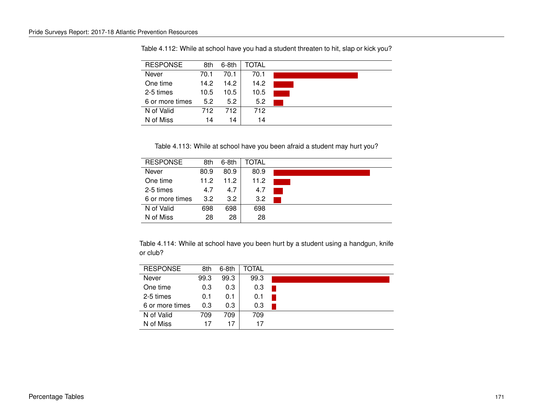| <b>RESPONSE</b> | 8th  | $6-8th$ | TOTAL |  |
|-----------------|------|---------|-------|--|
| Never           | 70.1 | 70.1    | 70.1  |  |
| One time        | 14.2 | 14.2    | 14.2  |  |
| 2-5 times       | 10.5 | 10.5    | 10.5  |  |
| 6 or more times | 5.2  | 5.2     | 5.2   |  |
| N of Valid      | 712  | 712.    | 712   |  |
| N of Miss       | 14   | 14      | 14    |  |

Table 4.112: While at school have you had a student threaten to hit, slap or kick you?

Table 4.113: While at school have you been afraid a student may hurt you?

| <b>RESPONSE</b> | 8th  | $6-8th$ | TOTAL |  |
|-----------------|------|---------|-------|--|
| Never           | 80.9 | 80.9    | 80.9  |  |
| One time        | 11.2 | 11.2    | 11.2  |  |
| 2-5 times       | 4.7  | 4.7     | 4.7   |  |
| 6 or more times | 3.2  | 3.2     | 3.2   |  |
| N of Valid      | 698  | 698     | 698   |  |
| N of Miss       | 28   | 28      | 28    |  |

Table 4.114: While at school have you been hurt by a student using a handgun, knife or club?

| <b>RESPONSE</b> | 8th  | $6-8th$ | TOTAL |
|-----------------|------|---------|-------|
| Never           | 99.3 | 99.3    | 99.3  |
| One time        | 0.3  | 0.3     | 0.3   |
| 2-5 times       | 0.1  | 0.1     | 0.1   |
| 6 or more times | 0.3  | 0.3     | 0.3   |
| N of Valid      | 709  | 709     | 709   |
| N of Miss       | 17   | 17      | 17    |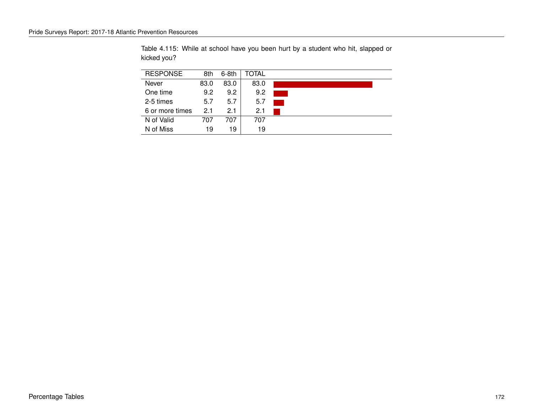| <b>RESPONSE</b> | 8th  | $6-8th$ | TOTAL |  |
|-----------------|------|---------|-------|--|
| Never           | 83.0 | 83.0    | 83.0  |  |
| One time        | 9.2  | 9.2     | 9.2   |  |
| 2-5 times       | 5.7  | 5.7     | 5.7   |  |
| 6 or more times | 2.1  | 21      | 2.1   |  |
| N of Valid      | 707  | 707     | 707   |  |
| N of Miss       | 19   | 19      | 19    |  |

Table 4.115: While at school have you been hurt by a student who hit, slapped or kicked you?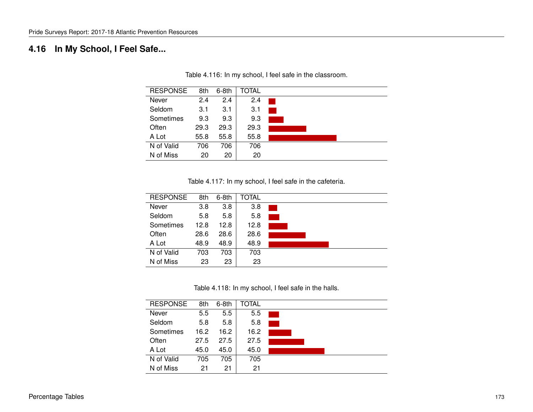# **4.16 In My School, I Feel Safe...**

| <b>RESPONSE</b> | 8th  | $6-8th$ | <b>TOTAL</b> |  |
|-----------------|------|---------|--------------|--|
| Never           | 2.4  | 2.4     | 2.4          |  |
| Seldom          | 3.1  | 3.1     | 3.1          |  |
| Sometimes       | 9.3  | 9.3     | 9.3          |  |
| Often           | 29.3 | 29.3    | 29.3         |  |
| A Lot           | 55.8 | 55.8    | 55.8         |  |
| N of Valid      | 706  | 706     | 706          |  |
| N of Miss       | 20   | 20      | 20           |  |

Table 4.116: In my school, I feel safe in the classroom.

Table 4.117: In my school, I feel safe in the cafeteria.

| <b>RESPONSE</b> | 8th  | $6-8th$ | <b>TOTAL</b> |  |
|-----------------|------|---------|--------------|--|
| Never           | 3.8  | 3.8     | 3.8          |  |
| Seldom          | 5.8  | 5.8     | 5.8          |  |
| Sometimes       | 12.8 | 12.8    | 12.8         |  |
| Often           | 28.6 | 28.6    | 28.6         |  |
| A Lot           | 48.9 | 48.9    | 48.9         |  |
| N of Valid      | 703  | 703     | 703          |  |
| N of Miss       | 23   | 23      | 23           |  |

Table 4.118: In my school, I feel safe in the halls.

| <b>RESPONSE</b> | 8th  | $6-8th$ | <b>TOTAL</b> |  |
|-----------------|------|---------|--------------|--|
| Never           | 5.5  | 5.5     | 5.5          |  |
| Seldom          | 5.8  | 5.8     | 5.8          |  |
| Sometimes       | 16.2 | 16.2    | 16.2         |  |
| Often           | 27.5 | 27.5    | 27.5         |  |
| A Lot           | 45.0 | 45.0    | 45.0         |  |
| N of Valid      | 705  | 705     | 705          |  |
| N of Miss       | 21   | 21      | 21           |  |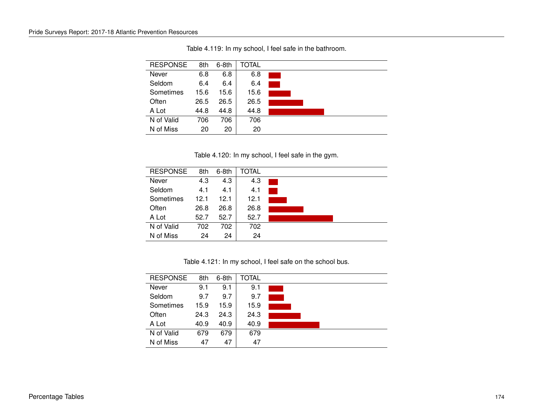| <b>RESPONSE</b> | 8th  | $6-8th$ | <b>TOTAL</b> |  |
|-----------------|------|---------|--------------|--|
| Never           | 6.8  | 6.8     | 6.8          |  |
| Seldom          | 6.4  | 6.4     | 6.4          |  |
| Sometimes       | 15.6 | 15.6    | 15.6         |  |
| Often           | 26.5 | 26.5    | 26.5         |  |
| A Lot           | 44.8 | 44.8    | 44.8         |  |
| N of Valid      | 706  | 706     | 706          |  |
| N of Miss       | 20   | 20      | 20           |  |

Table 4.119: In my school, I feel safe in the bathroom.

Table 4.120: In my school, I feel safe in the gym.

| <b>RESPONSE</b> | 8th  | $6-8th$ | TOTAL |  |
|-----------------|------|---------|-------|--|
| Never           | 4.3  | 4.3     | 4.3   |  |
| Seldom          | 4.1  | 4.1     | 4.1   |  |
| Sometimes       | 12.1 | 12.1    | 12.1  |  |
| Often           | 26.8 | 26.8    | 26.8  |  |
| A Lot           | 52.7 | 52.7    | 52.7  |  |
| N of Valid      | 702  | 702     | 702   |  |
| N of Miss       | 24   | 24      | 24    |  |

Table 4.121: In my school, I feel safe on the school bus.

| <b>RESPONSE</b> | 8th  | $6-8th$ | TOTAL |  |
|-----------------|------|---------|-------|--|
| Never           | 9.1  | 9.1     | 9.1   |  |
| Seldom          | 9.7  | 9.7     | 9.7   |  |
| Sometimes       | 15.9 | 15.9    | 15.9  |  |
| Often           | 24.3 | 24.3    | 24.3  |  |
| A Lot           | 40.9 | 40.9    | 40.9  |  |
| N of Valid      | 679  | 679     | 679   |  |
| N of Miss       | 47   | 47      | 47    |  |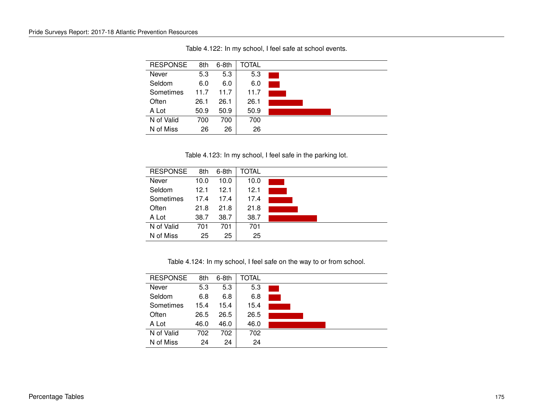| <b>RESPONSE</b> | 8th  | $6-8th$ | TOTAL |  |
|-----------------|------|---------|-------|--|
| Never           | 5.3  | 5.3     | 5.3   |  |
| Seldom          | 6.0  | 6.0     | 6.0   |  |
| Sometimes       | 11.7 | 11.7    | 11.7  |  |
| Often           | 26.1 | 26.1    | 26.1  |  |
| A Lot           | 50.9 | 50.9    | 50.9  |  |
| N of Valid      | 700  | 700     | 700   |  |
| N of Miss       | 26   | 26      | 26    |  |

Table 4.122: In my school, I feel safe at school events.

Table 4.123: In my school, I feel safe in the parking lot.

| <b>RESPONSE</b> | 8th  | $6-8th$ | TOTAL |  |
|-----------------|------|---------|-------|--|
| Never           | 10.0 | 10.0    | 10.0  |  |
| Seldom          | 12.1 | 12.1    | 12.1  |  |
| Sometimes       | 17.4 | 17.4    | 17.4  |  |
| Often           | 21.8 | 21.8    | 21.8  |  |
| A Lot           | 38.7 | 38.7    | 38.7  |  |
| N of Valid      | 701  | 701     | 701   |  |
| N of Miss       | 25   | 25      | 25    |  |

Table 4.124: In my school, I feel safe on the way to or from school.

| <b>RESPONSE</b> | 8th  | $6-8th$ | TOTAL |  |
|-----------------|------|---------|-------|--|
| Never           | 5.3  | 5.3     | 5.3   |  |
| Seldom          | 6.8  | 6.8     | 6.8   |  |
| Sometimes       | 15.4 | 15.4    | 15.4  |  |
| Often           | 26.5 | 26.5    | 26.5  |  |
| A Lot           | 46.0 | 46.0    | 46.0  |  |
| N of Valid      | 702  | 702     | 702   |  |
| N of Miss       | 24   | 24      | 24    |  |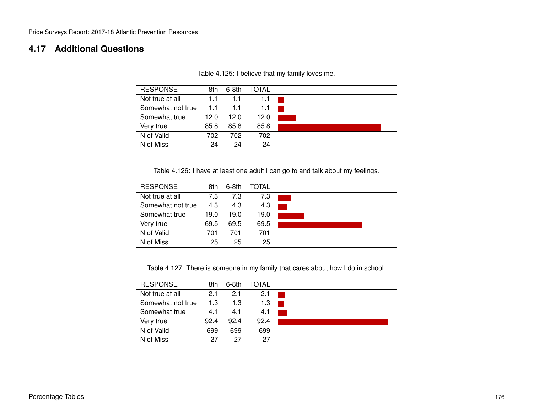### **4.17 Additional Questions**

| <b>RESPONSE</b>   | 8th  | $6-8th$ | TOTAL |  |
|-------------------|------|---------|-------|--|
| Not true at all   | 1.1  | 1.1     | 1.1   |  |
| Somewhat not true | 1.1  | 1.1     | 1.1   |  |
| Somewhat true     | 12.0 | 12.0    | 12.0  |  |
| Very true         | 85.8 | 85.8    | 85.8  |  |
| N of Valid        | 702  | 702     | 702   |  |
| N of Miss         | 24   | 24      | 24    |  |

Table 4.125: I believe that my family loves me.

Table 4.126: I have at least one adult I can go to and talk about my feelings.

| <b>RESPONSE</b>   | 8th  | $6-8th$ | TOTAL |  |
|-------------------|------|---------|-------|--|
| Not true at all   | 7.3  | 7.3     | 7.3   |  |
| Somewhat not true | 4.3  | 4.3     | 4.3   |  |
| Somewhat true     | 19.0 | 19.0    | 19.0  |  |
| Very true         | 69.5 | 69.5    | 69.5  |  |
| N of Valid        | 701  | 701     | 701   |  |
| N of Miss         | 25   | 25      | 25    |  |

Table 4.127: There is someone in my family that cares about how I do in school.

| <b>RESPONSE</b>   | 8th  | $6-8th$ | TOTAL |  |
|-------------------|------|---------|-------|--|
| Not true at all   | 2.1  | 2.1     | 2.1   |  |
| Somewhat not true | 1.3  | 1.3     | 1.3   |  |
| Somewhat true     | 4.1  | 4.1     | 4.1   |  |
| Very true         | 92.4 | 92.4    | 92.4  |  |
| N of Valid        | 699  | 699     | 699   |  |
| N of Miss         | 27   | 27      | 27    |  |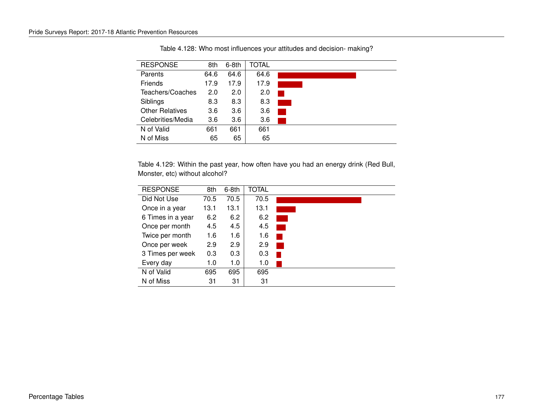| <b>RESPONSE</b>        | 8th  | $6-8th$ | TOTAL |  |
|------------------------|------|---------|-------|--|
| Parents                | 64.6 | 64.6    | 64.6  |  |
| Friends                | 17.9 | 17.9    | 17.9  |  |
| Teachers/Coaches       | 2.0  | 2.0     | 2.0   |  |
| Siblings               | 8.3  | 8.3     | 8.3   |  |
| <b>Other Relatives</b> | 3.6  | 3.6     | 3.6   |  |
| Celebrities/Media      | 3.6  | 3.6     | 3.6   |  |
| N of Valid             | 661  | 661     | 661   |  |
| N of Miss              | 65   | 65      | 65    |  |

Table 4.128: Who most influences your attitudes and decision- making?

Table 4.129: Within the past year, how often have you had an energy drink (Red Bull, Monster, etc) without alcohol?

| <b>RESPONSE</b>   | 8th  | $6-8th$ | <b>TOTAL</b> |  |
|-------------------|------|---------|--------------|--|
| Did Not Use       | 70.5 | 70.5    | 70.5         |  |
| Once in a year    | 13.1 | 13.1    | 13.1         |  |
| 6 Times in a year | 6.2  | 6.2     | 6.2          |  |
| Once per month    | 4.5  | 4.5     | 4.5          |  |
| Twice per month   | 1.6  | 1.6     | 1.6          |  |
| Once per week     | 2.9  | 2.9     | 2.9          |  |
| 3 Times per week  | 0.3  | 0.3     | 0.3          |  |
| Every day         | 1.0  | 1.0     | 1.0          |  |
| N of Valid        | 695  | 695     | 695          |  |
| N of Miss         | 31   | 31      | 31           |  |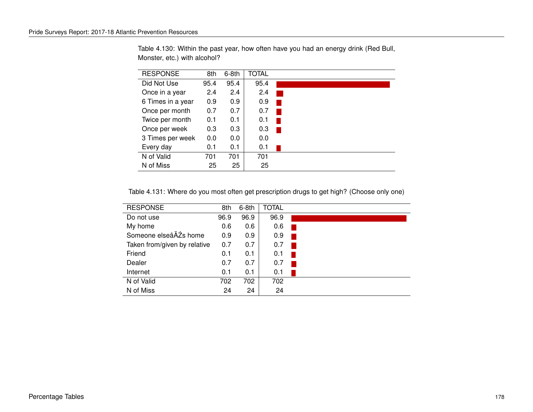| <b>RESPONSE</b>   | 8th  | $6-8th$ | <b>TOTAL</b> |  |
|-------------------|------|---------|--------------|--|
| Did Not Use       | 95.4 | 95.4    | 95.4         |  |
| Once in a year    | 2.4  | 2.4     | 2.4          |  |
| 6 Times in a year | 0.9  | 0.9     | 0.9          |  |
| Once per month    | 0.7  | 0.7     | 0.7          |  |
| Twice per month   | 0.1  | 0.1     | 0.1          |  |
| Once per week     | 0.3  | 0.3     | 0.3          |  |
| 3 Times per week  | 0.0  | 0.0     | 0.0          |  |
| Every day         | 0.1  | 0.1     | 0.1          |  |
| N of Valid        | 701  | 701     | 701          |  |
| N of Miss         | 25   | 25      | 25           |  |

Table 4.130: Within the past year, how often have you had an energy drink (Red Bull, Monster, etc.) with alcohol?

Table 4.131: Where do you most often get prescription drugs to get high? (Choose only one)

| <b>RESPONSE</b>              | 8th  | $6-8th$ | <b>TOTAL</b> |  |
|------------------------------|------|---------|--------------|--|
| Do not use                   | 96.9 | 96.9    | 96.9         |  |
| My home                      | 0.6  | 0.6     | 0.6          |  |
| Someone elseâĂŹs home        | 0.9  | 0.9     | 0.9          |  |
| Taken from/given by relative | 0.7  | 0.7     | 0.7          |  |
| Friend                       | 0.1  | 0.1     | 0.1          |  |
| Dealer                       | 0.7  | 0.7     | 0.7          |  |
| Internet                     | 0.1  | 0.1     | 0.1          |  |
| N of Valid                   | 702  | 702     | 702          |  |
| N of Miss                    | 24   | 24      | 24           |  |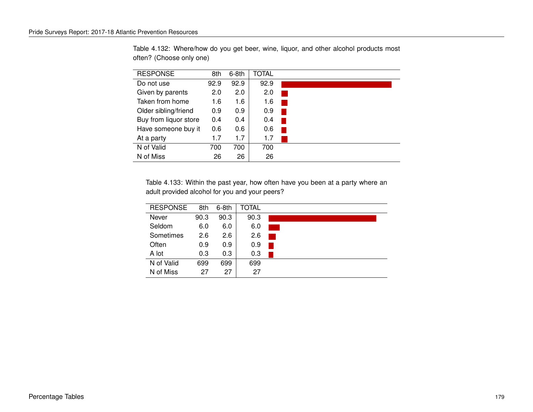| <b>RESPONSE</b>       | 8th  | 6-8th | TOTAL |  |
|-----------------------|------|-------|-------|--|
| Do not use            | 92.9 | 92.9  | 92.9  |  |
| Given by parents      | 2.0  | 2.0   | 2.0   |  |
| Taken from home       | 1.6  | 1.6   | 1.6   |  |
| Older sibling/friend  | 0.9  | 0.9   | 0.9   |  |
| Buy from liquor store | 0.4  | 0.4   | 0.4   |  |
| Have someone buy it   | 0.6  | 0.6   | 0.6   |  |
| At a party            | 1.7  | 1.7   | 1.7   |  |
| N of Valid            | 700  | 700   | 700   |  |
| N of Miss             | 26   | 26    | 26    |  |

Table 4.132: Where/how do you get beer, wine, liquor, and other alcohol products most often? (Choose only one)

Table 4.133: Within the past year, how often have you been at a party where an adult provided alcohol for you and your peers?

| <b>RESPONSE</b> | 8th  | $6-8th$ | TOTAL |  |
|-----------------|------|---------|-------|--|
| Never           | 90.3 | 90.3    | 90.3  |  |
| Seldom          | 6.0  | 6.0     | 6.0   |  |
| Sometimes       | 2.6  | 2.6     | 2.6   |  |
| Often           | 0.9  | 0.9     | 0.9   |  |
| A lot           | 0.3  | 0.3     | 0.3   |  |
| N of Valid      | 699  | 699     | 699   |  |
| N of Miss       | 27   | 27      | 27    |  |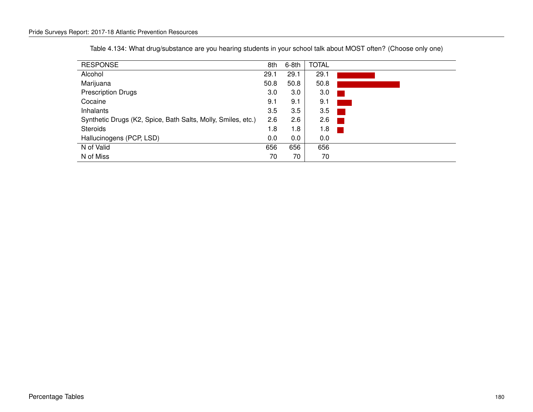| <b>RESPONSE</b>                                              | 8th  | $6-8th$ | <b>TOTAL</b> |                        |
|--------------------------------------------------------------|------|---------|--------------|------------------------|
| Alcohol                                                      | 29.1 | 29.1    | 29.1         |                        |
| Marijuana                                                    | 50.8 | 50.8    | 50.8         |                        |
| <b>Prescription Drugs</b>                                    | 3.0  | 3.0     | 3.0          |                        |
| Cocaine                                                      | 9.1  | 9.1     | 9.1          |                        |
| Inhalants                                                    | 3.5  | 3.5     | 3.5          |                        |
| Synthetic Drugs (K2, Spice, Bath Salts, Molly, Smiles, etc.) | 2.6  | 2.6     | 2.6          |                        |
| <b>Steroids</b>                                              | 1.8  | 1.8     | 1.8          | <b>Service Service</b> |
| Hallucinogens (PCP, LSD)                                     | 0.0  | $0.0\,$ | 0.0          |                        |
| N of Valid                                                   | 656  | 656     | 656          |                        |
| N of Miss                                                    | 70   | 70      | 70           |                        |

Table 4.134: What drug/substance are you hearing students in your school talk about MOST often? (Choose only one)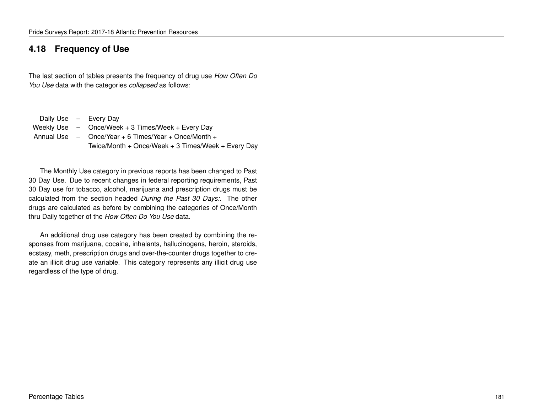### **4.18 Frequency of Use**

The last section of tables presents the frequency of drug use *How Often Do You Use* data with the categories *collapsed* as follows:

Daily Use – Every Day Weekly Use – Once/Week + 3 Times/Week + Every Day Annual Use – Once/Year + 6 Times/Year + Once/Month + Twice/Month + Once/Week + 3 Times/Week + Every Day

The Monthly Use category in previous reports has been changed to Past 30 Day Use. Due to recent changes in federal reporting requirements, Past 30 Day use for tobacco, alcohol, marijuana and prescription drugs must be calculated from the section headed *During the Past 30 Days:*. The other drugs are calculated as before by combining the categories of Once/Month thru Daily together of the *How Often Do You Use* data.

An additional drug use category has been created by combining the responses from marijuana, cocaine, inhalants, hallucinogens, heroin, steroids, ecstasy, meth, prescription drugs and over-the-counter drugs together to create an illicit drug use variable. This category represents any illicit drug use regardless of the type of drug.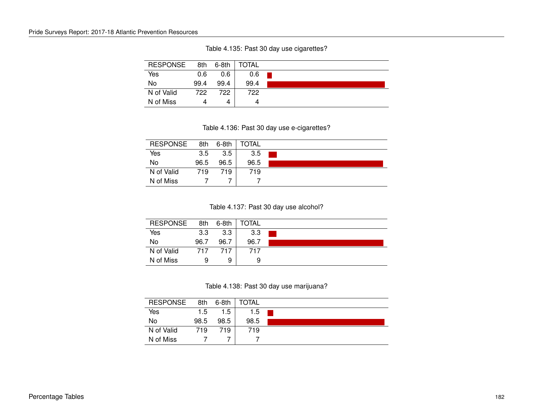| <b>RESPONSE</b> | 8th  | $6-8th$ | TOTAL |  |
|-----------------|------|---------|-------|--|
| Yes             | 0.6  | 0.6     | 0.6   |  |
| No              | 99.4 | 99.4    | 99.4  |  |
| N of Valid      | 722  | 722     | 722   |  |
| N of Miss       |      | 4       | 4     |  |

Table 4.135: Past 30 day use cigarettes?

#### Table 4.136: Past 30 day use e-cigarettes?

| <b>RESPONSE</b> | 8th  | $6-8th$ | TOTAL |  |
|-----------------|------|---------|-------|--|
| Yes             | 3.5  | 3.5     | 3.5   |  |
| No              | 96.5 | 96.5    | 96.5  |  |
| N of Valid      | 719  | 719     | 719   |  |
| N of Miss       |      |         |       |  |

#### Table 4.137: Past 30 day use alcohol?

| <b>RESPONSE</b> | 8th  | $6-8th$ | TOTAL |  |
|-----------------|------|---------|-------|--|
| Yes             | 3.3  | 3.3     | 3.3   |  |
| No              | 96.7 | 96.7    | 96.7  |  |
| N of Valid      | 717  | 717     | 717   |  |
| N of Miss       | q    | 9       | 9     |  |

Table 4.138: Past 30 day use marijuana?

| <b>RESPONSE</b> | 8th  | 6-8th | <b>TOTAL</b> |  |
|-----------------|------|-------|--------------|--|
| Yes             | 1.5  | 1.5   | 1.5          |  |
| No              | 98.5 | 98.5  | 98.5         |  |
| N of Valid      | 719  | 719   | 719          |  |
| N of Miss       |      |       |              |  |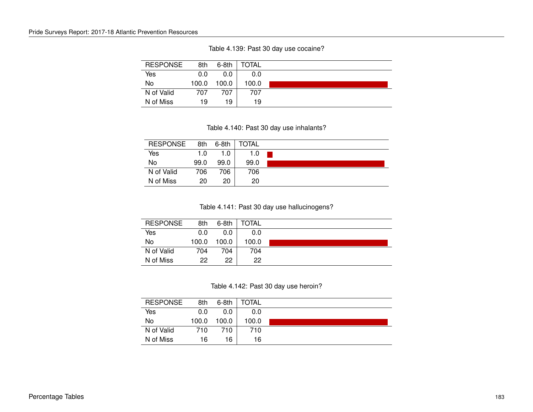| <b>RESPONSE</b> | 8th   | $6-8th$ | TOTAL |
|-----------------|-------|---------|-------|
| Yes             | 0.0   | 0.0     | 0.0   |
| No              | 100.0 | 100.0   | 100.0 |
| N of Valid      | 707   | 707     | 707   |
| N of Miss       | 19    | 19      | 19    |

Table 4.139: Past 30 day use cocaine?

#### Table 4.140: Past 30 day use inhalants?

| <b>RESPONSE</b> | 8th  | 6-8th | TOTAL |  |
|-----------------|------|-------|-------|--|
| Yes             | 1.0  | 1.0   | 1.0   |  |
| No              | 99.0 | 99.0  | 99.0  |  |
| N of Valid      | 706  | 706   | 706   |  |
| N of Miss       | 20   | 20    | 20    |  |

Table 4.141: Past 30 day use hallucinogens?

| <b>RESPONSE</b> | 8th   | $6-8th$ | <b>TOTAL</b> |  |
|-----------------|-------|---------|--------------|--|
| Yes             | 0.0   | 0.0     | 0.0          |  |
| No              | 100.0 | 100.0   | 100.0        |  |
| N of Valid      | 704   | 704.    | 704          |  |
| N of Miss       | 22    | 22      | 22           |  |

Table 4.142: Past 30 day use heroin?

| <b>RESPONSE</b> | 8th   | $6-8th$ | <b>TOTAL</b> |  |
|-----------------|-------|---------|--------------|--|
| Yes             | 0.0   | 0.0     | 0.0          |  |
| No              | 100.0 | 100.0   | 100.0        |  |
| N of Valid      | 710   | 710     | 710          |  |
| N of Miss       | 16    | 16      | 16           |  |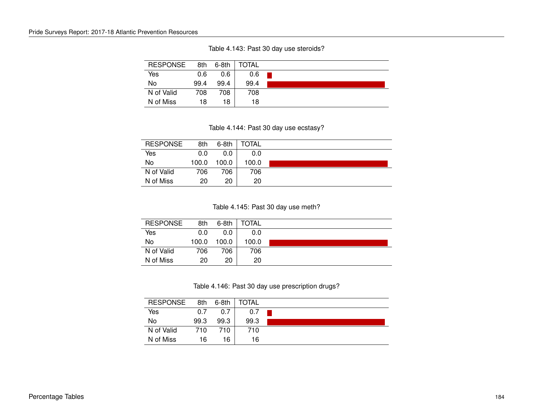|  |  | Table 4.143: Past 30 day use steroids? |
|--|--|----------------------------------------|
|--|--|----------------------------------------|

| <b>RESPONSE</b> | 8th  | 6-8th | TOTAL |  |
|-----------------|------|-------|-------|--|
| Yes             | 0.6  | 0.6   | 0.6   |  |
| No              | 99.4 | 99.4  | 99.4  |  |
| N of Valid      | 708  | 708   | 708   |  |
| N of Miss       | 18   | 18    | 18    |  |

Table 4.144: Past 30 day use ecstasy?

| <b>RESPONSE</b> | 8th   | $6-8th$ | <b>TOTAL</b> |  |
|-----------------|-------|---------|--------------|--|
| Yes             | 0.0   | 0.0     | 0.0          |  |
| No              | 100.0 | 100.0   | 100.0        |  |
| N of Valid      | 706   | 706     | 706          |  |
| N of Miss       | 20    | 20      | 20           |  |

Table 4.145: Past 30 day use meth?

| <b>RESPONSE</b> | 8th   | $6-8th$ | <b>TOTAL</b> |  |
|-----------------|-------|---------|--------------|--|
| Yes             | 0.0   | 0.0     | 0.0          |  |
| No              | 100.0 | 100.0   | 100.0        |  |
| N of Valid      | 706   | 706.    | 706          |  |
| N of Miss       | 20    | 20      | 20           |  |

Table 4.146: Past 30 day use prescription drugs?

| <b>RESPONSE</b> | 8th  | $6-8th$ | <b>TOTAL</b> |  |
|-----------------|------|---------|--------------|--|
| Yes             | 0.7  | 0.7     | 0.7          |  |
| No              | 99.3 | 99.3    | 99.3         |  |
| N of Valid      | 710  | 710     | 710          |  |
| N of Miss       | 16   | 16      | 16           |  |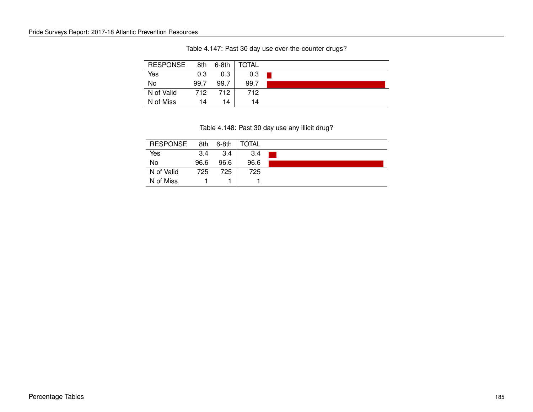| <b>RESPONSE</b> | 8th  | 6-8th | TOTAL |  |
|-----------------|------|-------|-------|--|
| Yes             | 0.3  | 0.3   | 0.3   |  |
| No              | 99.7 | 99.7  | 99.7  |  |
| N of Valid      | 712  | 712   | 712   |  |
| N of Miss       | 14   | 14    | 14    |  |

Table 4.147: Past 30 day use over-the-counter drugs?

#### Table 4.148: Past 30 day use any illicit drug?

| <b>RESPONSE</b> | 8th  | $6-8th$ | TOTAL |  |
|-----------------|------|---------|-------|--|
| Yes             | 3.4  | 3.4     | 3.4   |  |
| No              | 96.6 | 96.6    | 96.6  |  |
| N of Valid      | 725  | 725     | 725   |  |
| N of Miss       |      |         |       |  |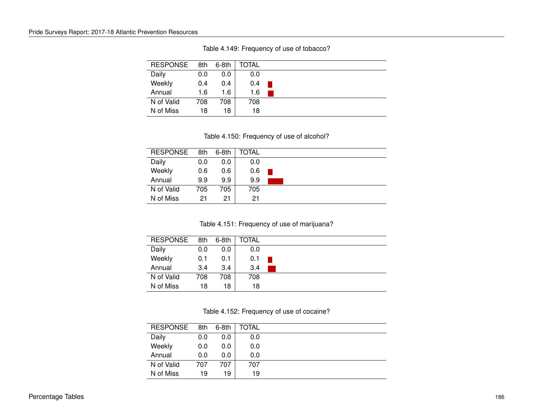| <b>RESPONSE</b> | 8th | 6-8th | TOTAL |  |
|-----------------|-----|-------|-------|--|
| Daily           | 0.0 | 0.0   | 0.0   |  |
| Weekly          | 0.4 | 0.4   | 0.4   |  |
| Annual          | 1.6 | 1.6   | 1.6   |  |
| N of Valid      | 708 | 708   | 708   |  |
| N of Miss       | 18  | 18    | 18    |  |

Table 4.149: Frequency of use of tobacco?

Table 4.150: Frequency of use of alcohol?

| <b>RESPONSE</b> | 8th | 6-8th | <b>TOTAL</b> |  |
|-----------------|-----|-------|--------------|--|
| Daily           | 0.0 | 0.0   | 0.0          |  |
| Weekly          | 0.6 | 0.6   | 0.6          |  |
| Annual          | 9.9 | 9.9   | 9.9          |  |
| N of Valid      | 705 | 705   | 705          |  |
| N of Miss       | 21  | 21    | 21           |  |

Table 4.151: Frequency of use of marijuana?

| <b>RESPONSE</b> | 8th | $6-8th$ | TOTAL |  |
|-----------------|-----|---------|-------|--|
| Daily           | 0.0 | 0.0     | 0.0   |  |
| Weekly          | 0.1 | 0.1     | 0.1   |  |
| Annual          | 3.4 | 3.4     | 3.4   |  |
| N of Valid      | 708 | 708     | 708   |  |
| N of Miss       | 18  | 18      | 18    |  |

Table 4.152: Frequency of use of cocaine?

| <b>RESPONSE</b> | 8th | $6-8th$ | TOTAL |  |
|-----------------|-----|---------|-------|--|
| Daily           | 0.0 | 0.0     | 0.0   |  |
| Weekly          | 0.0 | 0.0     | 0.0   |  |
| Annual          | 0.0 | 0.0     | 0.0   |  |
| N of Valid      | 707 | 707     | 707   |  |
| N of Miss       | 19  | 19      | 19    |  |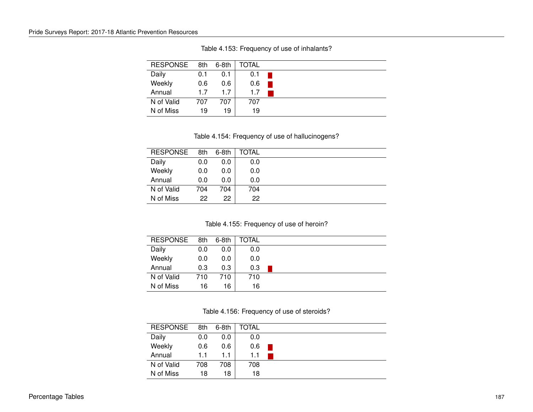| <b>RESPONSE</b> | 8th | 6-8th | TOTAL |  |
|-----------------|-----|-------|-------|--|
| Daily           | 0.1 | 0.1   | 0.1   |  |
| Weekly          | 0.6 | 0.6   | 0.6   |  |
| Annual          | 1.7 | 17    | 1.7   |  |
| N of Valid      | 707 | 707   | 707   |  |
| N of Miss       | 19  | 19    | 19    |  |

Table 4.153: Frequency of use of inhalants?

Table 4.154: Frequency of use of hallucinogens?

| <b>RESPONSE</b> | 8th | 6-8th | TOTAL |  |
|-----------------|-----|-------|-------|--|
| Daily           | 0.0 | 0.0   | 0.0   |  |
| Weekly          | 0.0 | 0.0   | 0.0   |  |
| Annual          | 0.0 | 0.0   | 0.0   |  |
| N of Valid      | 704 | 704   | 704   |  |
| N of Miss       | 22  | 22    | 22    |  |

Table 4.155: Frequency of use of heroin?

| <b>RESPONSE</b> | 8th | $6-8th$ | <b>TOTAL</b> |  |
|-----------------|-----|---------|--------------|--|
| Daily           | 0.0 | 0.0     | 0.0          |  |
| Weekly          | 0.0 | 0.0     | 0.0          |  |
| Annual          | 0.3 | 0.3     | 0.3          |  |
| N of Valid      | 710 | 710     | 710          |  |
| N of Miss       | 16  | 16      | 16           |  |

Table 4.156: Frequency of use of steroids?

| <b>RESPONSE</b> | 8th | 6-8th | TOTAL |  |
|-----------------|-----|-------|-------|--|
| Daily           | 0.0 | 0.0   | 0.0   |  |
| Weekly          | 0.6 | 0.6   | 0.6   |  |
| Annual          | 1.1 | 1.1   | 1.1   |  |
| N of Valid      | 708 | 708   | 708   |  |
| N of Miss       | 18  | 18    | 18    |  |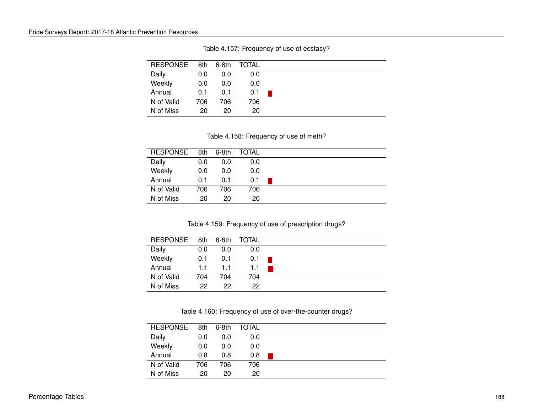| <b>RESPONSE</b> | 8th | $6-8th$ | TOTAL |  |
|-----------------|-----|---------|-------|--|
| Daily           | 0.0 | 0.0     | 0.0   |  |
| Weekly          | 0.0 | 0.0     | 0.0   |  |
| Annual          | 0.1 | 0.1     | 0.1   |  |
| N of Valid      | 706 | 706     | 706   |  |
| N of Miss       | 20  | 20      | 20    |  |

Table 4.157: Frequency of use of ecstasy?

Table 4.158: Frequency of use of meth?

| <b>RESPONSE</b> | 8th | 6-8th | TOTAL |  |
|-----------------|-----|-------|-------|--|
| Daily           | 0.0 | 0.0   | 0.0   |  |
| Weekly          | 0.0 | 0.0   | 0.0   |  |
| Annual          | 0.1 | 0.1   | 0.1   |  |
| N of Valid      | 706 | 706   | 706   |  |
| N of Miss       | 20  | 20    | 20    |  |

Table 4.159: Frequency of use of prescription drugs?

| <b>RESPONSE</b> | 8th | 6-8th | TOTAL |  |
|-----------------|-----|-------|-------|--|
| Daily           | 0.0 | 0.0   | 0.0   |  |
| Weekly          | 0.1 | 0.1   | 0.1   |  |
| Annual          | 1.1 | 1.1   | 1.1   |  |
| N of Valid      | 704 | 704   | 704   |  |
| N of Miss       | 22  | 22    | 22    |  |

Table 4.160: Frequency of use of over-the-counter drugs?

| <b>RESPONSE</b> | 8th | 6-8th | TOTAL |  |
|-----------------|-----|-------|-------|--|
| Daily           | 0.0 | 0.0   | 0.0   |  |
| Weekly          | 0.0 | 0.0   | 0.0   |  |
| Annual          | 0.8 | 0.8   | 0.8   |  |
| N of Valid      | 706 | 706   | 706   |  |
| N of Miss       | 20  | 20    | 20    |  |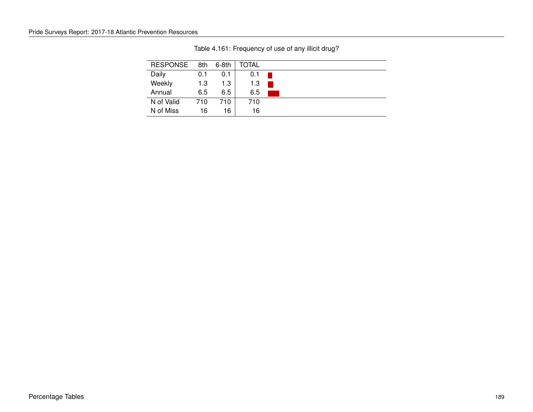| <b>RESPONSE</b> | 8th | $6-8th$ | TOTAL |  |
|-----------------|-----|---------|-------|--|
| Daily           | 0.1 | 0.1     | 0.1   |  |
| Weekly          | 1.3 | 1.3     | 1.3   |  |
| Annual          | 6.5 | 6.5     | 6.5   |  |
| N of Valid      | 710 | 710     | 710   |  |
| N of Miss       | 16  | 16      | 16    |  |

Table 4.161: Frequency of use of any illicit drug?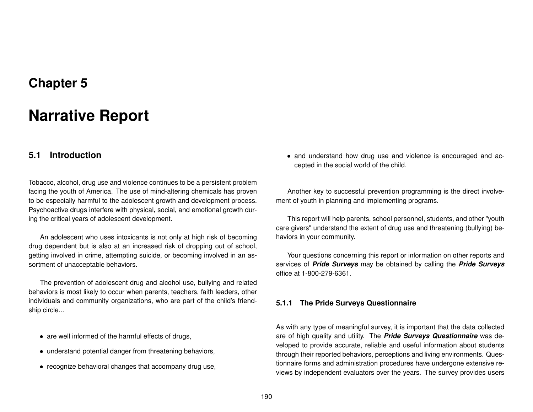## **Chapter 5**

# **Narrative Report**

## **5.1 Introduction**

Tobacco, alcohol, drug use and violence continues to be a persistent problem facing the youth of America. The use of mind-altering chemicals has proven to be especially harmful to the adolescent growth and development process. Psychoactive drugs interfere with physical, social, and emotional growth during the critical years of adolescent development.

An adolescent who uses intoxicants is not only at high risk of becoming drug dependent but is also at an increased risk of dropping out of school, getting involved in crime, attempting suicide, or becoming involved in an assortment of unacceptable behaviors.

The prevention of adolescent drug and alcohol use, bullying and related behaviors is most likely to occur when parents, teachers, faith leaders, other individuals and community organizations, who are part of the child's friendship circle...

- are well informed of the harmful effects of drugs,
- understand potential danger from threatening behaviors,
- recognize behavioral changes that accompany drug use,

• and understand how drug use and violence is encouraged and accepted in the social world of the child.

Another key to successful prevention programming is the direct involvement of youth in planning and implementing programs.

This report will help parents, school personnel, students, and other "youth care givers" understand the extent of drug use and threatening (bullying) behaviors in your community.

Your questions concerning this report or information on other reports and services of *Pride Surveys* may be obtained by calling the *Pride Surveys* office at 1-800-279-6361.

#### **5.1.1 The Pride Surveys Questionnaire**

As with any type of meaningful survey, it is important that the data collected are of high quality and utility. The *Pride Surveys Questionnaire* was developed to provide accurate, reliable and useful information about students through their reported behaviors, perceptions and living environments. Questionnaire forms and administration procedures have undergone extensive reviews by independent evaluators over the years. The survey provides users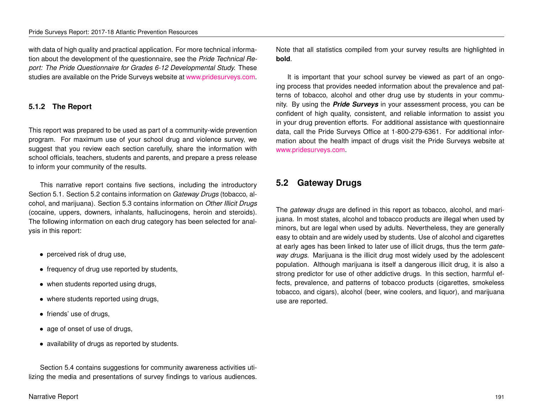with data of high quality and practical application. For more technical information about the development of the questionnaire, see the *Pride Technical Report: The Pride Questionnaire for Grades 6-12 Developmental Study.* These studies are available on the Pride Surveys website at [www.pridesurveys.com.](http://www.pridesurveys.com)

#### **5.1.2 The Report**

This report was prepared to be used as part of a community-wide prevention program. For maximum use of your school drug and violence survey, we suggest that you review each section carefully, share the information with school officials, teachers, students and parents, and prepare a press release to inform your community of the results.

This narrative report contains five sections, including the introductory Section 5.1. Section 5.2 contains information on *Gateway Drugs* (tobacco, alcohol, and marijuana). Section 5.3 contains information on *Other Illicit Drugs* (cocaine, uppers, downers, inhalants, hallucinogens, heroin and steroids). The following information on each drug category has been selected for analysis in this report:

- perceived risk of drug use,
- frequency of drug use reported by students,
- when students reported using drugs,
- where students reported using drugs,
- friends' use of drugs,
- age of onset of use of drugs,
- availability of drugs as reported by students.

Section 5.4 contains suggestions for community awareness activities utilizing the media and presentations of survey findings to various audiences.

Narrative Report 191

Note that all statistics compiled from your survey results are highlighted in **bold**.

It is important that your school survey be viewed as part of an ongoing process that provides needed information about the prevalence and patterns of tobacco, alcohol and other drug use by students in your community. By using the *Pride Surveys* in your assessment process, you can be confident of high quality, consistent, and reliable information to assist you in your drug prevention efforts. For additional assistance with questionnaire data, call the Pride Surveys Office at 1-800-279-6361. For additional information about the health impact of drugs visit the Pride Surveys website at [www.pridesurveys.com.](http://www.pridesurveys.com)

## **5.2 Gateway Drugs**

The *gateway drugs* are defined in this report as tobacco, alcohol, and marijuana. In most states, alcohol and tobacco products are illegal when used by minors, but are legal when used by adults. Nevertheless, they are generally easy to obtain and are widely used by students. Use of alcohol and cigarettes at early ages has been linked to later use of illicit drugs, thus the term *gateway drugs*. Marijuana is the illicit drug most widely used by the adolescent population. Although marijuana is itself a dangerous illicit drug, it is also a strong predictor for use of other addictive drugs. In this section, harmful effects, prevalence, and patterns of tobacco products (cigarettes, smokeless tobacco, and cigars), alcohol (beer, wine coolers, and liquor), and marijuana use are reported.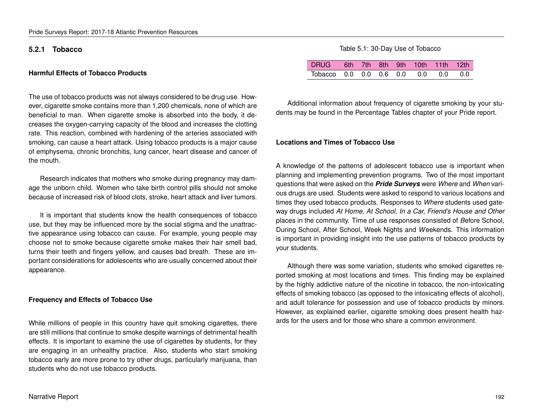#### **5.2.1 Tobacco**

#### **Harmful Effects of Tobacco Products**

The use of tobacco products was not always considered to be drug use. However, cigarette smoke contains more than 1,200 chemicals, none of which are beneficial to man. When cigarette smoke is absorbed into the body, it decreases the oxygen-carrying capacity of the blood and increases the clotting rate. This reaction, combined with hardening of the arteries associated with smoking, can cause a heart attack. Using tobacco products is a major cause of emphysema, chronic bronchitis, lung cancer, heart disease and cancer of the mouth.

Research indicates that mothers who smoke during pregnancy may damage the unborn child. Women who take birth control pills should not smoke because of increased risk of blood clots, stroke, heart attack and liver tumors.

It is important that students know the health consequences of tobacco use, but they may be influenced more by the social stigma and the unattractive appearance using tobacco can cause. For example, young people may choose not to smoke because cigarette smoke makes their hair smell bad, turns their teeth and fingers yellow, and causes bad breath. These are important considerations for adolescents who are usually concerned about their appearance.

#### **Frequency and Effects of Tobacco Use**

While millions of people in this country have quit smoking cigarettes, there are still millions that continue to smoke despite warnings of detrimental health effects. It is important to examine the use of cigarettes by students, for they are engaging in an unhealthy practice. Also, students who start smoking tobacco early are more prone to try other drugs, particularly marijuana, than students who do not use tobacco products.

#### Table 5.1: 30-Day Use of Tobacco

| DRUG 6th 7th 8th 9th 10th 11th 12th |  |  |  |  |
|-------------------------------------|--|--|--|--|
| Tobacco 0.0 0.0 0.6 0.0 0.0 0.0 0.0 |  |  |  |  |

Additional information about frequency of cigarette smoking by your students may be found in the Percentage Tables chapter of your Pride report.

#### **Locations and Times of Tobacco Use**

A knowledge of the patterns of adolescent tobacco use is important when planning and implementing prevention programs. Two of the most important questions that were asked on the *Pride Surveys* were *Where* and *When* various drugs are used. Students were asked to respond to various locations and times they used tobacco products. Responses to *Where* students used gateway drugs included *At Home, At School, In a Car, Friend's House and Other* places in the community. Time of use responses consisted of *B*efore School, During School, After School, Week Nights and *W*eekends. This information is important in providing insight into the use patterns of tobacco products by your students.

Although there was some variation, students who smoked cigarettes reported smoking at most locations and times. This finding may be explained by the highly addictive nature of the nicotine in tobacco, the non-intoxicating effects of smoking tobacco (as opposed to the intoxicating effects of alcohol), and adult tolerance for possession and use of tobacco products by minors. However, as explained earlier, cigarette smoking does present health hazards for the users and for those who share a common environment.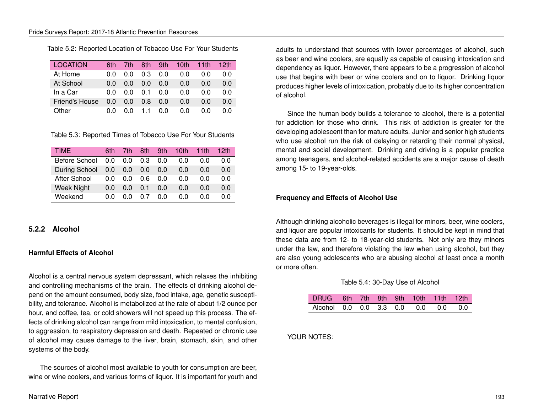Table 5.2: Reported Location of Tobacco Use For Your Students

| LOCATION       | 6th | 7th | 8th | 9th | 10th | 11th | 12th |
|----------------|-----|-----|-----|-----|------|------|------|
| At Home        | 0.0 | 0.0 | 0.3 | 0.0 | 0.0  | 0.0  | 0.0  |
| At School      | 0.0 | 0.0 | 0.0 | 0.0 | 0.0  | 0.0  | 0.0  |
| In a Car       | 0.0 | 0 O | 0.1 | 0.0 | 0.0  | ი ი  | 0.0  |
| Friend's House | 0.0 | 0.0 | 0.8 | 0.0 | 0.0  | 0.0  | 0.0  |
| Other          | 0.0 | ი ი | 11  | 0.0 | 0.0  | ი ი  | ი ი  |

Table 5.3: Reported Times of Tobacco Use For Your Students

| <b>TIME</b>   | 6th | 7th | 8th | 9th | 10th | 11th | 12th |
|---------------|-----|-----|-----|-----|------|------|------|
| Before School | 0.0 | 0.0 | 0.3 | 0.0 | ი ი  | 0.0  | 0.0  |
| During School | 0.0 | 0.0 | 0.0 | 0.0 | 0.0  | 0.0  | 0.0  |
| After School  | 0.0 | ი ი | 0 6 | 0.0 | ი ი  | 0.0  | 0.0  |
| Week Night    | 0.0 | 0.0 | 0.1 | 0.0 | 0.0  | 0.0  | 0.0  |
| Weekend       | ი ი | n n | 0 7 | 0.0 | ი ი  | ი ი  | 0.0  |

#### **5.2.2 Alcohol**

#### **Harmful Effects of Alcohol**

Alcohol is a central nervous system depressant, which relaxes the inhibiting and controlling mechanisms of the brain. The effects of drinking alcohol depend on the amount consumed, body size, food intake, age, genetic susceptibility, and tolerance. Alcohol is metabolized at the rate of about 1/2 ounce per hour, and coffee, tea, or cold showers will not speed up this process. The effects of drinking alcohol can range from mild intoxication, to mental confusion, to aggression, to respiratory depression and death. Repeated or chronic use of alcohol may cause damage to the liver, brain, stomach, skin, and other systems of the body.

The sources of alcohol most available to youth for consumption are beer, wine or wine coolers, and various forms of liquor. It is important for youth and adults to understand that sources with lower percentages of alcohol, such as beer and wine coolers, are equally as capable of causing intoxication and dependency as liquor. However, there appears to be a progression of alcohol use that begins with beer or wine coolers and on to liquor. Drinking liquor produces higher levels of intoxication, probably due to its higher concentration of alcohol.

Since the human body builds a tolerance to alcohol, there is a potential for addiction for those who drink. This risk of addiction is greater for the developing adolescent than for mature adults. Junior and senior high students who use alcohol run the risk of delaying or retarding their normal physical, mental and social development. Drinking and driving is a popular practice among teenagers, and alcohol-related accidents are a major cause of death among 15- to 19-year-olds.

#### **Frequency and Effects of Alcohol Use**

Although drinking alcoholic beverages is illegal for minors, beer, wine coolers, and liquor are popular intoxicants for students. It should be kept in mind that these data are from 12- to 18-year-old students. Not only are they minors under the law, and therefore violating the law when using alcohol, but they are also young adolescents who are abusing alcohol at least once a month or more often.

#### Table 5.4: 30-Day Use of Alcohol

| DRUG 6th 7th 8th 9th 10th 11th 12th |  |  |  |  |
|-------------------------------------|--|--|--|--|
| Alcohol 0.0 0.0 3.3 0.0 0.0 0.0 0.0 |  |  |  |  |

YOUR NOTES: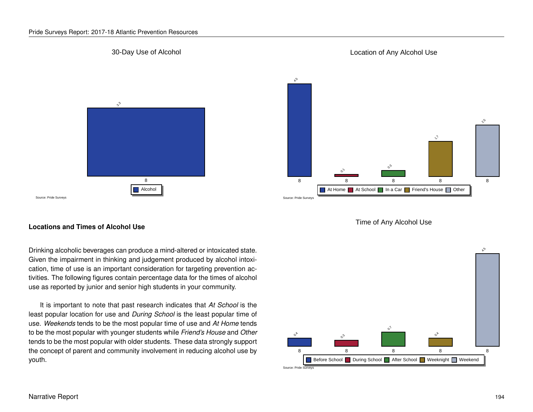#### Pride Surveys Report: 2017-18 Atlantic Prevention Resources

#### 30-Day Use of Alcohol



#### Location of Any Alcohol Use







#### **Locations and Times of Alcohol Use**

Drinking alcoholic beverages can produce a mind-altered or intoxicated state. Given the impairment in thinking and judgement produced by alcohol intoxication, time of use is an important consideration for targeting prevention activities. The following figures contain percentage data for the times of alcohol use as reported by junior and senior high students in your community.

It is important to note that past research indicates that *At School* is the least popular location for use and *During School* is the least popular time of use. *Weekends* tends to be the most popular time of use and *At Home* tends to be the most popular with younger students while *Friend's House* and *Other* tends to be the most popular with older students. These data strongly support the concept of parent and community involvement in reducing alcohol use by youth.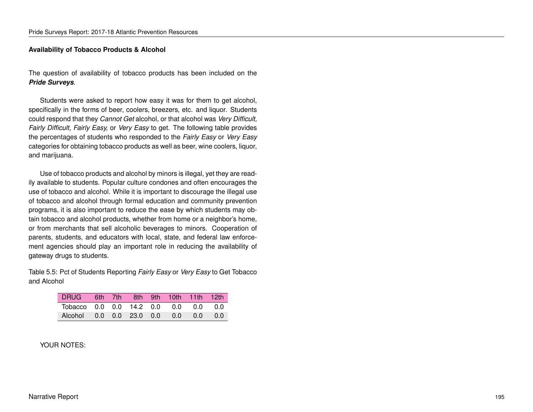#### **Availability of Tobacco Products & Alcohol**

The question of availability of tobacco products has been included on the *Pride Surveys*.

Students were asked to report how easy it was for them to get alcohol, specifically in the forms of beer, coolers, breezers, etc. and liquor. Students could respond that they *Cannot Get* alcohol, or that alcohol was *Very Difficult, Fairly Difficult, Fairly Easy,* or *Very Easy* to get. The following table provides the percentages of students who responded to the *Fairly Easy* or *Very Easy* categories for obtaining tobacco products as well as beer, wine coolers, liquor, and marijuana.

Use of tobacco products and alcohol by minors is illegal, yet they are readily available to students. Popular culture condones and often encourages the use of tobacco and alcohol. While it is important to discourage the illegal use of tobacco and alcohol through formal education and community prevention programs, it is also important to reduce the ease by which students may obtain tobacco and alcohol products, whether from home or a neighbor's home, or from merchants that sell alcoholic beverages to minors. Cooperation of parents, students, and educators with local, state, and federal law enforcement agencies should play an important role in reducing the availability of gateway drugs to students.

Table 5.5: Pct of Students Reporting *Fairly Easy* or *Very Easy* to Get Tobacco and Alcohol

| DRUG 6th 7th 8th 9th 10th 11th 12th         |  |  |  |  |
|---------------------------------------------|--|--|--|--|
| Tobacco 0.0 0.0 14.2 0.0 0.0 0.0 0.0        |  |  |  |  |
| Alcohol  0.0  0.0  23.0  0.0  0.0  0.0  0.0 |  |  |  |  |

#### YOUR NOTES: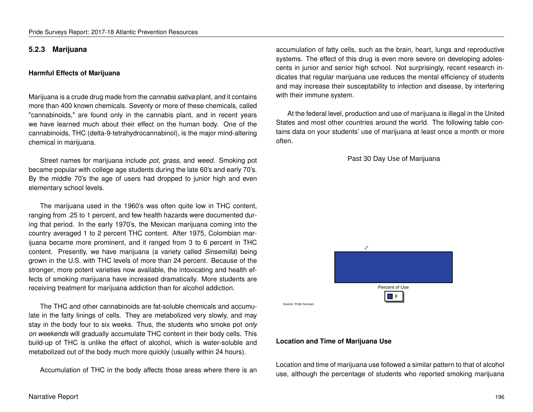#### **5.2.3 Marijuana**

#### **Harmful Effects of Marijuana**

Marijuana is a crude drug made from the *cannabis sativa* plant, and it contains more than 400 known chemicals. Seventy or more of these chemicals, called "cannabinoids," are found only in the cannabis plant, and in recent years we have learned much about their effect on the human body. One of the cannabinoids, THC (delta-9-tetrahydrocannabinol), is the major mind-altering chemical in marijuana.

Street names for marijuana include *pot, grass,* and *weed.* Smoking pot became popular with college age students during the late 60's and early 70's. By the middle 70's the age of users had dropped to junior high and even elementary school levels.

The marijuana used in the 1960's was often quite low in THC content, ranging from .25 to 1 percent, and few health hazards were documented during that period. In the early 1970's, the Mexican marijuana coming into the country averaged 1 to 2 percent THC content. After 1975, Colombian marijuana became more prominent, and it ranged from 3 to 6 percent in THC content. Presently, we have marijuana (a variety called *Sinsemilla*) being grown in the U.S. with THC levels of more than 24 percent. Because of the stronger, more potent varieties now available, the intoxicating and health effects of smoking marijuana have increased dramatically. More students are receiving treatment for marijuana addiction than for alcohol addiction.

The THC and other cannabinoids are fat-soluble chemicals and accumulate in the fatty linings of cells. They are metabolized very slowly, and may stay in the body four to six weeks. Thus, the students who smoke pot *only on weekends* will gradually accumulate THC content in their body cells. This build-up of THC is unlike the effect of alcohol, which is water-soluble and metabolized out of the body much more quickly (usually within 24 hours).

Accumulation of THC in the body affects those areas where there is an

accumulation of fatty cells, such as the brain, heart, lungs and reproductive systems. The effect of this drug is even more severe on developing adolescents in junior and senior high school. Not surprisingly, recent research indicates that regular marijuana use reduces the mental efficiency of students and may increase their susceptability to infection and disease, by interfering with their immune system.

At the federal level, production and use of marijuana is illegal in the United States and most other countries around the world. The following table contains data on your students' use of marijuana at least once a month or more often.

Past 30 Day Use of Marijuana



#### **Location and Time of Marijuana Use**

Location and time of marijuana use followed a similar pattern to that of alcohol use, although the percentage of students who reported smoking marijuana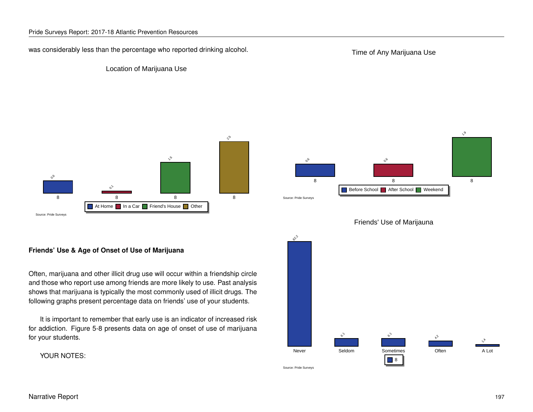was considerably less than the percentage who reported drinking alcohol.

Time of Any Marijuana Use

#### Location of Marijuana Use







#### **Friends' Use & Age of Onset of Use of Marijuana**

Often, marijuana and other illicit drug use will occur within a friendship circle and those who report use among friends are more likely to use. Past analysis shows that marijuana is typically the most commonly used of illicit drugs. The following graphs present percentage data on friends' use of your students.

It is important to remember that early use is an indicator of increased risk for addiction. Figure 5-8 presents data on age of onset of use of marijuana for your students.

YOUR NOTES:

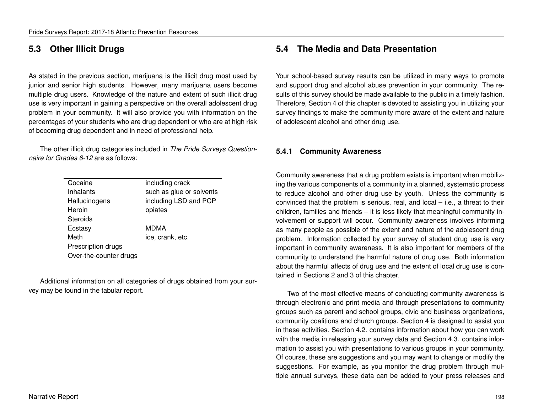### **5.3 Other Illicit Drugs**

As stated in the previous section, marijuana is the illicit drug most used by junior and senior high students. However, many marijuana users become multiple drug users. Knowledge of the nature and extent of such illicit drug use is very important in gaining a perspective on the overall adolescent drug problem in your community. It will also provide you with information on the percentages of your students who are drug dependent or who are at high risk of becoming drug dependent and in need of professional help.

The other illicit drug categories included in *The Pride Surveys Questionnaire for Grades 6-12* are as follows:

| Cocaine                | including crack          |
|------------------------|--------------------------|
| Inhalants              | such as glue or solvents |
| Hallucinogens          | including LSD and PCP    |
| Heroin                 | opiates                  |
| Steroids               |                          |
| Ecstasy                | MDMA                     |
| Meth                   | ice, crank, etc.         |
| Prescription drugs     |                          |
| Over-the-counter drugs |                          |
|                        |                          |

Additional information on all categories of drugs obtained from your survey may be found in the tabular report.

## **5.4 The Media and Data Presentation**

Your school-based survey results can be utilized in many ways to promote and support drug and alcohol abuse prevention in your community. The results of this survey should be made available to the public in a timely fashion. Therefore, Section 4 of this chapter is devoted to assisting you in utilizing your survey findings to make the community more aware of the extent and nature of adolescent alcohol and other drug use.

#### **5.4.1 Community Awareness**

Community awareness that a drug problem exists is important when mobilizing the various components of a community in a planned, systematic process to reduce alcohol and other drug use by youth. Unless the community is convinced that the problem is serious, real, and local – i.e., a threat to their children, families and friends – it is less likely that meaningful community involvement or support will occur. Community awareness involves informing as many people as possible of the extent and nature of the adolescent drug problem. Information collected by your survey of student drug use is very important in community awareness. It is also important for members of the community to understand the harmful nature of drug use. Both information about the harmful affects of drug use and the extent of local drug use is contained in Sections 2 and 3 of this chapter.

Two of the most effective means of conducting community awareness is through electronic and print media and through presentations to community groups such as parent and school groups, civic and business organizations, community coalitions and church groups. Section 4 is designed to assist you in these activities. Section 4.2. contains information about how you can work with the media in releasing your survey data and Section 4.3. contains information to assist you with presentations to various groups in your community. Of course, these are suggestions and you may want to change or modify the suggestions. For example, as you monitor the drug problem through multiple annual surveys, these data can be added to your press releases and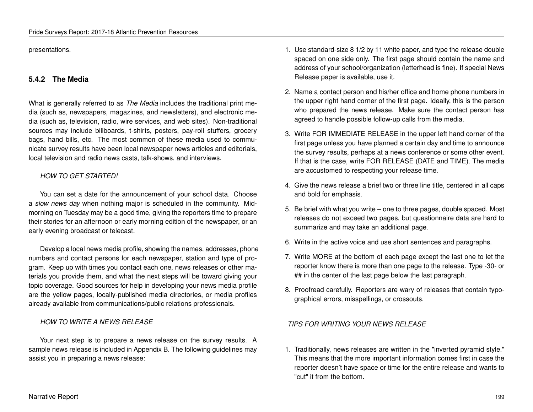presentations.

#### **5.4.2 The Media**

What is generally referred to as *The Media* includes the traditional print media (such as, newspapers, magazines, and newsletters), and electronic media (such as, television, radio, wire services, and web sites). Non-traditional sources may include billboards, t-shirts, posters, pay-roll stuffers, grocery bags, hand bills, etc. The most common of these media used to communicate survey results have been local newspaper news articles and editorials, local television and radio news casts, talk-shows, and interviews.

#### *HOW TO GET STARTED!*

You can set a date for the announcement of your school data. Choose a *slow news day* when nothing major is scheduled in the community. Midmorning on Tuesday may be a good time, giving the reporters time to prepare their stories for an afternoon or early morning edition of the newspaper, or an early evening broadcast or telecast.

Develop a local news media profile, showing the names, addresses, phone numbers and contact persons for each newspaper, station and type of program. Keep up with times you contact each one, news releases or other materials you provide them, and what the next steps will be toward giving your topic coverage. Good sources for help in developing your news media profile are the yellow pages, locally-published media directories, or media profiles already available from communications/public relations professionals.

#### *HOW TO WRITE A NEWS RELEASE*

Your next step is to prepare a news release on the survey results. A sample news release is included in Appendix B. The following guidelines may assist you in preparing a news release:

- 1. Use standard-size 8 1/2 by 11 white paper, and type the release double spaced on one side only. The first page should contain the name and address of your school/organization (letterhead is fine). If special News Release paper is available, use it.
- 2. Name a contact person and his/her office and home phone numbers in the upper right hand corner of the first page. Ideally, this is the person who prepared the news release. Make sure the contact person has agreed to handle possible follow-up calls from the media.
- 3. Write FOR IMMEDIATE RELEASE in the upper left hand corner of the first page unless you have planned a certain day and time to announce the survey results, perhaps at a news conference or some other event. If that is the case, write FOR RELEASE (DATE and TIME). The media are accustomed to respecting your release time.
- 4. Give the news release a brief two or three line title, centered in all caps and bold for emphasis.
- 5. Be brief with what you write one to three pages, double spaced. Most releases do not exceed two pages, but questionnaire data are hard to summarize and may take an additional page.
- 6. Write in the active voice and use short sentences and paragraphs.
- 7. Write MORE at the bottom of each page except the last one to let the reporter know there is more than one page to the release. Type -30- or ## in the center of the last page below the last paragraph.
- 8. Proofread carefully. Reporters are wary of releases that contain typographical errors, misspellings, or crossouts.

#### *TIPS FOR WRITING YOUR NEWS RELEASE*

1. Traditionally, news releases are written in the "inverted pyramid style." This means that the more important information comes first in case the reporter doesn't have space or time for the entire release and wants to "cut" it from the bottom.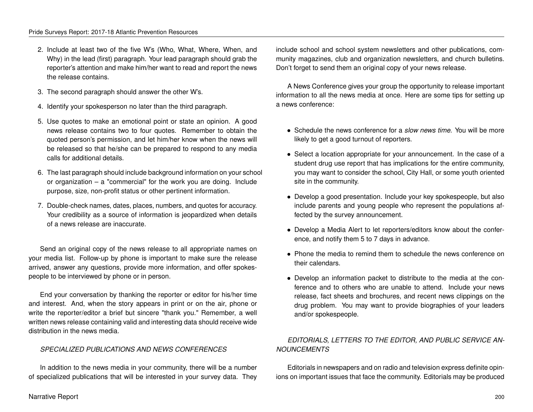- 2. Include at least two of the five W's (Who, What, Where, When, and Why) in the lead (first) paragraph. Your lead paragraph should grab the reporter's attention and make him/her want to read and report the news the release contains.
- 3. The second paragraph should answer the other W's.
- 4. Identify your spokesperson no later than the third paragraph.
- 5. Use quotes to make an emotional point or state an opinion. A good news release contains two to four quotes. Remember to obtain the quoted person's permission, and let him/her know when the news will be released so that he/she can be prepared to respond to any media calls for additional details.
- 6. The last paragraph should include background information on your school or organization – a "commercial" for the work you are doing. Include purpose, size, non-profit status or other pertinent information.
- 7. Double-check names, dates, places, numbers, and quotes for accuracy. Your credibility as a source of information is jeopardized when details of a news release are inaccurate.

Send an original copy of the news release to all appropriate names on your media list. Follow-up by phone is important to make sure the release arrived, answer any questions, provide more information, and offer spokespeople to be interviewed by phone or in person.

End your conversation by thanking the reporter or editor for his/her time and interest. And, when the story appears in print or on the air, phone or write the reporter/editor a brief but sincere "thank you." Remember, a well written news release containing valid and interesting data should receive wide distribution in the news media.

#### *SPECIALIZED PUBLICATIONS AND NEWS CONFERENCES*

In addition to the news media in your community, there will be a number of specialized publications that will be interested in your survey data. They include school and school system newsletters and other publications, community magazines, club and organization newsletters, and church bulletins. Don't forget to send them an original copy of your news release.

A News Conference gives your group the opportunity to release important information to all the news media at once. Here are some tips for setting up a news conference:

- Schedule the news conference for a *slow news time.* You will be more likely to get a good turnout of reporters.
- Select a location appropriate for your announcement. In the case of a student drug use report that has implications for the entire community, you may want to consider the school, City Hall, or some youth oriented site in the community.
- Develop a good presentation. Include your key spokespeople, but also include parents and young people who represent the populations affected by the survey announcement.
- Develop a Media Alert to let reporters/editors know about the conference, and notify them 5 to 7 days in advance.
- Phone the media to remind them to schedule the news conference on their calendars.
- Develop an information packet to distribute to the media at the conference and to others who are unable to attend. Include your news release, fact sheets and brochures, and recent news clippings on the drug problem. You may want to provide biographies of your leaders and/or spokespeople.

#### *EDITORIALS, LETTERS TO THE EDITOR, AND PUBLIC SERVICE AN-NOUNCEMENTS*

Editorials in newspapers and on radio and television express definite opinions on important issues that face the community. Editorials may be produced

#### Narrative Report 200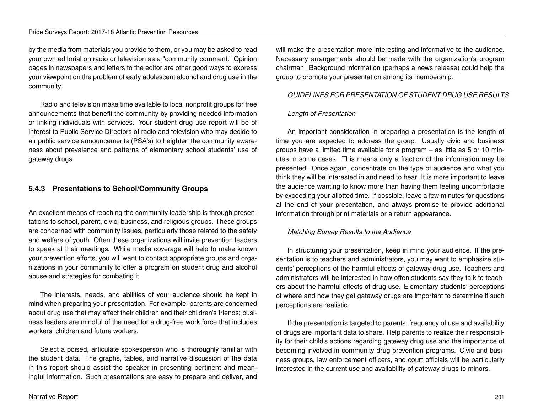by the media from materials you provide to them, or you may be asked to read your own editorial on radio or television as a "community comment." Opinion pages in newspapers and letters to the editor are other good ways to express your viewpoint on the problem of early adolescent alcohol and drug use in the community.

Radio and television make time available to local nonprofit groups for free announcements that benefit the community by providing needed information or linking individuals with services. Your student drug use report will be of interest to Public Service Directors of radio and television who may decide to air public service announcements (PSA's) to heighten the community awareness about prevalence and patterns of elementary school students' use of gateway drugs.

#### **5.4.3 Presentations to School/Community Groups**

An excellent means of reaching the community leadership is through presentations to school, parent, civic, business, and religious groups. These groups are concerned with community issues, particularly those related to the safety and welfare of youth. Often these organizations will invite prevention leaders to speak at their meetings. While media coverage will help to make known your prevention efforts, you will want to contact appropriate groups and organizations in your community to offer a program on student drug and alcohol abuse and strategies for combating it.

The interests, needs, and abilities of your audience should be kept in mind when preparing your presentation. For example, parents are concerned about drug use that may affect their children and their children's friends; business leaders are mindful of the need for a drug-free work force that includes workers' children and future workers.

Select a poised, articulate spokesperson who is thoroughly familiar with the student data. The graphs, tables, and narrative discussion of the data in this report should assist the speaker in presenting pertinent and meaningful information. Such presentations are easy to prepare and deliver, and will make the presentation more interesting and informative to the audience. Necessary arrangements should be made with the organization's program chairman. Background information (perhaps a news release) could help the group to promote your presentation among its membership.

#### *GUIDELINES FOR PRESENTATION OF STUDENT DRUG USE RESULTS*

#### *Length of Presentation*

An important consideration in preparing a presentation is the length of time you are expected to address the group. Usually civic and business groups have a limited time available for a program – as little as 5 or 10 minutes in some cases. This means only a fraction of the information may be presented. Once again, concentrate on the type of audience and what you think they will be interested in and need to hear. It is more important to leave the audience wanting to know more than having them feeling uncomfortable by exceeding your allotted time. If possible, leave a few minutes for questions at the end of your presentation, and always promise to provide additional information through print materials or a return appearance.

#### *Matching Survey Results to the Audience*

In structuring your presentation, keep in mind your audience. If the presentation is to teachers and administrators, you may want to emphasize students' perceptions of the harmful effects of gateway drug use. Teachers and administrators will be interested in how often students say they talk to teachers about the harmful effects of drug use. Elementary students' perceptions of where and how they get gateway drugs are important to determine if such perceptions are realistic.

If the presentation is targeted to parents, frequency of use and availability of drugs are important data to share. Help parents to realize their responsibility for their child's actions regarding gateway drug use and the importance of becoming involved in community drug prevention programs. Civic and business groups, law enforcement officers, and court officials will be particularly interested in the current use and availability of gateway drugs to minors.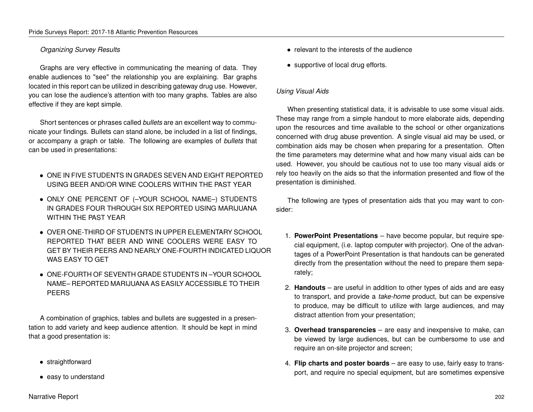#### *Organizing Survey Results*

Graphs are very effective in communicating the meaning of data. They enable audiences to "see" the relationship you are explaining. Bar graphs located in this report can be utilized in describing gateway drug use. However, you can lose the audience's attention with too many graphs. Tables are also effective if they are kept simple.

Short sentences or phrases called *bullets* are an excellent way to communicate your findings. Bullets can stand alone, be included in a list of findings, or accompany a graph or table. The following are examples of *bullets* that can be used in presentations:

- ONE IN FIVE STUDENTS IN GRADES SEVEN AND EIGHT REPORTED USING BEER AND/OR WINE COOLERS WITHIN THE PAST YEAR
- ONLY ONE PERCENT OF (–YOUR SCHOOL NAME–) STUDENTS IN GRADES FOUR THROUGH SIX REPORTED USING MARIJUANA WITHIN THE PAST YEAR
- OVER ONE-THIRD OF STUDENTS IN UPPER ELEMENTARY SCHOOL REPORTED THAT BEER AND WINE COOLERS WERE EASY TO GET BY THEIR PEERS AND NEARLY ONE-FOURTH INDICATED LIQUOR WAS EASY TO GET
- ONE-FOURTH OF SEVENTH GRADE STUDENTS IN –YOUR SCHOOL NAME– REPORTED MARIJUANA AS EASILY ACCESSIBLE TO THEIR PEERS

A combination of graphics, tables and bullets are suggested in a presentation to add variety and keep audience attention. It should be kept in mind that a good presentation is:

- straightforward
- easy to understand
- relevant to the interests of the audience
- supportive of local drug efforts.

#### *Using Visual Aids*

When presenting statistical data, it is advisable to use some visual aids. These may range from a simple handout to more elaborate aids, depending upon the resources and time available to the school or other organizations concerned with drug abuse prevention. A single visual aid may be used, or combination aids may be chosen when preparing for a presentation. Often the time parameters may determine what and how many visual aids can be used. However, you should be cautious not to use too many visual aids or rely too heavily on the aids so that the information presented and flow of the presentation is diminished.

The following are types of presentation aids that you may want to consider:

- 1. **PowerPoint Presentations** have become popular, but require special equipment, (i.e. laptop computer with projector). One of the advantages of a PowerPoint Presentation is that handouts can be generated directly from the presentation without the need to prepare them separately;
- 2. **Handouts** are useful in addition to other types of aids and are easy to transport, and provide a *take-home* product, but can be expensive to produce, may be difficult to utilize with large audiences, and may distract attention from your presentation;
- 3. **Overhead transparencies** are easy and inexpensive to make, can be viewed by large audiences, but can be cumbersome to use and require an on-site projector and screen;
- 4. **Flip charts and poster boards** are easy to use, fairly easy to transport, and require no special equipment, but are sometimes expensive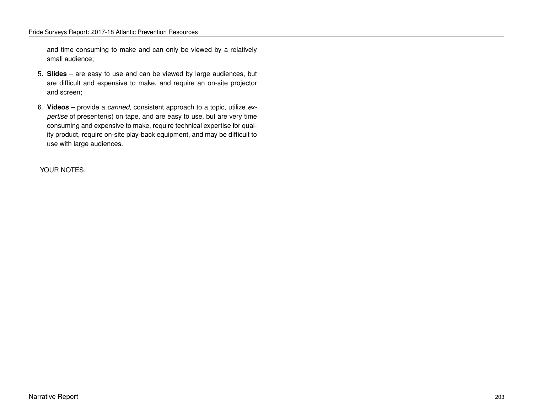and time consuming to make and can only be viewed by a relatively small audience;

- 5. **Slides** are easy to use and can be viewed by large audiences, but are difficult and expensive to make, and require an on-site projector and screen;
- 6. **Videos** provide a *canned,* consistent approach to a topic, utilize *expertise* of presenter(s) on tape, and are easy to use, but are very time consuming and expensive to make, require technical expertise for quality product, require on-site play-back equipment, and may be difficult to use with large audiences.

YOUR NOTES: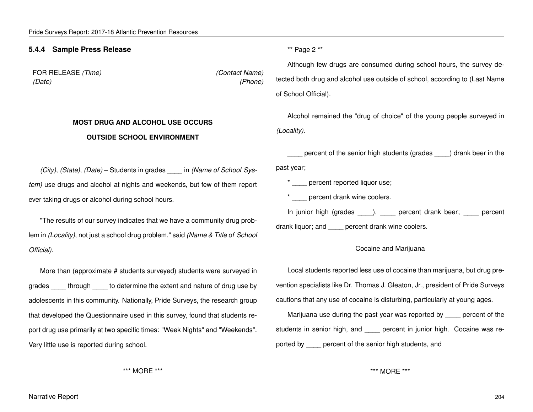#### **5.4.4 Sample Press Release**

FOR RELEASE *(Time) (Contact Name) (Date) (Phone)*

## **MOST DRUG AND ALCOHOL USE OCCURS OUTSIDE SCHOOL ENVIRONMENT**

\*\* Page 2 \*\*

Although few drugs are consumed during school hours, the survey detected both drug and alcohol use outside of school, according to (Last Name of School Official).

Alcohol remained the "drug of choice" of the young people surveyed in *(Locality)*.

percent of the senior high students (grades ) drank beer in the past year;

\* percent reported liquor use;

\* percent drank wine coolers.

In junior high (grades \_\_\_\_), \_\_\_\_ percent drank beer; \_\_\_\_ percent

drank liquor; and **percent drank wine coolers.** 

#### Cocaine and Marijuana

Local students reported less use of cocaine than marijuana, but drug prevention specialists like Dr. Thomas J. Gleaton, Jr., president of Pride Surveys cautions that any use of cocaine is disturbing, particularly at young ages.

Marijuana use during the past year was reported by \_\_\_\_ percent of the students in senior high, and \_\_\_\_ percent in junior high. Cocaine was reported by \_\_\_\_ percent of the senior high students, and

\*\*\* MORE \*\*\*

*(City)*, *(State)*, *(Date)* – Students in grades *\_\_\_\_* in *(Name of School System)* use drugs and alcohol at nights and weekends, but few of them report ever taking drugs or alcohol during school hours.

"The results of our survey indicates that we have a community drug problem in *(Locality)*, not just a school drug problem," said *(Name & Title of School Official)*.

More than (approximate # students surveyed) students were surveyed in grades \_\_\_\_\_ through \_\_\_\_\_ to determine the extent and nature of drug use by adolescents in this community. Nationally, Pride Surveys, the research group that developed the Questionnaire used in this survey, found that students report drug use primarily at two specific times: "Week Nights" and "Weekends". Very little use is reported during school.

\*\*\* MORE \*\*\*

Narrative Report 204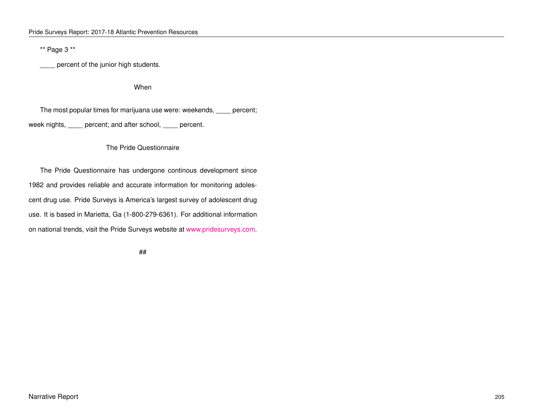\*\* Page 3 \*\*

percent of the junior high students.

When

The most popular times for marijuana use were: weekends, \_\_\_\_ percent; week nights, \_\_\_\_ percent; and after school, \_\_\_\_ percent.

#### The Pride Questionnaire

The Pride Questionnaire has undergone continous development since 1982 and provides reliable and accurate information for monitoring adolescent drug use. Pride Surveys is America's largest survey of adolescent drug use. It is based in Marietta, Ga (1-800-279-6361). For additional information on national trends, visit the Pride Surveys website at [www.pridesurveys.com.](http://www.pridesurveys.com)

##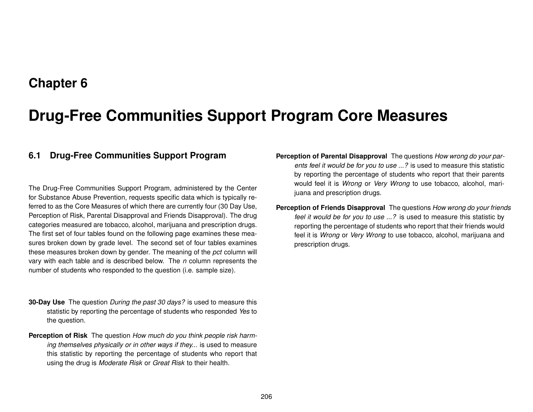## **Chapter 6**

# **Drug-Free Communities Support Program Core Measures**

## **6.1 Drug-Free Communities Support Program**

The Drug-Free Communities Support Program, administered by the Center for Substance Abuse Prevention, requests specific data which is typically referred to as the Core Measures of which there are currently four (30 Day Use, Perception of Risk, Parental Disapproval and Friends Disapproval). The drug categories measured are tobacco, alcohol, marijuana and prescription drugs. The first set of four tables found on the following page examines these measures broken down by grade level. The second set of four tables examines these measures broken down by gender. The meaning of the *pct* column will vary with each table and is described below. The *n* column represents the number of students who responded to the question (i.e. sample size).

- **30-Day Use** The question *During the past 30 days?* is used to measure this statistic by reporting the percentage of students who responded *Yes* to the question.
- **Perception of Risk** The question *How much do you think people risk harming themselves physically or in other ways if they...* is used to measure this statistic by reporting the percentage of students who report that using the drug is *Moderate Risk* or *Great Risk* to their health.
- **Perception of Parental Disapproval** The questions *How wrong do your parents feel it would be for you to use ...?* is used to measure this statistic by reporting the percentage of students who report that their parents would feel it is *Wrong* or *Very Wrong* to use tobacco, alcohol, marijuana and prescription drugs.
- **Perception of Friends Disapproval** The questions *How wrong do your friends feel it would be for you to use ...?* is used to measure this statistic by reporting the percentage of students who report that their friends would feel it is *Wrong* or *Very Wrong* to use tobacco, alcohol, marijuana and prescription drugs.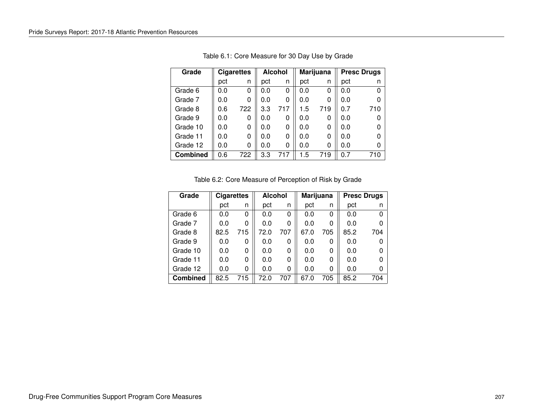| Grade           | <b>Cigarettes</b> |     |     | <b>Alcohol</b> |     | Marijuana |     | <b>Presc Drugs</b> |  |
|-----------------|-------------------|-----|-----|----------------|-----|-----------|-----|--------------------|--|
|                 | pct               | n   | pct | n              | pct | n         | pct |                    |  |
| Grade 6         | 0.0               | 0   | 0.0 | 0              | 0.0 | 0         | 0.0 |                    |  |
| Grade 7         | 0.0               | 0   | 0.0 | 0              | 0.0 | 0         | 0.0 |                    |  |
| Grade 8         | 0.6               | 722 | 3.3 | 717            | 1.5 | 719       | 0.7 | 710                |  |
| Grade 9         | 0.0               | 0   | 0.0 | 0              | 0.0 | 0         | 0.0 |                    |  |
| Grade 10        | 0.0               | 0   | 0.0 | 0              | 0.0 | 0         | 0.0 |                    |  |
| Grade 11        | 0.0               | 0   | 0.0 | 0              | 0.0 | 0         | 0.0 |                    |  |
| Grade 12        | 0.0               | 0   | 0.0 | 0              | 0.0 | 0         | 0.0 |                    |  |
| <b>Combined</b> | 0.6               | 722 | 3.3 | 717            | 1.5 | 719       | 0.7 | 710                |  |

Table 6.1: Core Measure for 30 Day Use by Grade

|  | Table 6.2: Core Measure of Perception of Risk by Grade |  |  |  |
|--|--------------------------------------------------------|--|--|--|
|--|--------------------------------------------------------|--|--|--|

| Grade           | <b>Cigarettes</b> |     | <b>Alcohol</b> |     | <b>Marijuana</b> |     | <b>Presc Drugs</b> |     |
|-----------------|-------------------|-----|----------------|-----|------------------|-----|--------------------|-----|
|                 | pct               | n   | pct            | n   | pct              | n   | pct                | n   |
| Grade 6         | 0.0               | 0   | 0.0            | 0   | 0.0              | 0   | 0.0                | ŋ   |
| Grade 7         | 0.0               | 0   | 0.0            | 0   | 0.0              | 0   | 0.0                |     |
| Grade 8         | 82.5              | 715 | 72.0           | 707 | 67.0             | 705 | 85.2               | 704 |
| Grade 9         | 0.0               | 0   | 0.0            | O   | 0.0              | 0   | 0.0                |     |
| Grade 10        | 0.0               | 0   | 0.0            | 0   | 0.0              | 0   | 0.0                |     |
| Grade 11        | 0.0               | 0   | 0.0            | 0   | 0.0              | 0   | 0.0                |     |
| Grade 12        | 0.0               | 0   | 0.0            | ი   | 0.0              | 0   | 0.0                |     |
| <b>Combined</b> | 82.5              | 715 | 72.0           | 707 | 67.0             | 705 | 85.2               | 704 |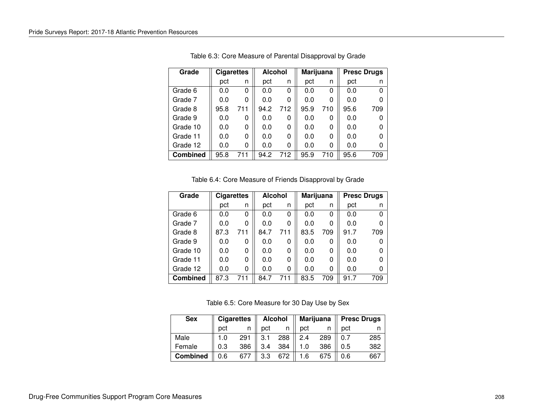| Grade           | <b>Cigarettes</b> |     | <b>Alcohol</b> |     | Marijuana |     | <b>Presc Drugs</b> |     |
|-----------------|-------------------|-----|----------------|-----|-----------|-----|--------------------|-----|
|                 | pct               | n   | pct            | n   | pct       | n   | pct                | n   |
| Grade 6         | 0.0               | 0   | 0.0            | 0   | 0.0       | 0   | 0.0                | ∩   |
| Grade 7         | 0.0               | 0   | 0.0            | 0   | 0.0       | 0   | 0.0                |     |
| Grade 8         | 95.8              | 711 | 94.2           | 712 | 95.9      | 710 | 95.6               | 709 |
| Grade 9         | 0.0               | 0   | 0.0            | 0   | 0.0       | 0   | 0.0                |     |
| Grade 10        | 0.0               | 0   | 0.0            | O   | 0.0       | 0   | 0.0                |     |
| Grade 11        | 0.0               | 0   | 0.0            | 0   | 0.0       | 0   | 0.0                | ŋ   |
| Grade 12        | 0.0               | 0   | 0.0            | ი   | 0.0       | 0   | 0.0                |     |
| <b>Combined</b> | 95.8              | 711 | 94.2           | 712 | 95.9      | 710 | 95.6               | 709 |

Table 6.3: Core Measure of Parental Disapproval by Grade

| Table 6.4: Core Measure of Friends Disapproval by Grade |  |  |  |  |  |
|---------------------------------------------------------|--|--|--|--|--|
|---------------------------------------------------------|--|--|--|--|--|

| Grade           | <b>Cigarettes</b> |     | <b>Alcohol</b> |     | Marijuana |     | <b>Presc Drugs</b> |     |
|-----------------|-------------------|-----|----------------|-----|-----------|-----|--------------------|-----|
|                 | pct               | n   | pct            | n   | pct       | n   | pct                |     |
| Grade 6         | 0.0               | 0   | 0.0            | 0   | 0.0       | 0   | 0.0                | ∩   |
| Grade 7         | 0.0               | 0   | 0.0            | 0   | 0.0       | 0   | 0.0                |     |
| Grade 8         | 87.3              | 711 | 84.7           | 711 | 83.5      | 709 | 91.7               | 709 |
| Grade 9         | 0.0               | 0   | 0.0            | 0   | 0.0       | 0   | 0.0                |     |
| Grade 10        | 0.0               | 0   | 0.0            | 0   | 0.0       | 0   | 0.0                |     |
| Grade 11        | 0.0               | 0   | 0.0            | 0   | 0.0       | 0   | 0.0                |     |
| Grade 12        | 0.0               | 0   | 0.0            | 0   | 0.0       | 0   | 0.0                |     |
| <b>Combined</b> | 87.3              | 711 | 84.7           | 711 | 83.5      | 709 | 91.7               | 709 |

Table 6.5: Core Measure for 30 Day Use by Sex

| <b>Sex</b>      | <b>Cigarettes</b> |     | Alcohol |     |     |     | Marijuana    Presc Drugs |     |
|-----------------|-------------------|-----|---------|-----|-----|-----|--------------------------|-----|
|                 | pct               |     | pct     |     | pct |     | pct                      |     |
| Male            | 1.0               | 291 | 3.1     | 288 | 2.4 | 289 | 0.7                      | 285 |
| Female          | 0.3               | 386 | 3.4     | 384 | 1.0 | 386 | 0.5                      | 382 |
| <b>Combined</b> | 0.6               | 677 | 3.3     | 672 | 1.6 | 675 | 0.6                      | 667 |